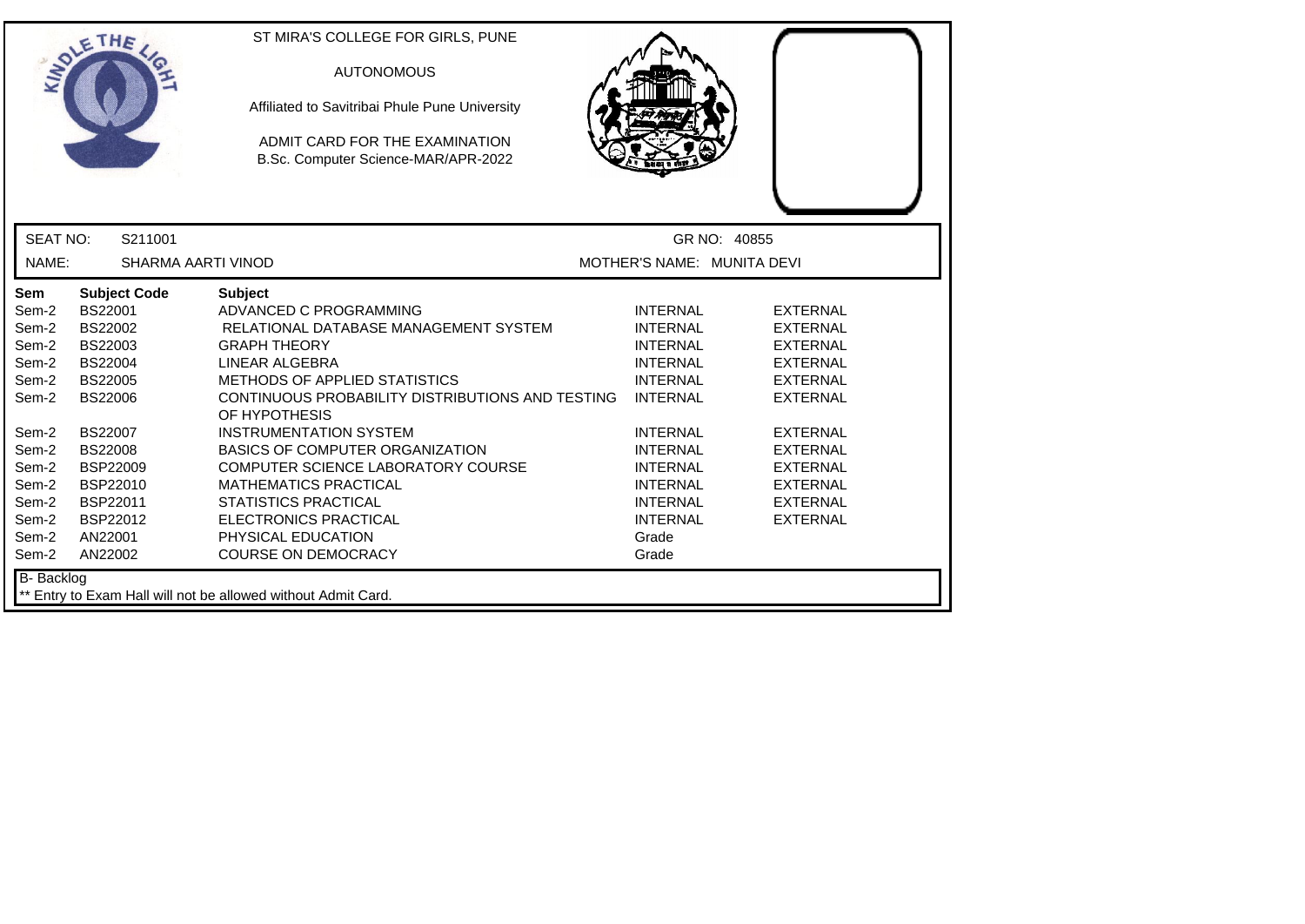|                                                                                                                                          | ETHE                                                                                                                                                                                                                        | ST MIRA'S COLLEGE FOR GIRLS, PUNE<br><b>AUTONOMOUS</b><br>Affiliated to Savitribai Phule Pune University<br>ADMIT CARD FOR THE EXAMINATION<br>B.Sc. Computer Science-MAR/APR-2022                                                                                                                                                                                                                                                                                                                    |                                                                                                                                                                                                                                                    |                                                                                                                                                                                                                                  |
|------------------------------------------------------------------------------------------------------------------------------------------|-----------------------------------------------------------------------------------------------------------------------------------------------------------------------------------------------------------------------------|------------------------------------------------------------------------------------------------------------------------------------------------------------------------------------------------------------------------------------------------------------------------------------------------------------------------------------------------------------------------------------------------------------------------------------------------------------------------------------------------------|----------------------------------------------------------------------------------------------------------------------------------------------------------------------------------------------------------------------------------------------------|----------------------------------------------------------------------------------------------------------------------------------------------------------------------------------------------------------------------------------|
| <b>SEAT NO:</b>                                                                                                                          | S211001                                                                                                                                                                                                                     |                                                                                                                                                                                                                                                                                                                                                                                                                                                                                                      |                                                                                                                                                                                                                                                    | GR NO: 40855                                                                                                                                                                                                                     |
| NAME:                                                                                                                                    | <b>SHARMA AARTI VINOD</b>                                                                                                                                                                                                   |                                                                                                                                                                                                                                                                                                                                                                                                                                                                                                      | MOTHER'S NAME: MUNITA DEVI                                                                                                                                                                                                                         |                                                                                                                                                                                                                                  |
| <b>Sem</b><br>Sem-2<br>Sem-2<br>Sem-2<br>Sem-2<br>Sem-2<br>Sem-2<br>Sem-2<br>Sem-2<br>Sem-2<br>Sem-2<br>Sem-2<br>Sem-2<br>Sem-2<br>Sem-2 | <b>Subject Code</b><br>BS22001<br>BS22002<br>BS22003<br><b>BS22004</b><br><b>BS22005</b><br><b>BS22006</b><br><b>BS22007</b><br><b>BS22008</b><br><b>BSP22009</b><br>BSP22010<br>BSP22011<br>BSP22012<br>AN22001<br>AN22002 | <b>Subject</b><br>ADVANCED C PROGRAMMING<br>RELATIONAL DATABASE MANAGEMENT SYSTEM<br><b>GRAPH THEORY</b><br>LINEAR ALGEBRA<br>METHODS OF APPLIED STATISTICS<br>CONTINUOUS PROBABILITY DISTRIBUTIONS AND TESTING<br>OF HYPOTHESIS<br><b>INSTRUMENTATION SYSTEM</b><br><b>BASICS OF COMPUTER ORGANIZATION</b><br>COMPUTER SCIENCE LABORATORY COURSE<br><b>MATHEMATICS PRACTICAL</b><br><b>STATISTICS PRACTICAL</b><br><b>ELECTRONICS PRACTICAL</b><br>PHYSICAL EDUCATION<br><b>COURSE ON DEMOCRACY</b> | <b>INTERNAL</b><br><b>INTERNAL</b><br><b>INTERNAL</b><br><b>INTERNAL</b><br><b>INTERNAL</b><br><b>INTERNAL</b><br><b>INTERNAL</b><br><b>INTERNAL</b><br><b>INTERNAL</b><br><b>INTERNAL</b><br><b>INTERNAL</b><br><b>INTERNAL</b><br>Grade<br>Grade | <b>EXTERNAL</b><br><b>EXTERNAL</b><br><b>EXTERNAL</b><br><b>EXTERNAL</b><br><b>EXTERNAL</b><br><b>EXTERNAL</b><br><b>EXTERNAL</b><br><b>EXTERNAL</b><br><b>EXTERNAL</b><br><b>EXTERNAL</b><br><b>EXTERNAL</b><br><b>EXTERNAL</b> |
| B- Backlog                                                                                                                               |                                                                                                                                                                                                                             | ** Entry to Exam Hall will not be allowed without Admit Card.                                                                                                                                                                                                                                                                                                                                                                                                                                        |                                                                                                                                                                                                                                                    |                                                                                                                                                                                                                                  |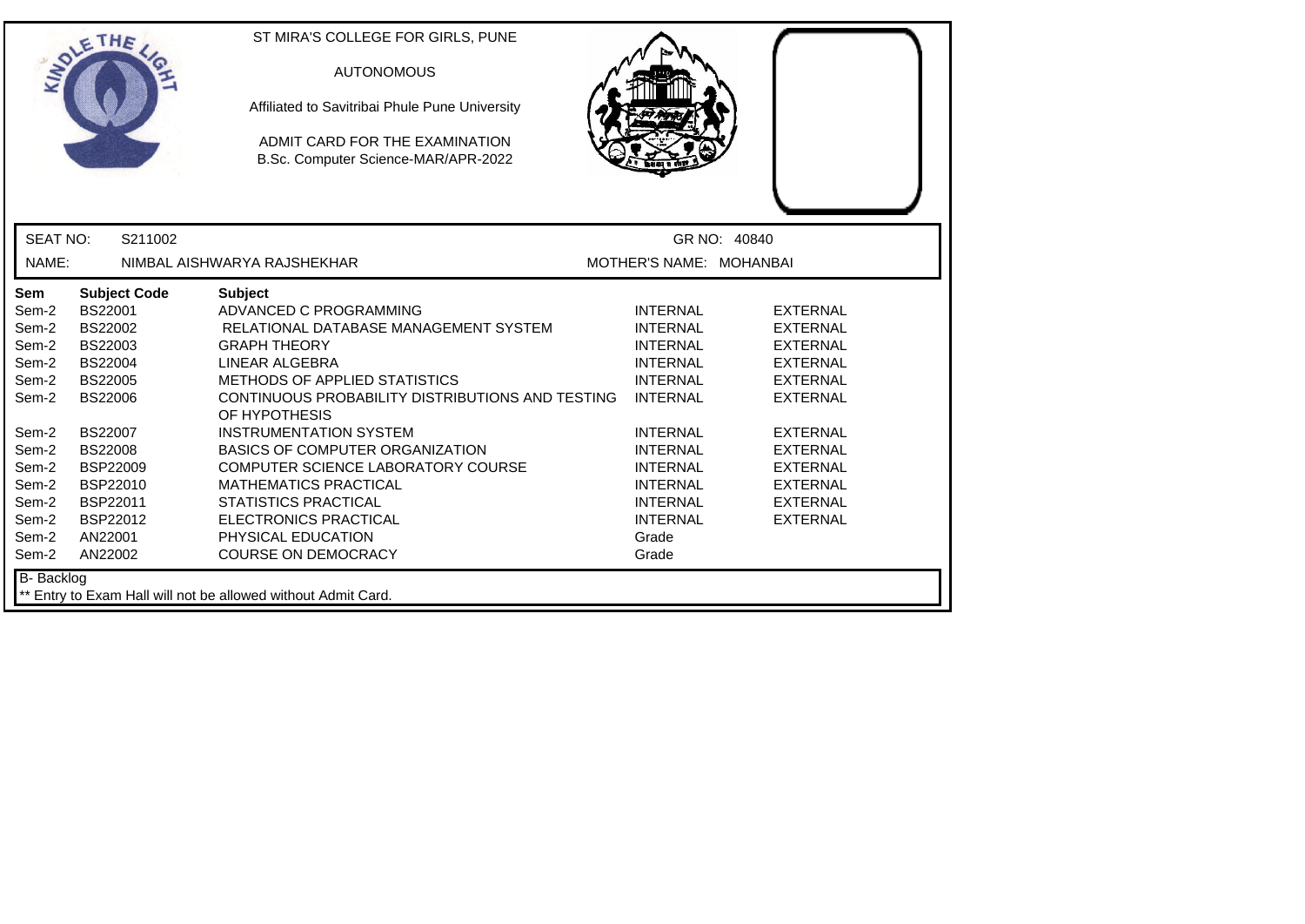|                   | ETHE                | ST MIRA'S COLLEGE FOR GIRLS, PUNE<br><b>AUTONOMOUS</b><br>Affiliated to Savitribai Phule Pune University<br>ADMIT CARD FOR THE EXAMINATION<br>B.Sc. Computer Science-MAR/APR-2022 |                         |                 |
|-------------------|---------------------|-----------------------------------------------------------------------------------------------------------------------------------------------------------------------------------|-------------------------|-----------------|
| <b>SEAT NO:</b>   | S211002             |                                                                                                                                                                                   |                         | GR NO: 40840    |
| NAME:             |                     | NIMBAL AISHWARYA RAJSHEKHAR                                                                                                                                                       | MOTHER'S NAME: MOHANBAI |                 |
| Sem               | <b>Subject Code</b> | <b>Subject</b>                                                                                                                                                                    |                         |                 |
| Sem-2             | BS22001             | ADVANCED C PROGRAMMING                                                                                                                                                            | <b>INTERNAL</b>         | <b>EXTERNAL</b> |
| Sem-2             | BS22002             | RELATIONAL DATABASE MANAGEMENT SYSTEM                                                                                                                                             | <b>INTERNAL</b>         | <b>EXTERNAL</b> |
| Sem-2             | <b>BS22003</b>      | <b>GRAPH THEORY</b>                                                                                                                                                               | <b>INTERNAL</b>         | <b>EXTERNAL</b> |
| Sem-2             | <b>BS22004</b>      | LINEAR ALGEBRA                                                                                                                                                                    | <b>INTERNAL</b>         | <b>EXTERNAL</b> |
| Sem-2             | <b>BS22005</b>      | METHODS OF APPLIED STATISTICS                                                                                                                                                     | <b>INTERNAL</b>         | <b>EXTERNAL</b> |
| Sem-2             | <b>BS22006</b>      | CONTINUOUS PROBABILITY DISTRIBUTIONS AND TESTING<br>OF HYPOTHESIS                                                                                                                 | <b>INTERNAL</b>         | <b>EXTERNAL</b> |
| Sem-2             | <b>BS22007</b>      | <b>INSTRUMENTATION SYSTEM</b>                                                                                                                                                     | <b>INTERNAL</b>         | <b>EXTERNAL</b> |
| Sem-2             | <b>BS22008</b>      | BASICS OF COMPUTER ORGANIZATION                                                                                                                                                   | <b>INTERNAL</b>         | <b>EXTERNAL</b> |
| Sem-2             | <b>BSP22009</b>     | COMPUTER SCIENCE LABORATORY COURSE                                                                                                                                                | <b>INTERNAL</b>         | <b>EXTERNAL</b> |
| Sem-2             | BSP22010            | <b>MATHEMATICS PRACTICAL</b>                                                                                                                                                      | <b>INTERNAL</b>         | <b>EXTERNAL</b> |
| Sem-2             | BSP22011            | <b>STATISTICS PRACTICAL</b>                                                                                                                                                       | <b>INTERNAL</b>         | <b>EXTERNAL</b> |
| Sem-2             | BSP22012            | <b>ELECTRONICS PRACTICAL</b>                                                                                                                                                      | <b>INTERNAL</b>         | <b>EXTERNAL</b> |
| Sem-2             | AN22001             | PHYSICAL EDUCATION                                                                                                                                                                | Grade                   |                 |
| Sem-2             | AN22002             | <b>COURSE ON DEMOCRACY</b>                                                                                                                                                        | Grade                   |                 |
| <b>B-</b> Backlog |                     | ** Entry to Exam Hall will not be allowed without Admit Card.                                                                                                                     |                         |                 |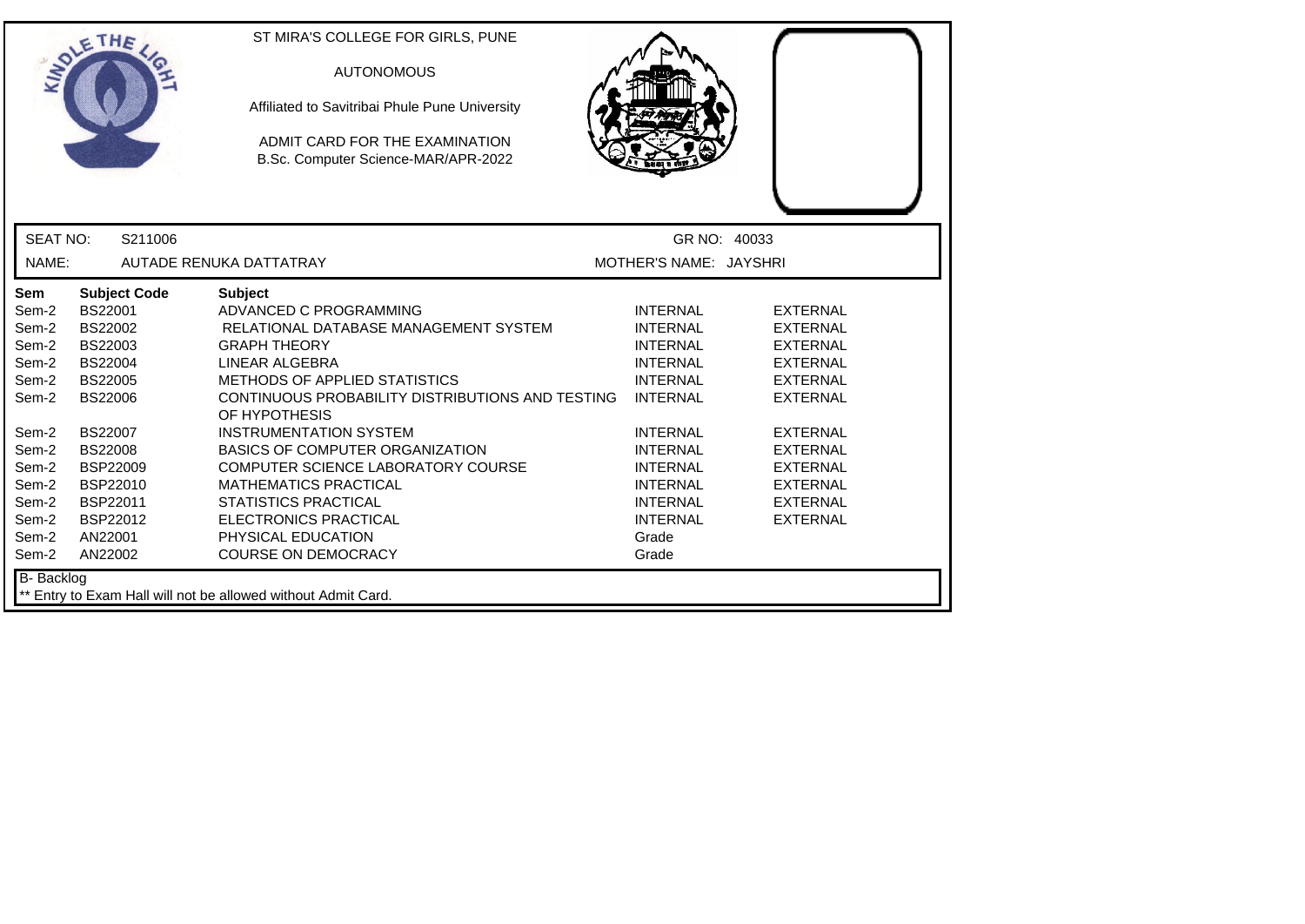|                 | ETHE                | ST MIRA'S COLLEGE FOR GIRLS, PUNE<br><b>AUTONOMOUS</b><br>Affiliated to Savitribai Phule Pune University<br>ADMIT CARD FOR THE EXAMINATION<br>B.Sc. Computer Science-MAR/APR-2022 |                        |                 |
|-----------------|---------------------|-----------------------------------------------------------------------------------------------------------------------------------------------------------------------------------|------------------------|-----------------|
| <b>SEAT NO:</b> | S211006             |                                                                                                                                                                                   | GR NO: 40033           |                 |
| NAME:           |                     | AUTADE RENUKA DATTATRAY                                                                                                                                                           | MOTHER'S NAME: JAYSHRI |                 |
| Sem             | <b>Subject Code</b> | <b>Subject</b>                                                                                                                                                                    |                        |                 |
| Sem-2           | BS22001             | ADVANCED C PROGRAMMING                                                                                                                                                            | <b>INTERNAL</b>        | <b>EXTERNAL</b> |
| Sem-2           | BS22002             | RELATIONAL DATABASE MANAGEMENT SYSTEM                                                                                                                                             | <b>INTERNAL</b>        | <b>EXTERNAL</b> |
| Sem-2           | BS22003             | <b>GRAPH THEORY</b>                                                                                                                                                               | <b>INTERNAL</b>        | <b>EXTERNAL</b> |
| Sem-2           | <b>BS22004</b>      | LINEAR ALGEBRA                                                                                                                                                                    | <b>INTERNAL</b>        | <b>EXTERNAL</b> |
| Sem-2           | <b>BS22005</b>      | METHODS OF APPLIED STATISTICS                                                                                                                                                     | <b>INTERNAL</b>        | <b>EXTERNAL</b> |
| Sem-2           | <b>BS22006</b>      | CONTINUOUS PROBABILITY DISTRIBUTIONS AND TESTING<br>OF HYPOTHESIS                                                                                                                 | <b>INTERNAL</b>        | <b>EXTERNAL</b> |
| Sem-2           | <b>BS22007</b>      | <b>INSTRUMENTATION SYSTEM</b>                                                                                                                                                     | <b>INTERNAL</b>        | <b>EXTERNAL</b> |
| Sem-2           | <b>BS22008</b>      | <b>BASICS OF COMPUTER ORGANIZATION</b>                                                                                                                                            | <b>INTERNAL</b>        | <b>EXTERNAL</b> |
| Sem-2           | BSP22009            | COMPUTER SCIENCE LABORATORY COURSE                                                                                                                                                | <b>INTERNAL</b>        | <b>EXTERNAL</b> |
| Sem-2           | BSP22010            | <b>MATHEMATICS PRACTICAL</b>                                                                                                                                                      | <b>INTERNAL</b>        | <b>EXTERNAL</b> |
| Sem-2           | BSP22011            | <b>STATISTICS PRACTICAL</b>                                                                                                                                                       | <b>INTERNAL</b>        | <b>EXTERNAL</b> |
| Sem-2           | <b>BSP22012</b>     | <b>ELECTRONICS PRACTICAL</b>                                                                                                                                                      | <b>INTERNAL</b>        | <b>EXTERNAL</b> |
| Sem-2           | AN22001             | PHYSICAL EDUCATION                                                                                                                                                                | Grade                  |                 |
| Sem-2           | AN22002             | <b>COURSE ON DEMOCRACY</b>                                                                                                                                                        | Grade                  |                 |
| B- Backlog      |                     | ** Entry to Exam Hall will not be allowed without Admit Card.                                                                                                                     |                        |                 |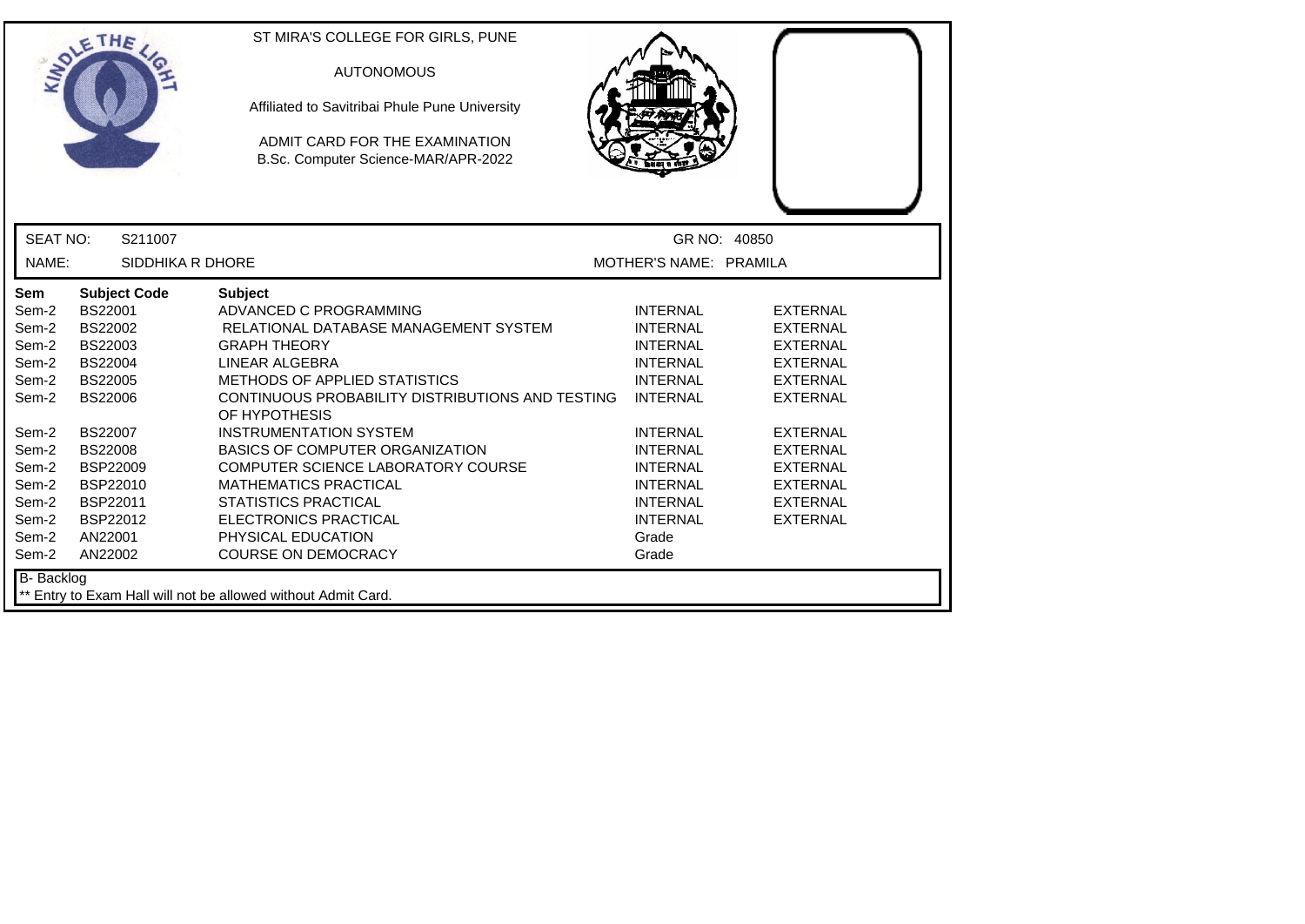|                                                                                                                                   | ETHE                                                                                                                                                                                                                               | ST MIRA'S COLLEGE FOR GIRLS, PUNE<br><b>AUTONOMOUS</b><br>Affiliated to Savitribai Phule Pune University<br>ADMIT CARD FOR THE EXAMINATION<br>B.Sc. Computer Science-MAR/APR-2022                                                                                                                                                                                                                                                                                                                    |                                                                                                                                                                                                                                                    |                                                                                                                                                                                                                                  |
|-----------------------------------------------------------------------------------------------------------------------------------|------------------------------------------------------------------------------------------------------------------------------------------------------------------------------------------------------------------------------------|------------------------------------------------------------------------------------------------------------------------------------------------------------------------------------------------------------------------------------------------------------------------------------------------------------------------------------------------------------------------------------------------------------------------------------------------------------------------------------------------------|----------------------------------------------------------------------------------------------------------------------------------------------------------------------------------------------------------------------------------------------------|----------------------------------------------------------------------------------------------------------------------------------------------------------------------------------------------------------------------------------|
| <b>SEAT NO:</b>                                                                                                                   | S211007                                                                                                                                                                                                                            |                                                                                                                                                                                                                                                                                                                                                                                                                                                                                                      |                                                                                                                                                                                                                                                    | GR NO: 40850                                                                                                                                                                                                                     |
| NAME:                                                                                                                             | SIDDHIKA R DHORE                                                                                                                                                                                                                   |                                                                                                                                                                                                                                                                                                                                                                                                                                                                                                      | MOTHER'S NAME: PRAMILA                                                                                                                                                                                                                             |                                                                                                                                                                                                                                  |
| Sem<br>Sem-2<br>Sem-2<br>Sem-2<br>Sem-2<br>Sem-2<br>Sem-2<br>Sem-2<br>Sem-2<br>Sem-2<br>Sem-2<br>Sem-2<br>Sem-2<br>Sem-2<br>Sem-2 | <b>Subject Code</b><br><b>BS22001</b><br>BS22002<br>BS22003<br><b>BS22004</b><br><b>BS22005</b><br><b>BS22006</b><br><b>BS22007</b><br><b>BS22008</b><br><b>BSP22009</b><br>BSP22010<br>BSP22011<br>BSP22012<br>AN22001<br>AN22002 | <b>Subject</b><br>ADVANCED C PROGRAMMING<br>RELATIONAL DATABASE MANAGEMENT SYSTEM<br><b>GRAPH THEORY</b><br>LINEAR ALGEBRA<br>METHODS OF APPLIED STATISTICS<br>CONTINUOUS PROBABILITY DISTRIBUTIONS AND TESTING<br>OF HYPOTHESIS<br><b>INSTRUMENTATION SYSTEM</b><br><b>BASICS OF COMPUTER ORGANIZATION</b><br>COMPUTER SCIENCE LABORATORY COURSE<br><b>MATHEMATICS PRACTICAL</b><br><b>STATISTICS PRACTICAL</b><br><b>ELECTRONICS PRACTICAL</b><br>PHYSICAL EDUCATION<br><b>COURSE ON DEMOCRACY</b> | <b>INTERNAL</b><br><b>INTERNAL</b><br><b>INTERNAL</b><br><b>INTERNAL</b><br><b>INTERNAL</b><br><b>INTERNAL</b><br><b>INTERNAL</b><br><b>INTERNAL</b><br><b>INTERNAL</b><br><b>INTERNAL</b><br><b>INTERNAL</b><br><b>INTERNAL</b><br>Grade<br>Grade | <b>EXTERNAL</b><br><b>EXTERNAL</b><br><b>EXTERNAL</b><br><b>EXTERNAL</b><br><b>EXTERNAL</b><br><b>EXTERNAL</b><br><b>EXTERNAL</b><br><b>EXTERNAL</b><br><b>EXTERNAL</b><br><b>EXTERNAL</b><br><b>EXTERNAL</b><br><b>EXTERNAL</b> |
| B- Backlog                                                                                                                        |                                                                                                                                                                                                                                    | ** Entry to Exam Hall will not be allowed without Admit Card.                                                                                                                                                                                                                                                                                                                                                                                                                                        |                                                                                                                                                                                                                                                    |                                                                                                                                                                                                                                  |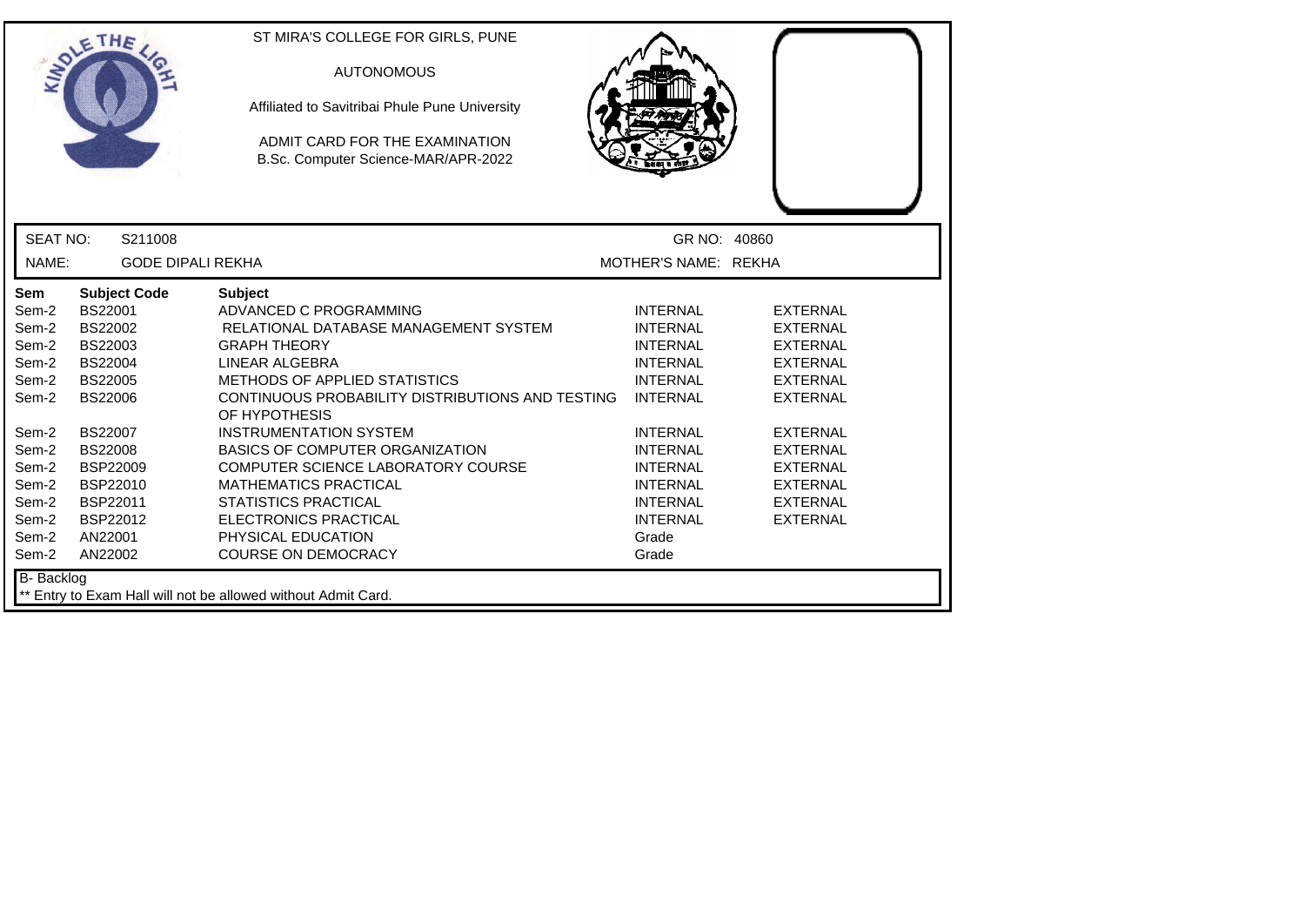|                                                                                                                                   | ETHE                                                                                                                                                                                                                        | ST MIRA'S COLLEGE FOR GIRLS, PUNE<br><b>AUTONOMOUS</b><br>Affiliated to Savitribai Phule Pune University<br>ADMIT CARD FOR THE EXAMINATION<br>B.Sc. Computer Science-MAR/APR-2022                                                                                                                                                                                                                                                                                                                    |                                                                                                                                                                                                                                                    |                                                                                                                                                                                                                                  |
|-----------------------------------------------------------------------------------------------------------------------------------|-----------------------------------------------------------------------------------------------------------------------------------------------------------------------------------------------------------------------------|------------------------------------------------------------------------------------------------------------------------------------------------------------------------------------------------------------------------------------------------------------------------------------------------------------------------------------------------------------------------------------------------------------------------------------------------------------------------------------------------------|----------------------------------------------------------------------------------------------------------------------------------------------------------------------------------------------------------------------------------------------------|----------------------------------------------------------------------------------------------------------------------------------------------------------------------------------------------------------------------------------|
| <b>SEAT NO:</b>                                                                                                                   | S211008                                                                                                                                                                                                                     |                                                                                                                                                                                                                                                                                                                                                                                                                                                                                                      | GR NO: 40860                                                                                                                                                                                                                                       |                                                                                                                                                                                                                                  |
| NAME:                                                                                                                             | <b>GODE DIPALI REKHA</b>                                                                                                                                                                                                    |                                                                                                                                                                                                                                                                                                                                                                                                                                                                                                      | MOTHER'S NAME: REKHA                                                                                                                                                                                                                               |                                                                                                                                                                                                                                  |
| Sem<br>Sem-2<br>Sem-2<br>Sem-2<br>Sem-2<br>Sem-2<br>Sem-2<br>Sem-2<br>Sem-2<br>Sem-2<br>Sem-2<br>Sem-2<br>Sem-2<br>Sem-2<br>Sem-2 | <b>Subject Code</b><br>BS22001<br>BS22002<br>BS22003<br><b>BS22004</b><br><b>BS22005</b><br><b>BS22006</b><br><b>BS22007</b><br><b>BS22008</b><br><b>BSP22009</b><br>BSP22010<br>BSP22011<br>BSP22012<br>AN22001<br>AN22002 | <b>Subject</b><br>ADVANCED C PROGRAMMING<br>RELATIONAL DATABASE MANAGEMENT SYSTEM<br><b>GRAPH THEORY</b><br>LINEAR ALGEBRA<br>METHODS OF APPLIED STATISTICS<br>CONTINUOUS PROBABILITY DISTRIBUTIONS AND TESTING<br>OF HYPOTHESIS<br><b>INSTRUMENTATION SYSTEM</b><br><b>BASICS OF COMPUTER ORGANIZATION</b><br>COMPUTER SCIENCE LABORATORY COURSE<br><b>MATHEMATICS PRACTICAL</b><br><b>STATISTICS PRACTICAL</b><br><b>ELECTRONICS PRACTICAL</b><br>PHYSICAL EDUCATION<br><b>COURSE ON DEMOCRACY</b> | <b>INTERNAL</b><br><b>INTERNAL</b><br><b>INTERNAL</b><br><b>INTERNAL</b><br><b>INTERNAL</b><br><b>INTERNAL</b><br><b>INTERNAL</b><br><b>INTERNAL</b><br><b>INTERNAL</b><br><b>INTERNAL</b><br><b>INTERNAL</b><br><b>INTERNAL</b><br>Grade<br>Grade | <b>EXTERNAL</b><br><b>EXTERNAL</b><br><b>EXTERNAL</b><br><b>EXTERNAL</b><br><b>EXTERNAL</b><br><b>EXTERNAL</b><br><b>EXTERNAL</b><br><b>EXTERNAL</b><br><b>EXTERNAL</b><br><b>EXTERNAL</b><br><b>EXTERNAL</b><br><b>EXTERNAL</b> |
| B- Backlog                                                                                                                        |                                                                                                                                                                                                                             | ** Entry to Exam Hall will not be allowed without Admit Card.                                                                                                                                                                                                                                                                                                                                                                                                                                        |                                                                                                                                                                                                                                                    |                                                                                                                                                                                                                                  |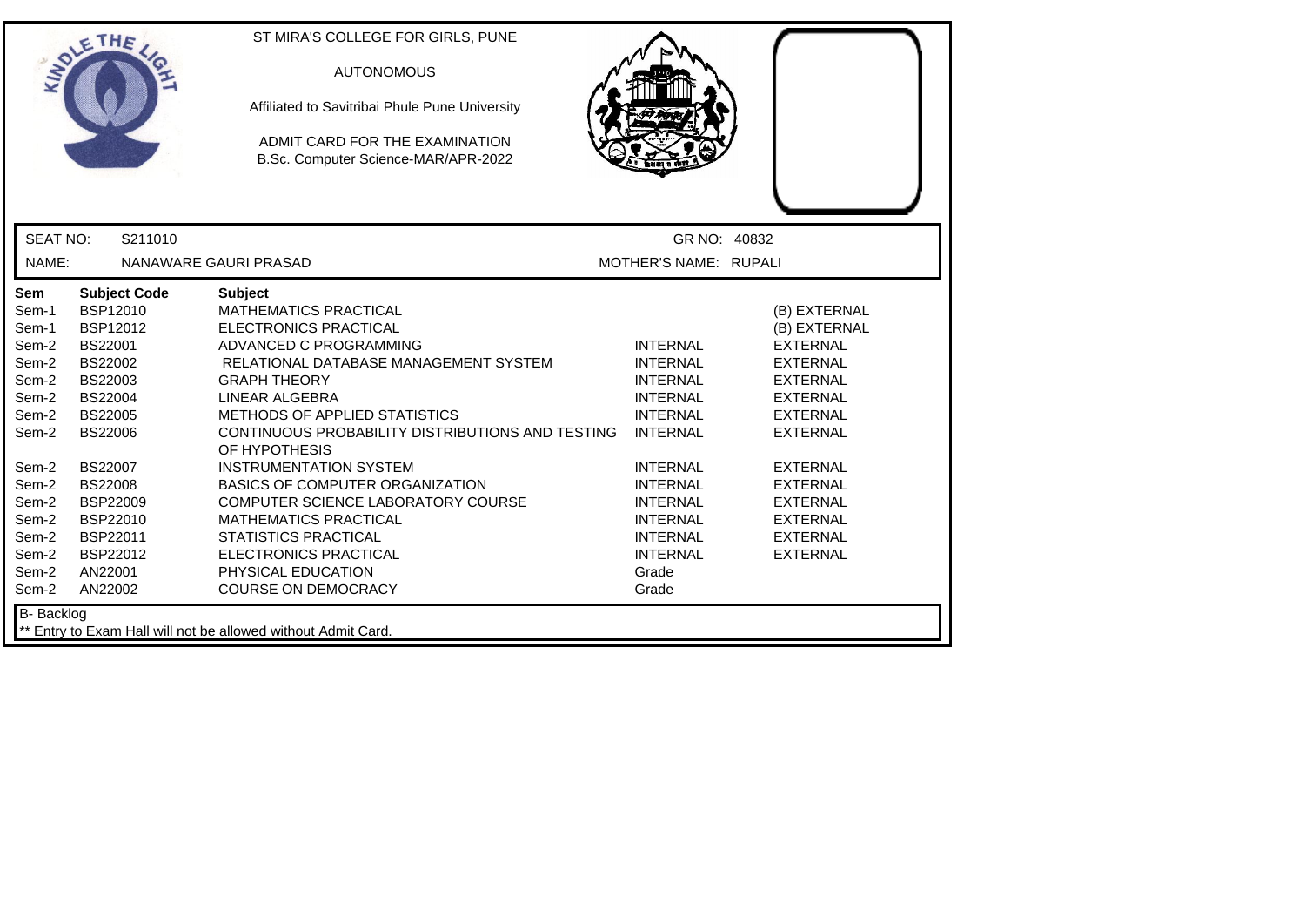| <b>SEAT NO:</b><br>GR NO: 40832<br>S211010<br>NAME:<br>MOTHER'S NAME: RUPALI<br>NANAWARE GAURI PRASAD<br>Sem<br><b>Subject Code</b><br><b>Subject</b><br>BSP12010<br><b>MATHEMATICS PRACTICAL</b><br>(B) EXTERNAL<br>Sem-1<br>BSP12012<br><b>ELECTRONICS PRACTICAL</b><br>Sem-1<br>(B) EXTERNAL<br>BS22001<br>ADVANCED C PROGRAMMING<br><b>INTERNAL</b><br><b>EXTERNAL</b><br>Sem-2<br>Sem-2<br><b>BS22002</b><br>RELATIONAL DATABASE MANAGEMENT SYSTEM<br><b>INTERNAL</b><br><b>EXTERNAL</b><br>Sem-2<br>BS22003<br><b>GRAPH THEORY</b><br><b>INTERNAL</b><br><b>EXTERNAL</b><br><b>BS22004</b><br>LINEAR ALGEBRA<br><b>EXTERNAL</b><br>Sem-2<br><b>INTERNAL</b><br>Sem-2<br><b>BS22005</b><br><b>METHODS OF APPLIED STATISTICS</b><br><b>INTERNAL</b><br><b>EXTERNAL</b><br>Sem-2<br><b>BS22006</b><br>CONTINUOUS PROBABILITY DISTRIBUTIONS AND TESTING<br><b>INTERNAL</b><br><b>EXTERNAL</b><br>OF HYPOTHESIS<br>BS22007<br><b>INSTRUMENTATION SYSTEM</b><br><b>INTERNAL</b><br><b>EXTERNAL</b><br>Sem-2<br><b>BS22008</b><br>BASICS OF COMPUTER ORGANIZATION<br>Sem-2<br><b>INTERNAL</b><br><b>EXTERNAL</b><br><b>BSP22009</b><br>COMPUTER SCIENCE LABORATORY COURSE<br>Sem-2<br><b>INTERNAL</b><br><b>EXTERNAL</b><br>BSP22010<br><b>MATHEMATICS PRACTICAL</b><br>Sem-2<br><b>INTERNAL</b><br><b>EXTERNAL</b><br>Sem-2<br>BSP22011<br><b>STATISTICS PRACTICAL</b><br><b>INTERNAL</b><br><b>EXTERNAL</b><br>Sem-2<br>BSP22012<br><b>ELECTRONICS PRACTICAL</b><br><b>INTERNAL</b><br><b>EXTERNAL</b><br>PHYSICAL EDUCATION<br>Sem-2<br>AN22001<br>Grade<br><b>COURSE ON DEMOCRACY</b><br>Sem-2<br>AN22002<br>Grade | ETHE | ST MIRA'S COLLEGE FOR GIRLS, PUNE<br><b>AUTONOMOUS</b><br>Affiliated to Savitribai Phule Pune University<br>ADMIT CARD FOR THE EXAMINATION<br>B.Sc. Computer Science-MAR/APR-2022 |  |
|-----------------------------------------------------------------------------------------------------------------------------------------------------------------------------------------------------------------------------------------------------------------------------------------------------------------------------------------------------------------------------------------------------------------------------------------------------------------------------------------------------------------------------------------------------------------------------------------------------------------------------------------------------------------------------------------------------------------------------------------------------------------------------------------------------------------------------------------------------------------------------------------------------------------------------------------------------------------------------------------------------------------------------------------------------------------------------------------------------------------------------------------------------------------------------------------------------------------------------------------------------------------------------------------------------------------------------------------------------------------------------------------------------------------------------------------------------------------------------------------------------------------------------------------------------------------------------------------------------------------------|------|-----------------------------------------------------------------------------------------------------------------------------------------------------------------------------------|--|
|                                                                                                                                                                                                                                                                                                                                                                                                                                                                                                                                                                                                                                                                                                                                                                                                                                                                                                                                                                                                                                                                                                                                                                                                                                                                                                                                                                                                                                                                                                                                                                                                                       |      |                                                                                                                                                                                   |  |
|                                                                                                                                                                                                                                                                                                                                                                                                                                                                                                                                                                                                                                                                                                                                                                                                                                                                                                                                                                                                                                                                                                                                                                                                                                                                                                                                                                                                                                                                                                                                                                                                                       |      |                                                                                                                                                                                   |  |
| <b>B-</b> Backlog                                                                                                                                                                                                                                                                                                                                                                                                                                                                                                                                                                                                                                                                                                                                                                                                                                                                                                                                                                                                                                                                                                                                                                                                                                                                                                                                                                                                                                                                                                                                                                                                     |      |                                                                                                                                                                                   |  |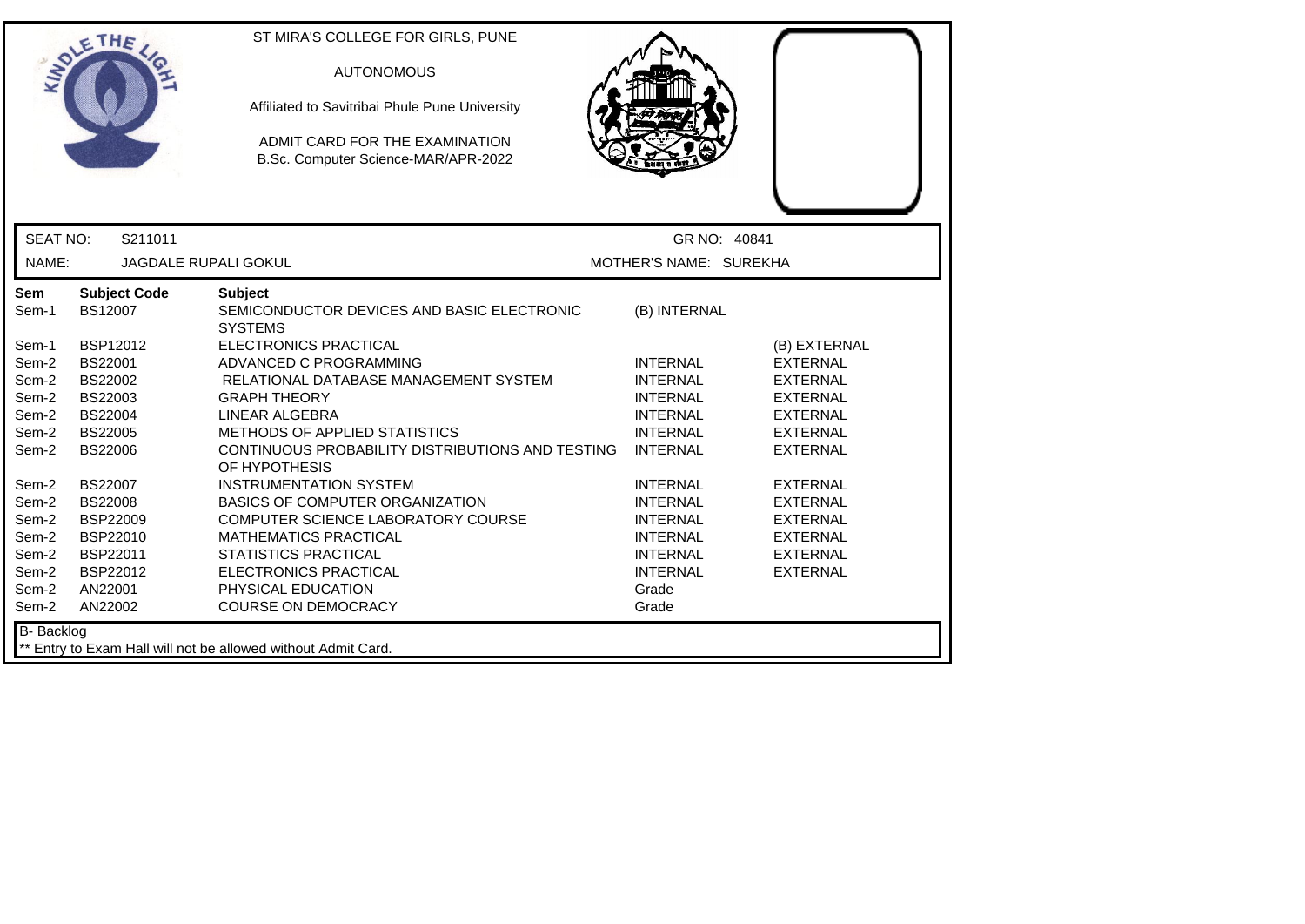|                                                                                                        | ETHE                                                                                                                                                                                            | ST MIRA'S COLLEGE FOR GIRLS, PUNE<br><b>AUTONOMOUS</b><br>Affiliated to Savitribai Phule Pune University<br>ADMIT CARD FOR THE EXAMINATION<br>B.Sc. Computer Science-MAR/APR-2022                                                                                                                                                                                                                                                          |                                                                                                                                                                                         |                                                                                                                                                                                         |
|--------------------------------------------------------------------------------------------------------|-------------------------------------------------------------------------------------------------------------------------------------------------------------------------------------------------|--------------------------------------------------------------------------------------------------------------------------------------------------------------------------------------------------------------------------------------------------------------------------------------------------------------------------------------------------------------------------------------------------------------------------------------------|-----------------------------------------------------------------------------------------------------------------------------------------------------------------------------------------|-----------------------------------------------------------------------------------------------------------------------------------------------------------------------------------------|
| <b>SEAT NO:</b>                                                                                        | S211011                                                                                                                                                                                         |                                                                                                                                                                                                                                                                                                                                                                                                                                            | GR NO: 40841                                                                                                                                                                            |                                                                                                                                                                                         |
| NAME:                                                                                                  |                                                                                                                                                                                                 | <b>JAGDALE RUPALI GOKUL</b>                                                                                                                                                                                                                                                                                                                                                                                                                | MOTHER'S NAME: SUREKHA                                                                                                                                                                  |                                                                                                                                                                                         |
| Sem<br>Sem-1<br>Sem-1<br>Sem-2<br>Sem-2<br>Sem-2<br>Sem-2<br>Sem-2<br>Sem-2<br>Sem-2<br>Sem-2<br>Sem-2 | <b>Subject Code</b><br>BS12007<br>BSP12012<br><b>BS22001</b><br>BS22002<br>BS22003<br><b>BS22004</b><br><b>BS22005</b><br><b>BS22006</b><br><b>BS22007</b><br><b>BS22008</b><br><b>BSP22009</b> | <b>Subject</b><br>SEMICONDUCTOR DEVICES AND BASIC ELECTRONIC<br><b>SYSTEMS</b><br>ELECTRONICS PRACTICAL<br>ADVANCED C PROGRAMMING<br>RELATIONAL DATABASE MANAGEMENT SYSTEM<br><b>GRAPH THEORY</b><br>LINEAR ALGEBRA<br>METHODS OF APPLIED STATISTICS<br>CONTINUOUS PROBABILITY DISTRIBUTIONS AND TESTING<br>OF HYPOTHESIS<br><b>INSTRUMENTATION SYSTEM</b><br><b>BASICS OF COMPUTER ORGANIZATION</b><br>COMPUTER SCIENCE LABORATORY COURSE | (B) INTERNAL<br><b>INTERNAL</b><br><b>INTERNAL</b><br><b>INTERNAL</b><br><b>INTERNAL</b><br><b>INTERNAL</b><br><b>INTERNAL</b><br><b>INTERNAL</b><br><b>INTERNAL</b><br><b>INTERNAL</b> | (B) EXTERNAL<br><b>EXTERNAL</b><br><b>EXTERNAL</b><br><b>EXTERNAL</b><br><b>EXTERNAL</b><br><b>EXTERNAL</b><br><b>EXTERNAL</b><br><b>EXTERNAL</b><br><b>EXTERNAL</b><br><b>EXTERNAL</b> |
| Sem-2<br>Sem-2<br>Sem-2<br>Sem-2<br>Sem-2                                                              | BSP22010<br>BSP22011<br>BSP22012<br>AN22001<br>AN22002                                                                                                                                          | <b>MATHEMATICS PRACTICAL</b><br><b>STATISTICS PRACTICAL</b><br><b>ELECTRONICS PRACTICAL</b><br>PHYSICAL EDUCATION<br><b>COURSE ON DEMOCRACY</b>                                                                                                                                                                                                                                                                                            | <b>INTERNAL</b><br><b>INTERNAL</b><br><b>INTERNAL</b><br>Grade<br>Grade                                                                                                                 | EXTERNAL<br>EXTERNAL<br><b>EXTERNAL</b>                                                                                                                                                 |
| B- Backlog                                                                                             |                                                                                                                                                                                                 | ** Entry to Exam Hall will not be allowed without Admit Card.                                                                                                                                                                                                                                                                                                                                                                              |                                                                                                                                                                                         |                                                                                                                                                                                         |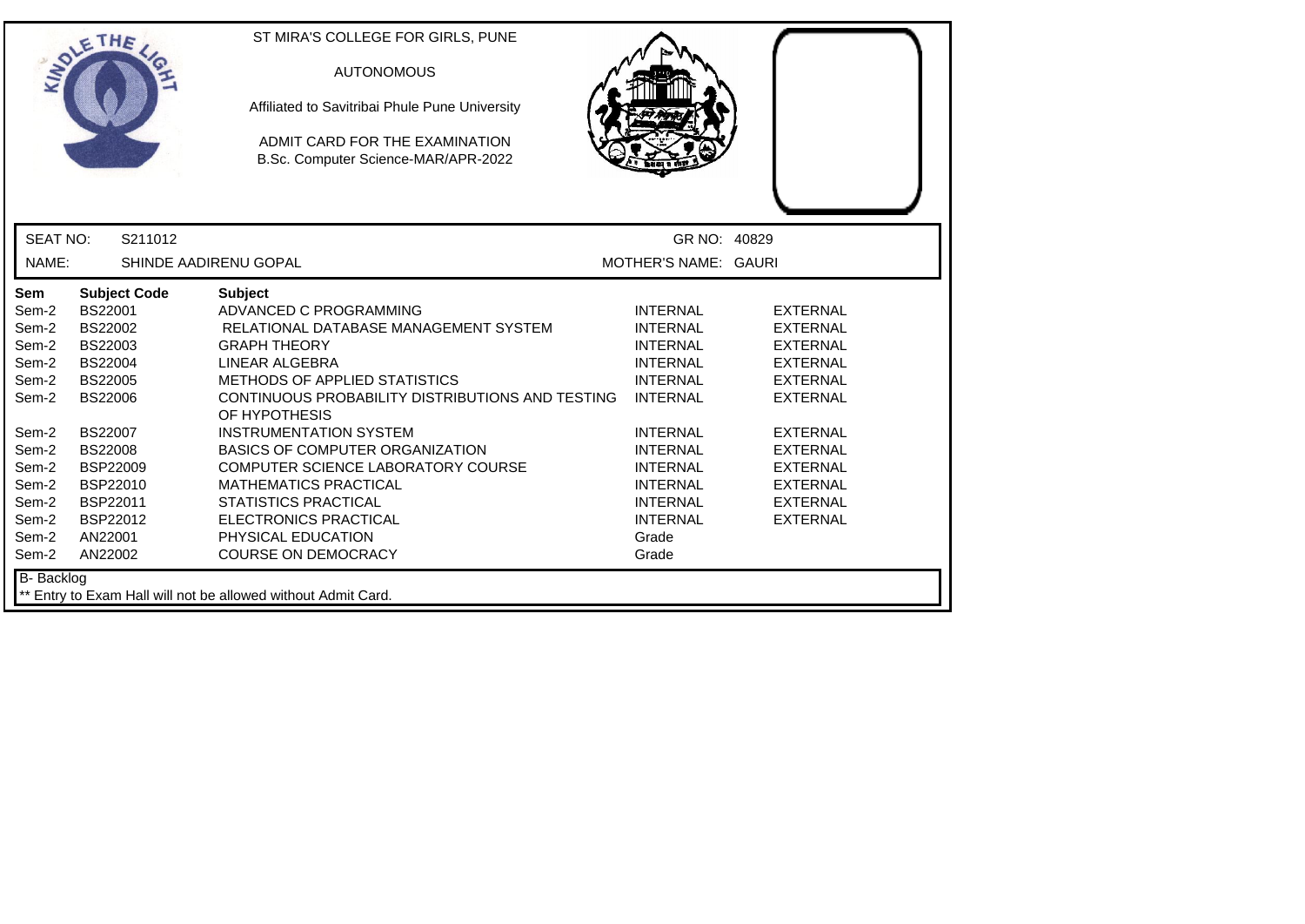|                                                                                                                                   | ETHE                                                                                                                                                                                                                        | ST MIRA'S COLLEGE FOR GIRLS, PUNE<br><b>AUTONOMOUS</b><br>Affiliated to Savitribai Phule Pune University<br>ADMIT CARD FOR THE EXAMINATION<br>B.Sc. Computer Science-MAR/APR-2022                                                                                                                                                                                                                                                                                                                    |                                                                                                                                                                                                                                                    |                                                                                                                                                                                                                                  |  |
|-----------------------------------------------------------------------------------------------------------------------------------|-----------------------------------------------------------------------------------------------------------------------------------------------------------------------------------------------------------------------------|------------------------------------------------------------------------------------------------------------------------------------------------------------------------------------------------------------------------------------------------------------------------------------------------------------------------------------------------------------------------------------------------------------------------------------------------------------------------------------------------------|----------------------------------------------------------------------------------------------------------------------------------------------------------------------------------------------------------------------------------------------------|----------------------------------------------------------------------------------------------------------------------------------------------------------------------------------------------------------------------------------|--|
| <b>SEAT NO:</b>                                                                                                                   | S211012                                                                                                                                                                                                                     |                                                                                                                                                                                                                                                                                                                                                                                                                                                                                                      | GR NO: 40829                                                                                                                                                                                                                                       |                                                                                                                                                                                                                                  |  |
| NAME:                                                                                                                             |                                                                                                                                                                                                                             | SHINDE AADIRENU GOPAL                                                                                                                                                                                                                                                                                                                                                                                                                                                                                | MOTHER'S NAME: GAURI                                                                                                                                                                                                                               |                                                                                                                                                                                                                                  |  |
| Sem<br>Sem-2<br>Sem-2<br>Sem-2<br>Sem-2<br>Sem-2<br>Sem-2<br>Sem-2<br>Sem-2<br>Sem-2<br>Sem-2<br>Sem-2<br>Sem-2<br>Sem-2<br>Sem-2 | <b>Subject Code</b><br>BS22001<br>BS22002<br>BS22003<br><b>BS22004</b><br><b>BS22005</b><br><b>BS22006</b><br><b>BS22007</b><br><b>BS22008</b><br><b>BSP22009</b><br>BSP22010<br>BSP22011<br>BSP22012<br>AN22001<br>AN22002 | <b>Subject</b><br>ADVANCED C PROGRAMMING<br>RELATIONAL DATABASE MANAGEMENT SYSTEM<br><b>GRAPH THEORY</b><br>LINEAR ALGEBRA<br>METHODS OF APPLIED STATISTICS<br>CONTINUOUS PROBABILITY DISTRIBUTIONS AND TESTING<br>OF HYPOTHESIS<br><b>INSTRUMENTATION SYSTEM</b><br><b>BASICS OF COMPUTER ORGANIZATION</b><br>COMPUTER SCIENCE LABORATORY COURSE<br><b>MATHEMATICS PRACTICAL</b><br><b>STATISTICS PRACTICAL</b><br><b>ELECTRONICS PRACTICAL</b><br>PHYSICAL EDUCATION<br><b>COURSE ON DEMOCRACY</b> | <b>INTERNAL</b><br><b>INTERNAL</b><br><b>INTERNAL</b><br><b>INTERNAL</b><br><b>INTERNAL</b><br><b>INTERNAL</b><br><b>INTERNAL</b><br><b>INTERNAL</b><br><b>INTERNAL</b><br><b>INTERNAL</b><br><b>INTERNAL</b><br><b>INTERNAL</b><br>Grade<br>Grade | <b>EXTERNAL</b><br><b>EXTERNAL</b><br><b>EXTERNAL</b><br><b>EXTERNAL</b><br><b>EXTERNAL</b><br><b>EXTERNAL</b><br><b>EXTERNAL</b><br><b>EXTERNAL</b><br><b>EXTERNAL</b><br><b>EXTERNAL</b><br><b>EXTERNAL</b><br><b>EXTERNAL</b> |  |
| <b>B-</b> Backlog                                                                                                                 |                                                                                                                                                                                                                             | ** Entry to Exam Hall will not be allowed without Admit Card.                                                                                                                                                                                                                                                                                                                                                                                                                                        |                                                                                                                                                                                                                                                    |                                                                                                                                                                                                                                  |  |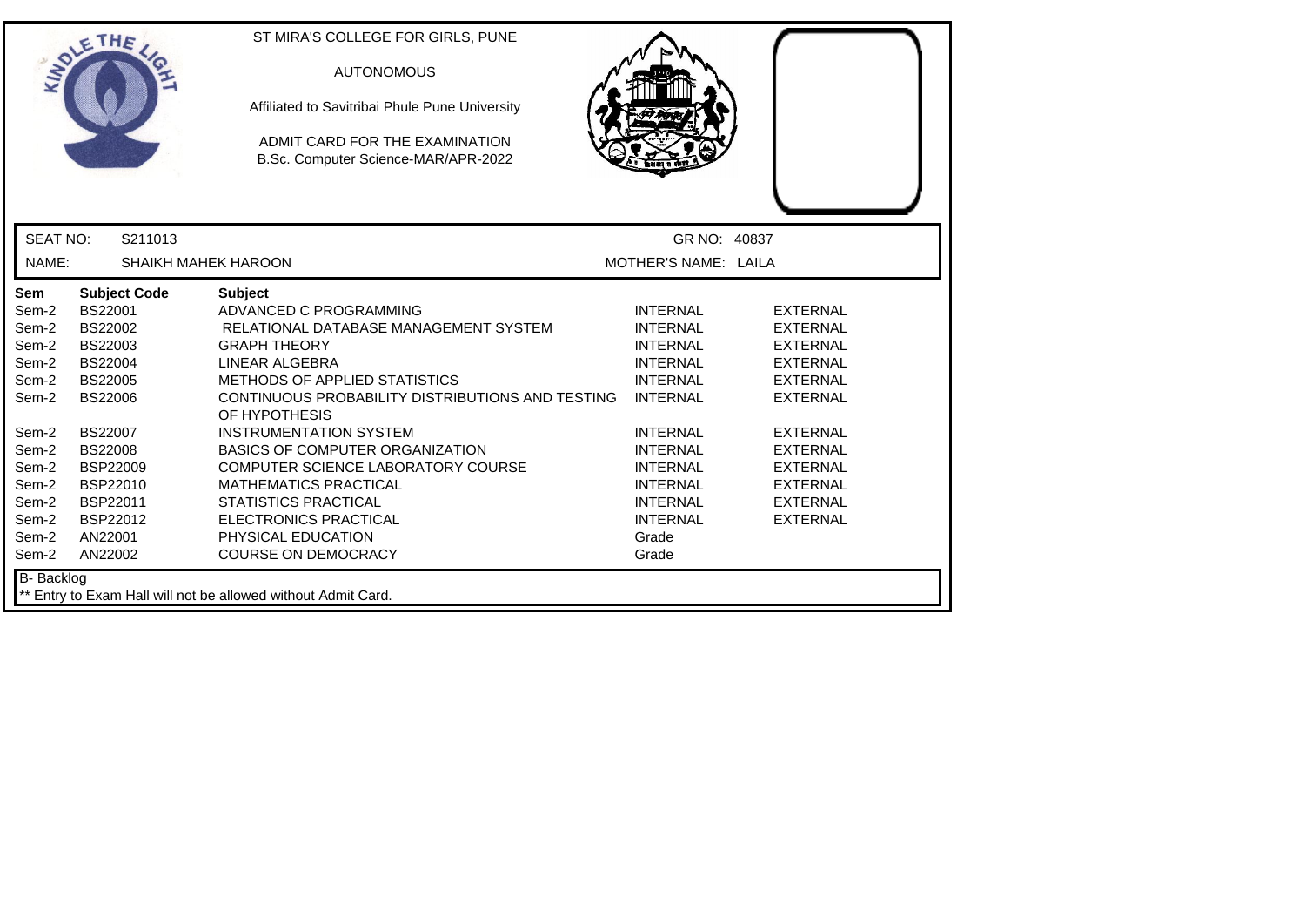|                                                                                                                                   | ETHE                                                                                                                                                                                                                               | ST MIRA'S COLLEGE FOR GIRLS, PUNE<br><b>AUTONOMOUS</b><br>Affiliated to Savitribai Phule Pune University<br>ADMIT CARD FOR THE EXAMINATION<br>B.Sc. Computer Science-MAR/APR-2022                                                                                                                                                                                                                                                                                                                    |                                                                                                                                                                                                                                                    |                                                                                                                                                                                                                                  |
|-----------------------------------------------------------------------------------------------------------------------------------|------------------------------------------------------------------------------------------------------------------------------------------------------------------------------------------------------------------------------------|------------------------------------------------------------------------------------------------------------------------------------------------------------------------------------------------------------------------------------------------------------------------------------------------------------------------------------------------------------------------------------------------------------------------------------------------------------------------------------------------------|----------------------------------------------------------------------------------------------------------------------------------------------------------------------------------------------------------------------------------------------------|----------------------------------------------------------------------------------------------------------------------------------------------------------------------------------------------------------------------------------|
| <b>SEAT NO:</b>                                                                                                                   | S211013                                                                                                                                                                                                                            |                                                                                                                                                                                                                                                                                                                                                                                                                                                                                                      | GR NO: 40837                                                                                                                                                                                                                                       |                                                                                                                                                                                                                                  |
| NAME:                                                                                                                             | <b>SHAIKH MAHEK HAROON</b>                                                                                                                                                                                                         |                                                                                                                                                                                                                                                                                                                                                                                                                                                                                                      | MOTHER'S NAME: LAILA                                                                                                                                                                                                                               |                                                                                                                                                                                                                                  |
| Sem<br>Sem-2<br>Sem-2<br>Sem-2<br>Sem-2<br>Sem-2<br>Sem-2<br>Sem-2<br>Sem-2<br>Sem-2<br>Sem-2<br>Sem-2<br>Sem-2<br>Sem-2<br>Sem-2 | <b>Subject Code</b><br><b>BS22001</b><br>BS22002<br>BS22003<br><b>BS22004</b><br><b>BS22005</b><br><b>BS22006</b><br><b>BS22007</b><br><b>BS22008</b><br><b>BSP22009</b><br>BSP22010<br>BSP22011<br>BSP22012<br>AN22001<br>AN22002 | <b>Subject</b><br>ADVANCED C PROGRAMMING<br>RELATIONAL DATABASE MANAGEMENT SYSTEM<br><b>GRAPH THEORY</b><br>LINEAR ALGEBRA<br>METHODS OF APPLIED STATISTICS<br>CONTINUOUS PROBABILITY DISTRIBUTIONS AND TESTING<br>OF HYPOTHESIS<br><b>INSTRUMENTATION SYSTEM</b><br><b>BASICS OF COMPUTER ORGANIZATION</b><br>COMPUTER SCIENCE LABORATORY COURSE<br><b>MATHEMATICS PRACTICAL</b><br><b>STATISTICS PRACTICAL</b><br><b>ELECTRONICS PRACTICAL</b><br>PHYSICAL EDUCATION<br><b>COURSE ON DEMOCRACY</b> | <b>INTERNAL</b><br><b>INTERNAL</b><br><b>INTERNAL</b><br><b>INTERNAL</b><br><b>INTERNAL</b><br><b>INTERNAL</b><br><b>INTERNAL</b><br><b>INTERNAL</b><br><b>INTERNAL</b><br><b>INTERNAL</b><br><b>INTERNAL</b><br><b>INTERNAL</b><br>Grade<br>Grade | <b>EXTERNAL</b><br><b>EXTERNAL</b><br><b>EXTERNAL</b><br><b>EXTERNAL</b><br><b>EXTERNAL</b><br><b>EXTERNAL</b><br><b>EXTERNAL</b><br><b>EXTERNAL</b><br><b>EXTERNAL</b><br><b>EXTERNAL</b><br><b>EXTERNAL</b><br><b>EXTERNAL</b> |
| B- Backlog                                                                                                                        |                                                                                                                                                                                                                                    | ** Entry to Exam Hall will not be allowed without Admit Card.                                                                                                                                                                                                                                                                                                                                                                                                                                        |                                                                                                                                                                                                                                                    |                                                                                                                                                                                                                                  |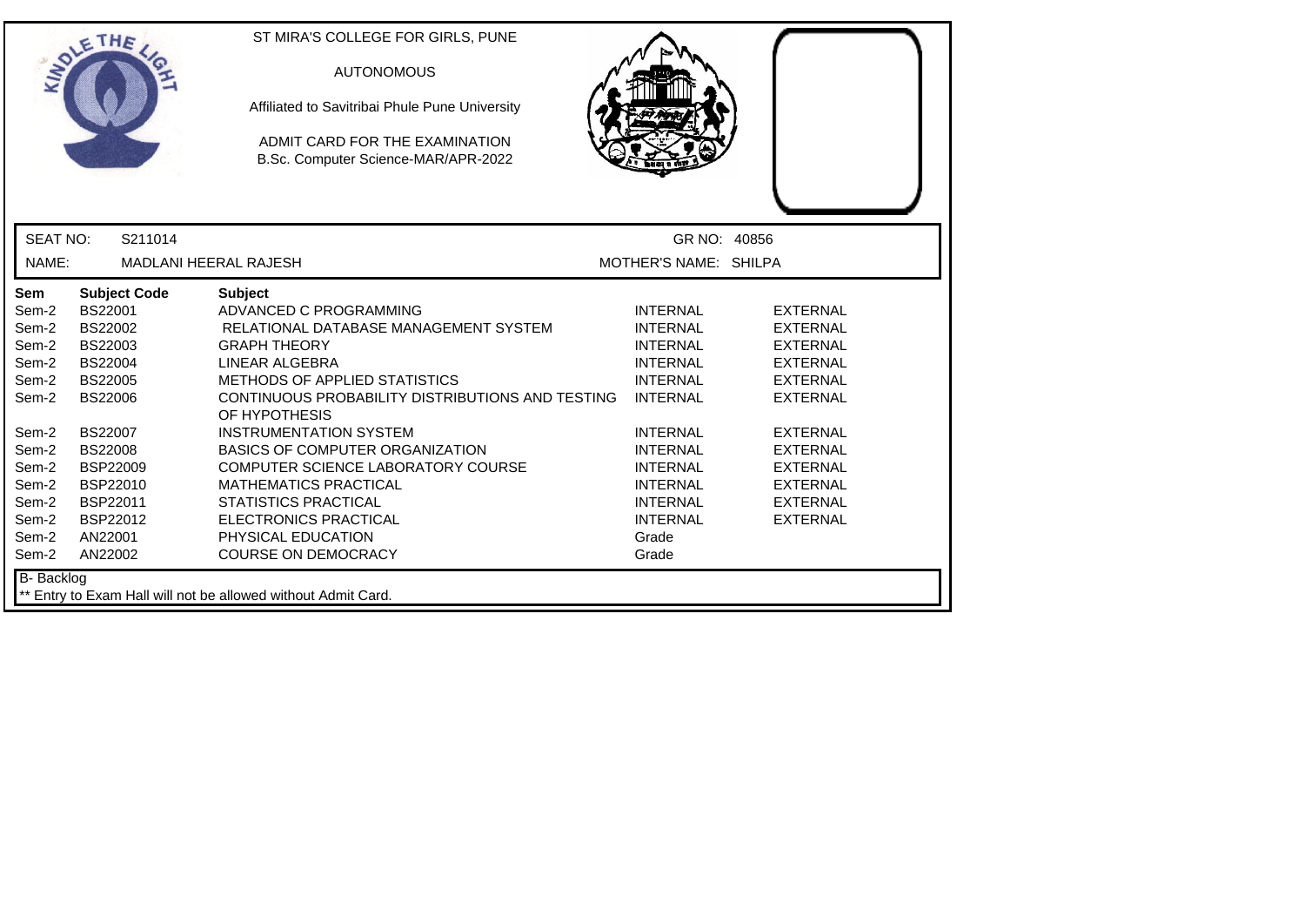|                          | ETHE                | ST MIRA'S COLLEGE FOR GIRLS, PUNE<br><b>AUTONOMOUS</b><br>Affiliated to Savitribai Phule Pune University<br>ADMIT CARD FOR THE EXAMINATION<br>B.Sc. Computer Science-MAR/APR-2022 |                                       |                 |  |
|--------------------------|---------------------|-----------------------------------------------------------------------------------------------------------------------------------------------------------------------------------|---------------------------------------|-----------------|--|
| <b>SEAT NO:</b><br>NAME: | S211014             | <b>MADLANI HEERAL RAJESH</b>                                                                                                                                                      | GR NO: 40856<br>MOTHER'S NAME: SHILPA |                 |  |
| Sem                      | <b>Subject Code</b> | <b>Subject</b>                                                                                                                                                                    |                                       |                 |  |
| Sem-2                    | BS22001             | ADVANCED C PROGRAMMING                                                                                                                                                            | <b>INTERNAL</b>                       | <b>EXTERNAL</b> |  |
| Sem-2                    | BS22002             | RELATIONAL DATABASE MANAGEMENT SYSTEM                                                                                                                                             | <b>INTERNAL</b>                       | <b>EXTERNAL</b> |  |
| Sem-2                    | BS22003             | <b>GRAPH THEORY</b>                                                                                                                                                               | <b>INTERNAL</b>                       | <b>EXTERNAL</b> |  |
| Sem-2                    | <b>BS22004</b>      | LINEAR ALGEBRA                                                                                                                                                                    | <b>INTERNAL</b>                       | <b>EXTERNAL</b> |  |
| Sem-2                    | <b>BS22005</b>      | <b>METHODS OF APPLIED STATISTICS</b>                                                                                                                                              | <b>INTERNAL</b>                       | <b>EXTERNAL</b> |  |
| Sem-2                    | <b>BS22006</b>      | CONTINUOUS PROBABILITY DISTRIBUTIONS AND TESTING<br>OF HYPOTHESIS                                                                                                                 | <b>INTERNAL</b>                       | <b>EXTERNAL</b> |  |
| Sem-2                    | <b>BS22007</b>      | <b>INSTRUMENTATION SYSTEM</b>                                                                                                                                                     | <b>INTERNAL</b>                       | <b>EXTERNAL</b> |  |
| Sem-2                    | <b>BS22008</b>      | <b>BASICS OF COMPUTER ORGANIZATION</b>                                                                                                                                            | <b>INTERNAL</b>                       | <b>EXTERNAL</b> |  |
| Sem-2                    | BSP22009            | COMPUTER SCIENCE LABORATORY COURSE                                                                                                                                                | <b>INTERNAL</b>                       | <b>EXTERNAL</b> |  |
| Sem-2                    | BSP22010            | <b>MATHEMATICS PRACTICAL</b>                                                                                                                                                      | <b>INTERNAL</b>                       | <b>EXTERNAL</b> |  |
| Sem-2                    | BSP22011            | <b>STATISTICS PRACTICAL</b>                                                                                                                                                       | <b>INTERNAL</b>                       | <b>EXTERNAL</b> |  |
| Sem-2                    | BSP22012            | <b>ELECTRONICS PRACTICAL</b>                                                                                                                                                      | <b>INTERNAL</b>                       | <b>EXTERNAL</b> |  |
| Sem-2                    | AN22001             | PHYSICAL EDUCATION                                                                                                                                                                | Grade                                 |                 |  |
| Sem-2                    | AN22002             | <b>COURSE ON DEMOCRACY</b>                                                                                                                                                        | Grade                                 |                 |  |
| <b>B-</b> Backlog        |                     | ** Entry to Exam Hall will not be allowed without Admit Card.                                                                                                                     |                                       |                 |  |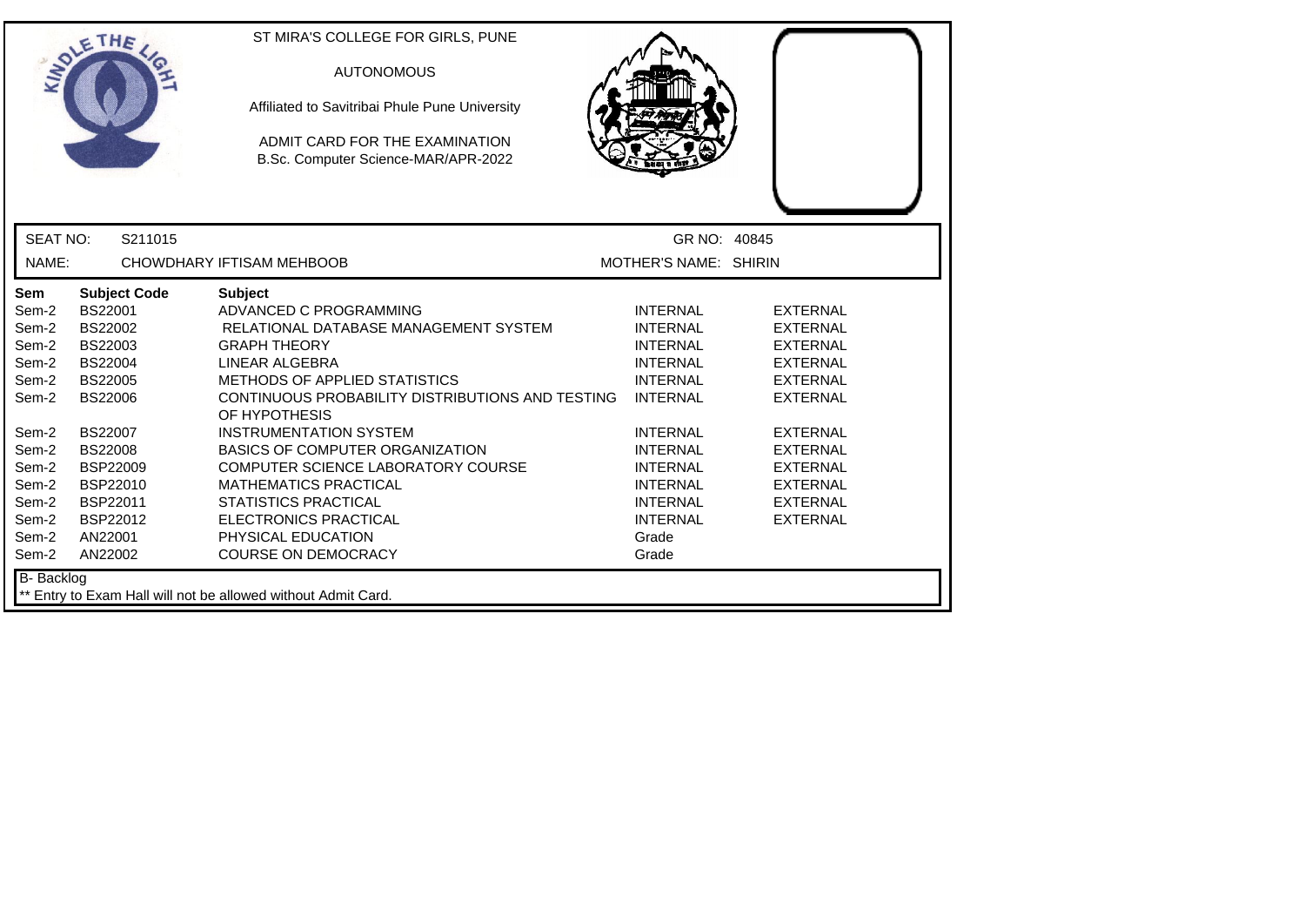|                                                                      | ETHE                                                                                                          | ST MIRA'S COLLEGE FOR GIRLS, PUNE<br><b>AUTONOMOUS</b><br>Affiliated to Savitribai Phule Pune University<br>ADMIT CARD FOR THE EXAMINATION<br>B.Sc. Computer Science-MAR/APR-2022                                                                                |                                                                                                                                  |                                                                                                                |  |
|----------------------------------------------------------------------|---------------------------------------------------------------------------------------------------------------|------------------------------------------------------------------------------------------------------------------------------------------------------------------------------------------------------------------------------------------------------------------|----------------------------------------------------------------------------------------------------------------------------------|----------------------------------------------------------------------------------------------------------------|--|
| <b>SEAT NO:</b>                                                      | S211015                                                                                                       |                                                                                                                                                                                                                                                                  | GR NO: 40845                                                                                                                     |                                                                                                                |  |
| NAME:                                                                |                                                                                                               | CHOWDHARY IFTISAM MEHBOOB                                                                                                                                                                                                                                        | MOTHER'S NAME: SHIRIN                                                                                                            |                                                                                                                |  |
| Sem<br>Sem-2<br>Sem-2<br>Sem-2<br>Sem-2<br>Sem-2<br>Sem-2            | <b>Subject Code</b><br>BS22001<br>BS22002<br>BS22003<br><b>BS22004</b><br><b>BS22005</b><br><b>BS22006</b>    | <b>Subject</b><br>ADVANCED C PROGRAMMING<br>RELATIONAL DATABASE MANAGEMENT SYSTEM<br><b>GRAPH THEORY</b><br>LINEAR ALGEBRA<br>METHODS OF APPLIED STATISTICS<br>CONTINUOUS PROBABILITY DISTRIBUTIONS AND TESTING<br>OF HYPOTHESIS                                 | <b>INTERNAL</b><br><b>INTERNAL</b><br><b>INTERNAL</b><br><b>INTERNAL</b><br><b>INTERNAL</b><br><b>INTERNAL</b>                   | <b>EXTERNAL</b><br><b>EXTERNAL</b><br><b>EXTERNAL</b><br><b>EXTERNAL</b><br><b>EXTERNAL</b><br><b>EXTERNAL</b> |  |
| Sem-2<br>Sem-2<br>Sem-2<br>Sem-2<br>Sem-2<br>Sem-2<br>Sem-2<br>Sem-2 | <b>BS22007</b><br><b>BS22008</b><br><b>BSP22009</b><br>BSP22010<br>BSP22011<br>BSP22012<br>AN22001<br>AN22002 | <b>INSTRUMENTATION SYSTEM</b><br><b>BASICS OF COMPUTER ORGANIZATION</b><br>COMPUTER SCIENCE LABORATORY COURSE<br><b>MATHEMATICS PRACTICAL</b><br><b>STATISTICS PRACTICAL</b><br><b>ELECTRONICS PRACTICAL</b><br>PHYSICAL EDUCATION<br><b>COURSE ON DEMOCRACY</b> | <b>INTERNAL</b><br><b>INTERNAL</b><br><b>INTERNAL</b><br><b>INTERNAL</b><br><b>INTERNAL</b><br><b>INTERNAL</b><br>Grade<br>Grade | <b>EXTERNAL</b><br><b>EXTERNAL</b><br><b>EXTERNAL</b><br><b>EXTERNAL</b><br><b>EXTERNAL</b><br><b>EXTERNAL</b> |  |
| B- Backlog                                                           |                                                                                                               | ** Entry to Exam Hall will not be allowed without Admit Card.                                                                                                                                                                                                    |                                                                                                                                  |                                                                                                                |  |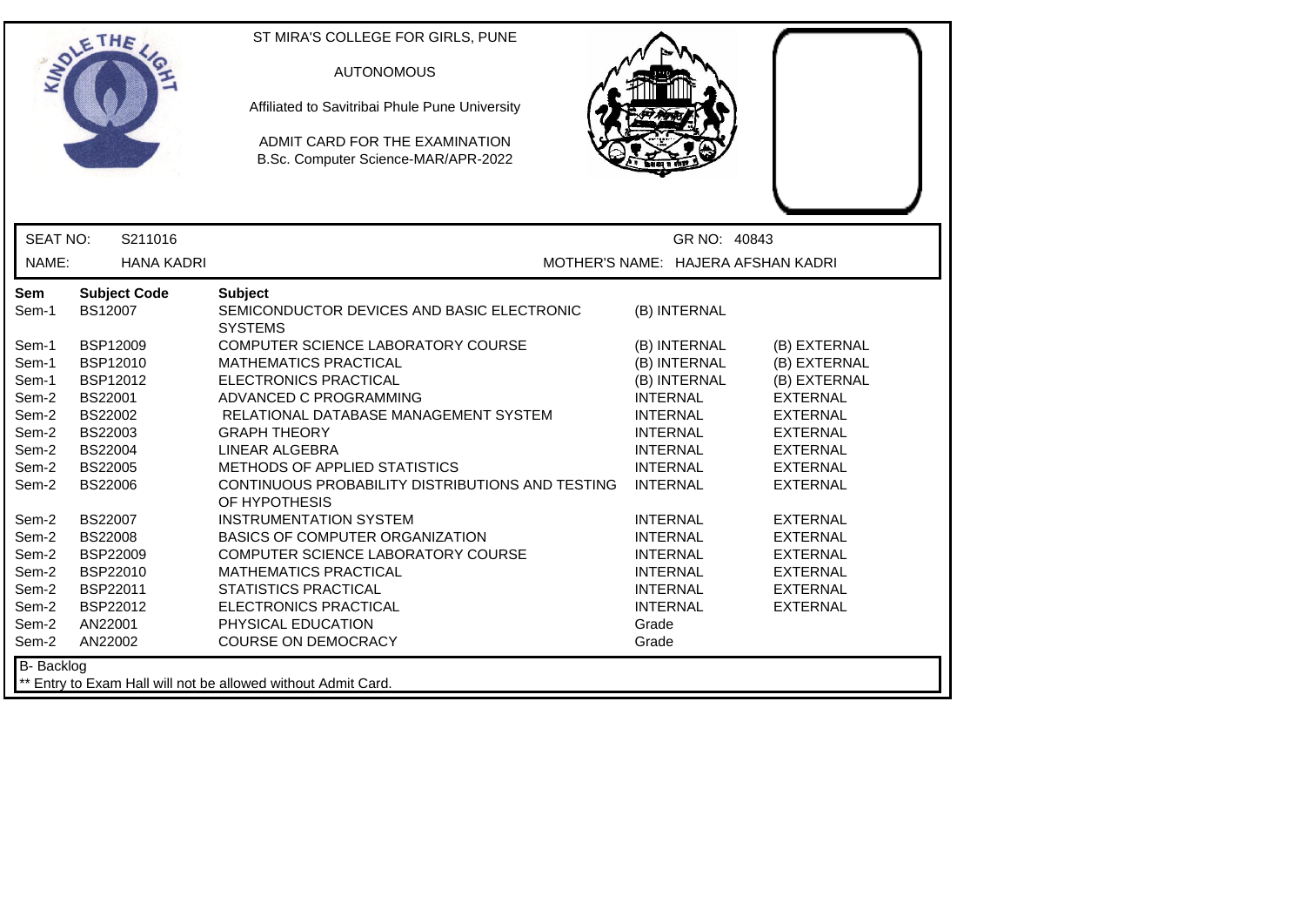| <b>SEAT NO:</b><br>S211016<br>GR NO: 40843<br>MOTHER'S NAME: HAJERA AFSHAN KADRI<br>NAME:<br><b>HANA KADRI</b><br><b>Subject Code</b><br><b>Subject</b><br>SEMICONDUCTOR DEVICES AND BASIC ELECTRONIC<br>Sem-1<br><b>BS12007</b><br>(B) INTERNAL<br><b>SYSTEMS</b><br>BSP12009<br>COMPUTER SCIENCE LABORATORY COURSE<br>(B) EXTERNAL<br>(B) INTERNAL<br><b>BSP12010</b><br><b>MATHEMATICS PRACTICAL</b><br>(B) INTERNAL<br>(B) EXTERNAL<br>BSP12012<br>ELECTRONICS PRACTICAL<br>(B) INTERNAL<br>(B) EXTERNAL<br>Sem-1<br><b>BS22001</b><br>ADVANCED C PROGRAMMING<br><b>INTERNAL</b><br><b>EXTERNAL</b><br>BS22002<br>RELATIONAL DATABASE MANAGEMENT SYSTEM<br><b>EXTERNAL</b><br><b>INTERNAL</b><br>BS22003<br><b>GRAPH THEORY</b><br><b>INTERNAL</b><br><b>EXTERNAL</b><br>Sem-2<br>BS22004<br>LINEAR ALGEBRA<br><b>INTERNAL</b><br><b>EXTERNAL</b><br>METHODS OF APPLIED STATISTICS<br><b>BS22005</b><br><b>INTERNAL</b><br><b>EXTERNAL</b><br><b>BS22006</b><br>CONTINUOUS PROBABILITY DISTRIBUTIONS AND TESTING<br><b>INTERNAL</b><br><b>EXTERNAL</b><br>OF HYPOTHESIS<br><b>BS22007</b><br><b>INSTRUMENTATION SYSTEM</b><br><b>INTERNAL</b><br><b>EXTERNAL</b><br><b>BS22008</b><br>BASICS OF COMPUTER ORGANIZATION<br><b>INTERNAL</b><br><b>EXTERNAL</b><br><b>BSP22009</b><br>COMPUTER SCIENCE LABORATORY COURSE<br><b>INTERNAL</b><br><b>EXTERNAL</b><br>BSP22010<br><b>MATHEMATICS PRACTICAL</b><br><b>INTERNAL</b><br><b>EXTERNAL</b><br>BSP22011<br><b>STATISTICS PRACTICAL</b><br><b>INTERNAL</b><br><b>EXTERNAL</b><br>Sem-2<br>BSP22012<br>ELECTRONICS PRACTICAL<br><b>INTERNAL</b><br><b>EXTERNAL</b><br>Sem-2<br>AN22001<br>PHYSICAL EDUCATION<br>Grade<br>Sem-2<br>AN22002<br><b>COURSE ON DEMOCRACY</b><br>Grade |                                                                                                          | ETHE | ST MIRA'S COLLEGE FOR GIRLS, PUNE<br><b>AUTONOMOUS</b><br>Affiliated to Savitribai Phule Pune University<br>ADMIT CARD FOR THE EXAMINATION<br>B.Sc. Computer Science-MAR/APR-2022 |  |
|-------------------------------------------------------------------------------------------------------------------------------------------------------------------------------------------------------------------------------------------------------------------------------------------------------------------------------------------------------------------------------------------------------------------------------------------------------------------------------------------------------------------------------------------------------------------------------------------------------------------------------------------------------------------------------------------------------------------------------------------------------------------------------------------------------------------------------------------------------------------------------------------------------------------------------------------------------------------------------------------------------------------------------------------------------------------------------------------------------------------------------------------------------------------------------------------------------------------------------------------------------------------------------------------------------------------------------------------------------------------------------------------------------------------------------------------------------------------------------------------------------------------------------------------------------------------------------------------------------------------------------------------------------------------------------------------------------------------------------------|----------------------------------------------------------------------------------------------------------|------|-----------------------------------------------------------------------------------------------------------------------------------------------------------------------------------|--|
|                                                                                                                                                                                                                                                                                                                                                                                                                                                                                                                                                                                                                                                                                                                                                                                                                                                                                                                                                                                                                                                                                                                                                                                                                                                                                                                                                                                                                                                                                                                                                                                                                                                                                                                                     |                                                                                                          |      |                                                                                                                                                                                   |  |
|                                                                                                                                                                                                                                                                                                                                                                                                                                                                                                                                                                                                                                                                                                                                                                                                                                                                                                                                                                                                                                                                                                                                                                                                                                                                                                                                                                                                                                                                                                                                                                                                                                                                                                                                     |                                                                                                          |      |                                                                                                                                                                                   |  |
|                                                                                                                                                                                                                                                                                                                                                                                                                                                                                                                                                                                                                                                                                                                                                                                                                                                                                                                                                                                                                                                                                                                                                                                                                                                                                                                                                                                                                                                                                                                                                                                                                                                                                                                                     | Sem                                                                                                      |      |                                                                                                                                                                                   |  |
|                                                                                                                                                                                                                                                                                                                                                                                                                                                                                                                                                                                                                                                                                                                                                                                                                                                                                                                                                                                                                                                                                                                                                                                                                                                                                                                                                                                                                                                                                                                                                                                                                                                                                                                                     | Sem-1<br>Sem-1<br>Sem-2<br>Sem-2<br>Sem-2<br>Sem-2<br>Sem-2<br>Sem-2<br>Sem-2<br>Sem-2<br>Sem-2<br>Sem-2 |      |                                                                                                                                                                                   |  |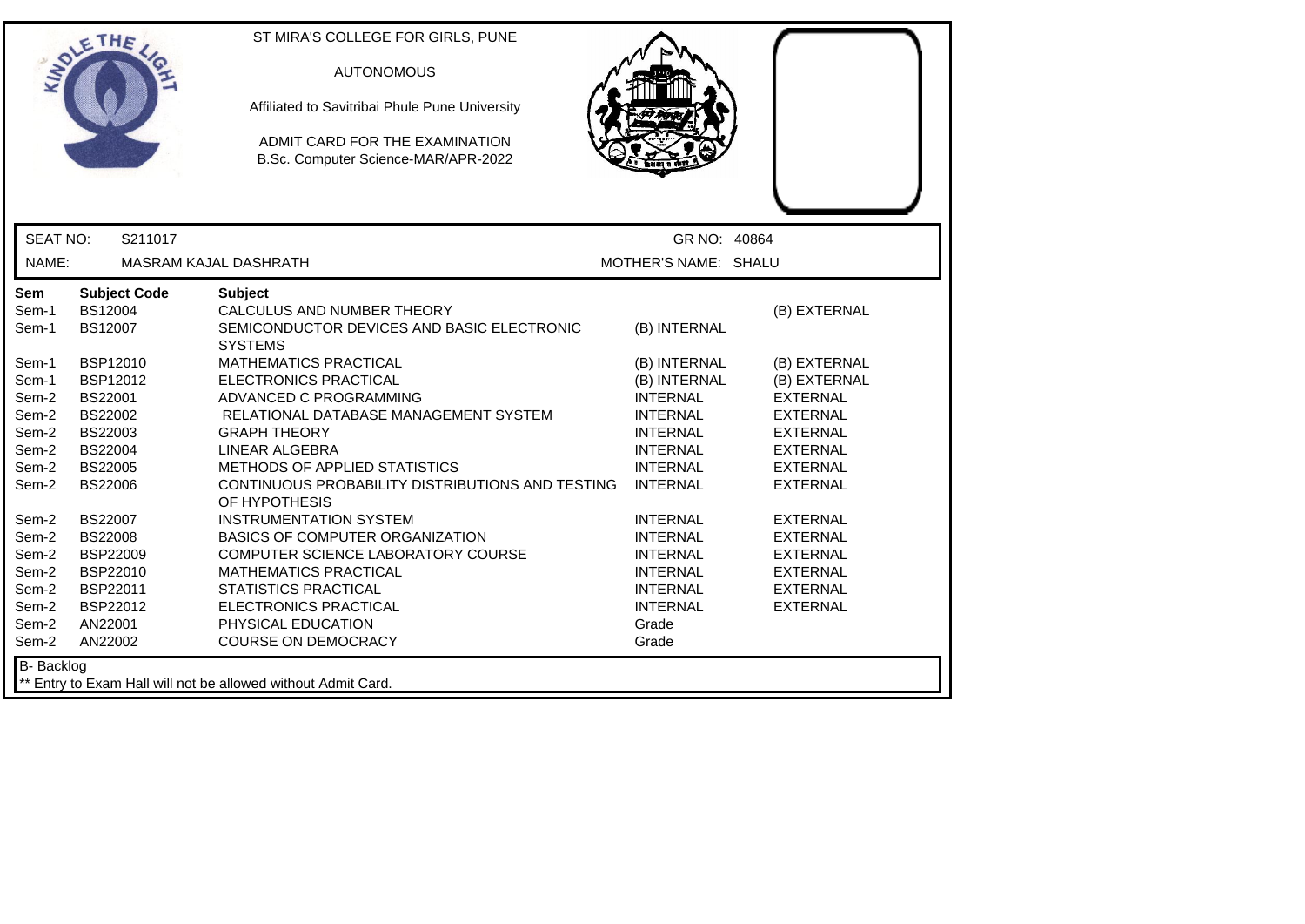|                       | ETHE                                             | ST MIRA'S COLLEGE FOR GIRLS, PUNE<br><b>AUTONOMOUS</b><br>Affiliated to Savitribai Phule Pune University<br>ADMIT CARD FOR THE EXAMINATION<br>B.Sc. Computer Science-MAR/APR-2022 |                                    |                                    |
|-----------------------|--------------------------------------------------|-----------------------------------------------------------------------------------------------------------------------------------------------------------------------------------|------------------------------------|------------------------------------|
| <b>SEAT NO:</b>       | S211017                                          |                                                                                                                                                                                   | GR NO: 40864                       |                                    |
| NAME:                 |                                                  | MASRAM KAJAL DASHRATH                                                                                                                                                             | MOTHER'S NAME: SHALU               |                                    |
| Sem<br>Sem-1<br>Sem-1 | <b>Subject Code</b><br>BS12004<br><b>BS12007</b> | <b>Subject</b><br>CALCULUS AND NUMBER THEORY<br>SEMICONDUCTOR DEVICES AND BASIC ELECTRONIC<br><b>SYSTEMS</b>                                                                      | (B) INTERNAL                       | (B) EXTERNAL                       |
| Sem-1                 | BSP12010                                         | <b>MATHEMATICS PRACTICAL</b>                                                                                                                                                      | (B) INTERNAL                       | (B) EXTERNAL                       |
| Sem-1                 | BSP12012                                         | <b>ELECTRONICS PRACTICAL</b>                                                                                                                                                      | (B) INTERNAL                       | (B) EXTERNAL                       |
| Sem-2<br>Sem-2        | <b>BS22001</b><br><b>BS22002</b>                 | ADVANCED C PROGRAMMING<br>RELATIONAL DATABASE MANAGEMENT SYSTEM                                                                                                                   | <b>INTERNAL</b><br><b>INTERNAL</b> | <b>EXTERNAL</b><br><b>EXTERNAL</b> |
| Sem-2                 | BS22003                                          | <b>GRAPH THEORY</b>                                                                                                                                                               | <b>INTERNAL</b>                    | <b>EXTERNAL</b>                    |
| Sem-2                 | BS22004                                          | <b>LINEAR ALGEBRA</b>                                                                                                                                                             | <b>INTERNAL</b>                    | <b>EXTERNAL</b>                    |
| Sem-2                 | <b>BS22005</b>                                   | METHODS OF APPLIED STATISTICS                                                                                                                                                     | <b>INTERNAL</b>                    | <b>EXTERNAL</b>                    |
| Sem-2                 | <b>BS22006</b>                                   | CONTINUOUS PROBABILITY DISTRIBUTIONS AND TESTING<br>OF HYPOTHESIS                                                                                                                 | <b>INTERNAL</b>                    | <b>EXTERNAL</b>                    |
| Sem-2                 | BS22007                                          | <b>INSTRUMENTATION SYSTEM</b>                                                                                                                                                     | <b>INTERNAL</b>                    | <b>EXTERNAL</b>                    |
| Sem-2                 | <b>BS22008</b>                                   | <b>BASICS OF COMPUTER ORGANIZATION</b>                                                                                                                                            | <b>INTERNAL</b>                    | <b>EXTERNAL</b>                    |
| Sem-2                 | BSP22009                                         | COMPUTER SCIENCE LABORATORY COURSE                                                                                                                                                | <b>INTERNAL</b>                    | <b>EXTERNAL</b>                    |
| Sem-2                 | BSP22010                                         | <b>MATHEMATICS PRACTICAL</b>                                                                                                                                                      | <b>INTERNAL</b>                    | <b>EXTERNAL</b>                    |
| Sem-2                 | BSP22011                                         | <b>STATISTICS PRACTICAL</b>                                                                                                                                                       | <b>INTERNAL</b>                    | <b>EXTERNAL</b>                    |
| Sem-2                 | BSP22012                                         | <b>ELECTRONICS PRACTICAL</b>                                                                                                                                                      | <b>INTERNAL</b>                    | <b>EXTERNAL</b>                    |
| Sem-2                 | AN22001                                          | PHYSICAL EDUCATION                                                                                                                                                                | Grade                              |                                    |
| Sem-2                 | AN22002                                          | <b>COURSE ON DEMOCRACY</b>                                                                                                                                                        | Grade                              |                                    |
| <b>B-</b> Backlog     |                                                  | ** Entry to Exam Hall will not be allowed without Admit Card.                                                                                                                     |                                    |                                    |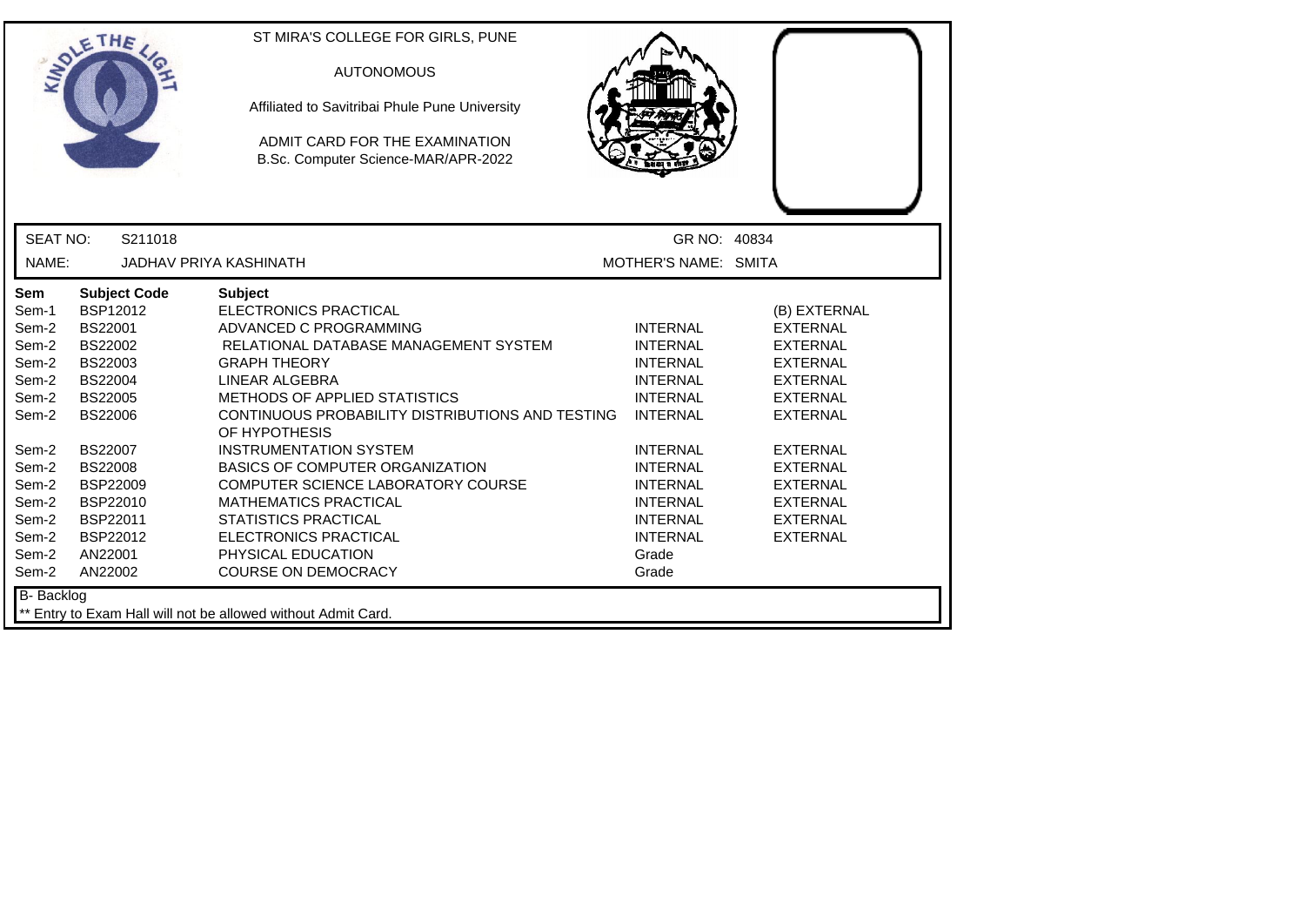| <b>SEAT NO:</b><br>S211018<br>GR NO: 40834<br>NAME:<br><b>JADHAV PRIYA KASHINATH</b><br>MOTHER'S NAME: SMITA<br><b>Subject Code</b><br><b>Subject</b><br>Sem<br>BSP12012<br>ELECTRONICS PRACTICAL<br>Sem-1<br>(B) EXTERNAL<br>Sem-2<br><b>BS22001</b><br>ADVANCED C PROGRAMMING<br><b>INTERNAL</b><br><b>EXTERNAL</b><br>BS22002<br>Sem-2<br>RELATIONAL DATABASE MANAGEMENT SYSTEM<br><b>INTERNAL</b><br><b>EXTERNAL</b><br>Sem-2<br>BS22003<br><b>INTERNAL</b><br><b>GRAPH THEORY</b><br><b>EXTERNAL</b><br>Sem-2<br><b>BS22004</b><br>LINEAR ALGEBRA<br><b>INTERNAL</b><br><b>EXTERNAL</b><br>METHODS OF APPLIED STATISTICS<br>Sem-2<br><b>BS22005</b><br><b>INTERNAL</b><br><b>EXTERNAL</b><br><b>BS22006</b><br>CONTINUOUS PROBABILITY DISTRIBUTIONS AND TESTING<br><b>INTERNAL</b><br>Sem-2<br><b>EXTERNAL</b><br>OF HYPOTHESIS<br><b>BS22007</b><br><b>INSTRUMENTATION SYSTEM</b><br>Sem-2<br><b>INTERNAL</b><br><b>EXTERNAL</b><br><b>INTERNAL</b><br>Sem-2<br><b>BS22008</b><br>BASICS OF COMPUTER ORGANIZATION<br><b>EXTERNAL</b><br>Sem-2<br>BSP22009<br>COMPUTER SCIENCE LABORATORY COURSE<br><b>INTERNAL</b><br><b>EXTERNAL</b><br>Sem-2<br>BSP22010<br><b>MATHEMATICS PRACTICAL</b><br><b>INTERNAL</b><br><b>EXTERNAL</b><br>BSP22011<br><b>STATISTICS PRACTICAL</b><br><b>INTERNAL</b><br>Sem-2<br><b>EXTERNAL</b><br>BSP22012<br>ELECTRONICS PRACTICAL<br><b>INTERNAL</b><br>Sem-2<br><b>EXTERNAL</b><br>Sem-2<br>PHYSICAL EDUCATION<br>AN22001<br>Grade<br>Sem-2<br><b>COURSE ON DEMOCRACY</b><br>AN22002<br>Grade | ETHE | ST MIRA'S COLLEGE FOR GIRLS, PUNE<br><b>AUTONOMOUS</b><br>Affiliated to Savitribai Phule Pune University<br>ADMIT CARD FOR THE EXAMINATION<br>B.Sc. Computer Science-MAR/APR-2022 |  |
|------------------------------------------------------------------------------------------------------------------------------------------------------------------------------------------------------------------------------------------------------------------------------------------------------------------------------------------------------------------------------------------------------------------------------------------------------------------------------------------------------------------------------------------------------------------------------------------------------------------------------------------------------------------------------------------------------------------------------------------------------------------------------------------------------------------------------------------------------------------------------------------------------------------------------------------------------------------------------------------------------------------------------------------------------------------------------------------------------------------------------------------------------------------------------------------------------------------------------------------------------------------------------------------------------------------------------------------------------------------------------------------------------------------------------------------------------------------------------------------------------------------------------------|------|-----------------------------------------------------------------------------------------------------------------------------------------------------------------------------------|--|
|                                                                                                                                                                                                                                                                                                                                                                                                                                                                                                                                                                                                                                                                                                                                                                                                                                                                                                                                                                                                                                                                                                                                                                                                                                                                                                                                                                                                                                                                                                                                    |      |                                                                                                                                                                                   |  |
|                                                                                                                                                                                                                                                                                                                                                                                                                                                                                                                                                                                                                                                                                                                                                                                                                                                                                                                                                                                                                                                                                                                                                                                                                                                                                                                                                                                                                                                                                                                                    |      |                                                                                                                                                                                   |  |
| <b>B-</b> Backlog                                                                                                                                                                                                                                                                                                                                                                                                                                                                                                                                                                                                                                                                                                                                                                                                                                                                                                                                                                                                                                                                                                                                                                                                                                                                                                                                                                                                                                                                                                                  |      |                                                                                                                                                                                   |  |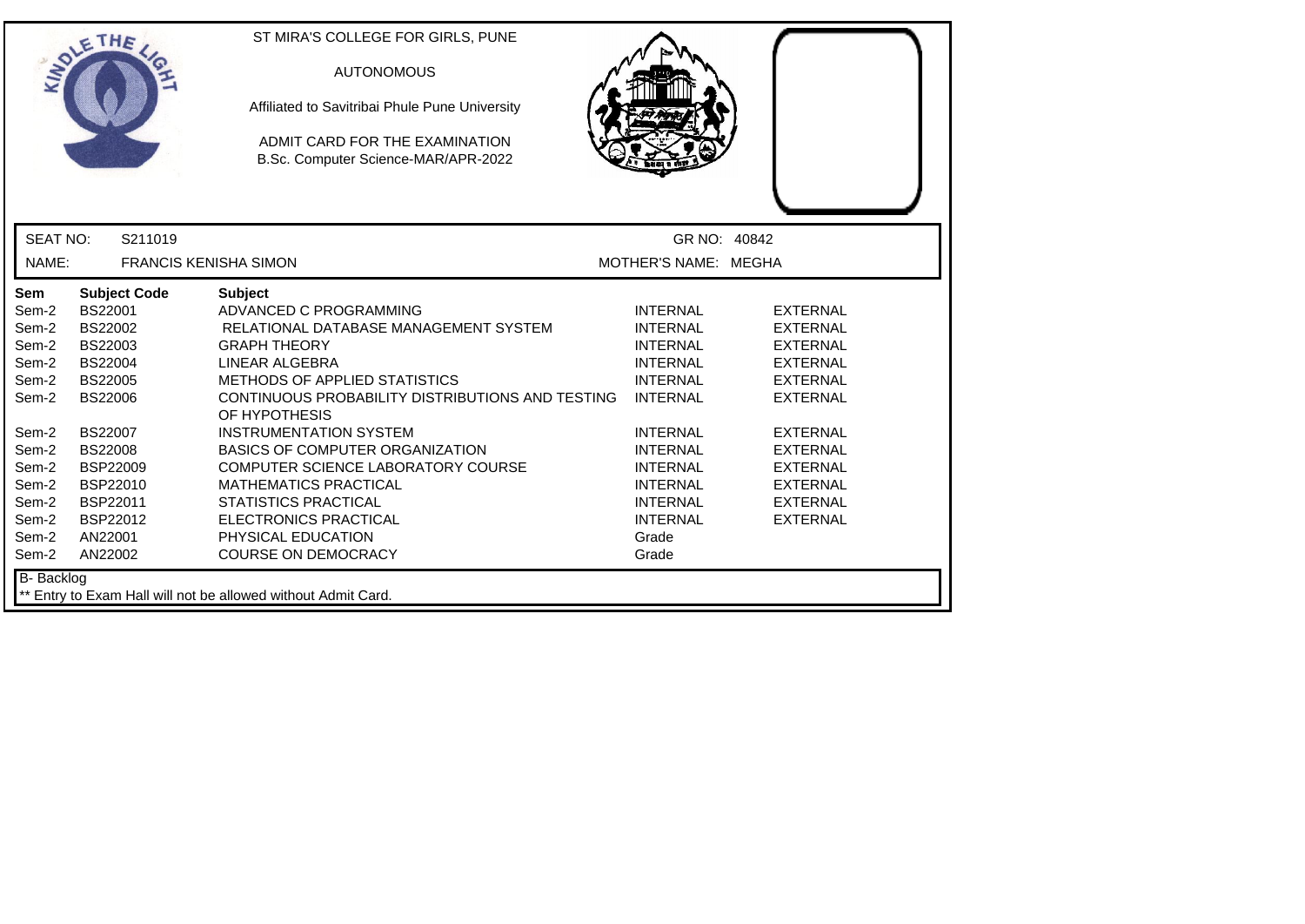|                                                                                                                                   | ETHE                                                                                                                                                                                                                        | ST MIRA'S COLLEGE FOR GIRLS, PUNE<br><b>AUTONOMOUS</b><br>Affiliated to Savitribai Phule Pune University<br>ADMIT CARD FOR THE EXAMINATION<br>B.Sc. Computer Science-MAR/APR-2022                                                                                                                                                                                                                                                                                                                    |                                                                                                                                                                                                                                                    |                                                                                                                                                                                                                    |  |
|-----------------------------------------------------------------------------------------------------------------------------------|-----------------------------------------------------------------------------------------------------------------------------------------------------------------------------------------------------------------------------|------------------------------------------------------------------------------------------------------------------------------------------------------------------------------------------------------------------------------------------------------------------------------------------------------------------------------------------------------------------------------------------------------------------------------------------------------------------------------------------------------|----------------------------------------------------------------------------------------------------------------------------------------------------------------------------------------------------------------------------------------------------|--------------------------------------------------------------------------------------------------------------------------------------------------------------------------------------------------------------------|--|
| <b>SEAT NO:</b>                                                                                                                   | S211019                                                                                                                                                                                                                     |                                                                                                                                                                                                                                                                                                                                                                                                                                                                                                      | GR NO: 40842                                                                                                                                                                                                                                       |                                                                                                                                                                                                                    |  |
| NAME:                                                                                                                             | <b>FRANCIS KENISHA SIMON</b>                                                                                                                                                                                                |                                                                                                                                                                                                                                                                                                                                                                                                                                                                                                      | MOTHER'S NAME: MEGHA                                                                                                                                                                                                                               |                                                                                                                                                                                                                    |  |
| Sem<br>Sem-2<br>Sem-2<br>Sem-2<br>Sem-2<br>Sem-2<br>Sem-2<br>Sem-2<br>Sem-2<br>Sem-2<br>Sem-2<br>Sem-2<br>Sem-2<br>Sem-2<br>Sem-2 | <b>Subject Code</b><br>BS22001<br>BS22002<br>BS22003<br><b>BS22004</b><br><b>BS22005</b><br><b>BS22006</b><br><b>BS22007</b><br><b>BS22008</b><br><b>BSP22009</b><br>BSP22010<br>BSP22011<br>BSP22012<br>AN22001<br>AN22002 | <b>Subject</b><br>ADVANCED C PROGRAMMING<br>RELATIONAL DATABASE MANAGEMENT SYSTEM<br><b>GRAPH THEORY</b><br>LINEAR ALGEBRA<br><b>METHODS OF APPLIED STATISTICS</b><br>CONTINUOUS PROBABILITY DISTRIBUTIONS AND TESTING<br>OF HYPOTHESIS<br><b>INSTRUMENTATION SYSTEM</b><br><b>BASICS OF COMPUTER ORGANIZATION</b><br>COMPUTER SCIENCE LABORATORY COURSE<br><b>MATHEMATICS PRACTICAL</b><br><b>STATISTICS PRACTICAL</b><br>ELECTRONICS PRACTICAL<br>PHYSICAL EDUCATION<br><b>COURSE ON DEMOCRACY</b> | <b>INTERNAL</b><br><b>INTERNAL</b><br><b>INTERNAL</b><br><b>INTERNAL</b><br><b>INTERNAL</b><br><b>INTERNAL</b><br><b>INTERNAL</b><br><b>INTERNAL</b><br><b>INTERNAL</b><br><b>INTERNAL</b><br><b>INTERNAL</b><br><b>INTERNAL</b><br>Grade<br>Grade | <b>EXTERNAL</b><br><b>EXTERNAL</b><br><b>EXTERNAL</b><br><b>EXTERNAL</b><br><b>EXTERNAL</b><br><b>EXTERNAL</b><br><b>EXTERNAL</b><br>EXTERNAL<br><b>EXTERNAL</b><br><b>EXTERNAL</b><br>EXTERNAL<br><b>EXTERNAL</b> |  |
| B- Backlog                                                                                                                        |                                                                                                                                                                                                                             | ** Entry to Exam Hall will not be allowed without Admit Card.                                                                                                                                                                                                                                                                                                                                                                                                                                        |                                                                                                                                                                                                                                                    |                                                                                                                                                                                                                    |  |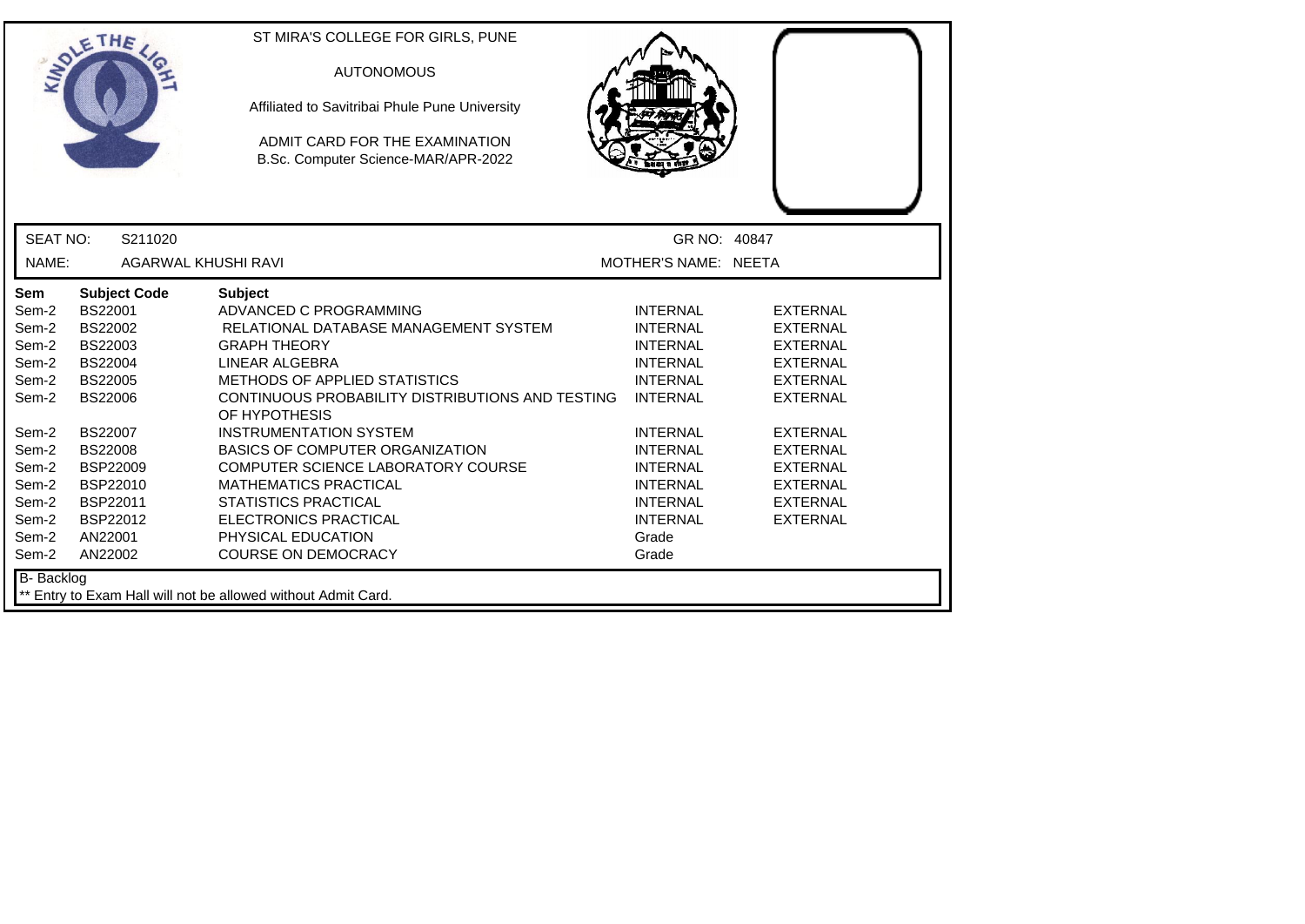|                                                                                                                                          | ETHE                                                                                                                                                                                                                               | ST MIRA'S COLLEGE FOR GIRLS, PUNE<br><b>AUTONOMOUS</b><br>Affiliated to Savitribai Phule Pune University<br>ADMIT CARD FOR THE EXAMINATION<br>B.Sc. Computer Science-MAR/APR-2022                                                                                                                                                                                                                                                                                                                    |                                                                                                                                                                                                                                                    |                                                                                                                                                                                                                                  |  |
|------------------------------------------------------------------------------------------------------------------------------------------|------------------------------------------------------------------------------------------------------------------------------------------------------------------------------------------------------------------------------------|------------------------------------------------------------------------------------------------------------------------------------------------------------------------------------------------------------------------------------------------------------------------------------------------------------------------------------------------------------------------------------------------------------------------------------------------------------------------------------------------------|----------------------------------------------------------------------------------------------------------------------------------------------------------------------------------------------------------------------------------------------------|----------------------------------------------------------------------------------------------------------------------------------------------------------------------------------------------------------------------------------|--|
| <b>SEAT NO:</b>                                                                                                                          | S211020                                                                                                                                                                                                                            |                                                                                                                                                                                                                                                                                                                                                                                                                                                                                                      | GR NO: 40847                                                                                                                                                                                                                                       |                                                                                                                                                                                                                                  |  |
| NAME:                                                                                                                                    | AGARWAL KHUSHI RAVI                                                                                                                                                                                                                |                                                                                                                                                                                                                                                                                                                                                                                                                                                                                                      | MOTHER'S NAME: NEETA                                                                                                                                                                                                                               |                                                                                                                                                                                                                                  |  |
| <b>Sem</b><br>Sem-2<br>Sem-2<br>Sem-2<br>Sem-2<br>Sem-2<br>Sem-2<br>Sem-2<br>Sem-2<br>Sem-2<br>Sem-2<br>Sem-2<br>Sem-2<br>Sem-2<br>Sem-2 | <b>Subject Code</b><br>BS22001<br><b>BS22002</b><br>BS22003<br><b>BS22004</b><br><b>BS22005</b><br><b>BS22006</b><br><b>BS22007</b><br><b>BS22008</b><br><b>BSP22009</b><br>BSP22010<br>BSP22011<br>BSP22012<br>AN22001<br>AN22002 | <b>Subject</b><br>ADVANCED C PROGRAMMING<br>RELATIONAL DATABASE MANAGEMENT SYSTEM<br><b>GRAPH THEORY</b><br>LINEAR ALGEBRA<br>METHODS OF APPLIED STATISTICS<br>CONTINUOUS PROBABILITY DISTRIBUTIONS AND TESTING<br>OF HYPOTHESIS<br><b>INSTRUMENTATION SYSTEM</b><br><b>BASICS OF COMPUTER ORGANIZATION</b><br>COMPUTER SCIENCE LABORATORY COURSE<br><b>MATHEMATICS PRACTICAL</b><br><b>STATISTICS PRACTICAL</b><br><b>ELECTRONICS PRACTICAL</b><br>PHYSICAL EDUCATION<br><b>COURSE ON DEMOCRACY</b> | <b>INTERNAL</b><br><b>INTERNAL</b><br><b>INTERNAL</b><br><b>INTERNAL</b><br><b>INTERNAL</b><br><b>INTERNAL</b><br><b>INTERNAL</b><br><b>INTERNAL</b><br><b>INTERNAL</b><br><b>INTERNAL</b><br><b>INTERNAL</b><br><b>INTERNAL</b><br>Grade<br>Grade | <b>EXTERNAL</b><br><b>EXTERNAL</b><br><b>EXTERNAL</b><br><b>EXTERNAL</b><br><b>EXTERNAL</b><br><b>EXTERNAL</b><br><b>EXTERNAL</b><br><b>EXTERNAL</b><br><b>EXTERNAL</b><br><b>EXTERNAL</b><br><b>EXTERNAL</b><br><b>EXTERNAL</b> |  |
| B- Backlog                                                                                                                               |                                                                                                                                                                                                                                    | ** Entry to Exam Hall will not be allowed without Admit Card.                                                                                                                                                                                                                                                                                                                                                                                                                                        |                                                                                                                                                                                                                                                    |                                                                                                                                                                                                                                  |  |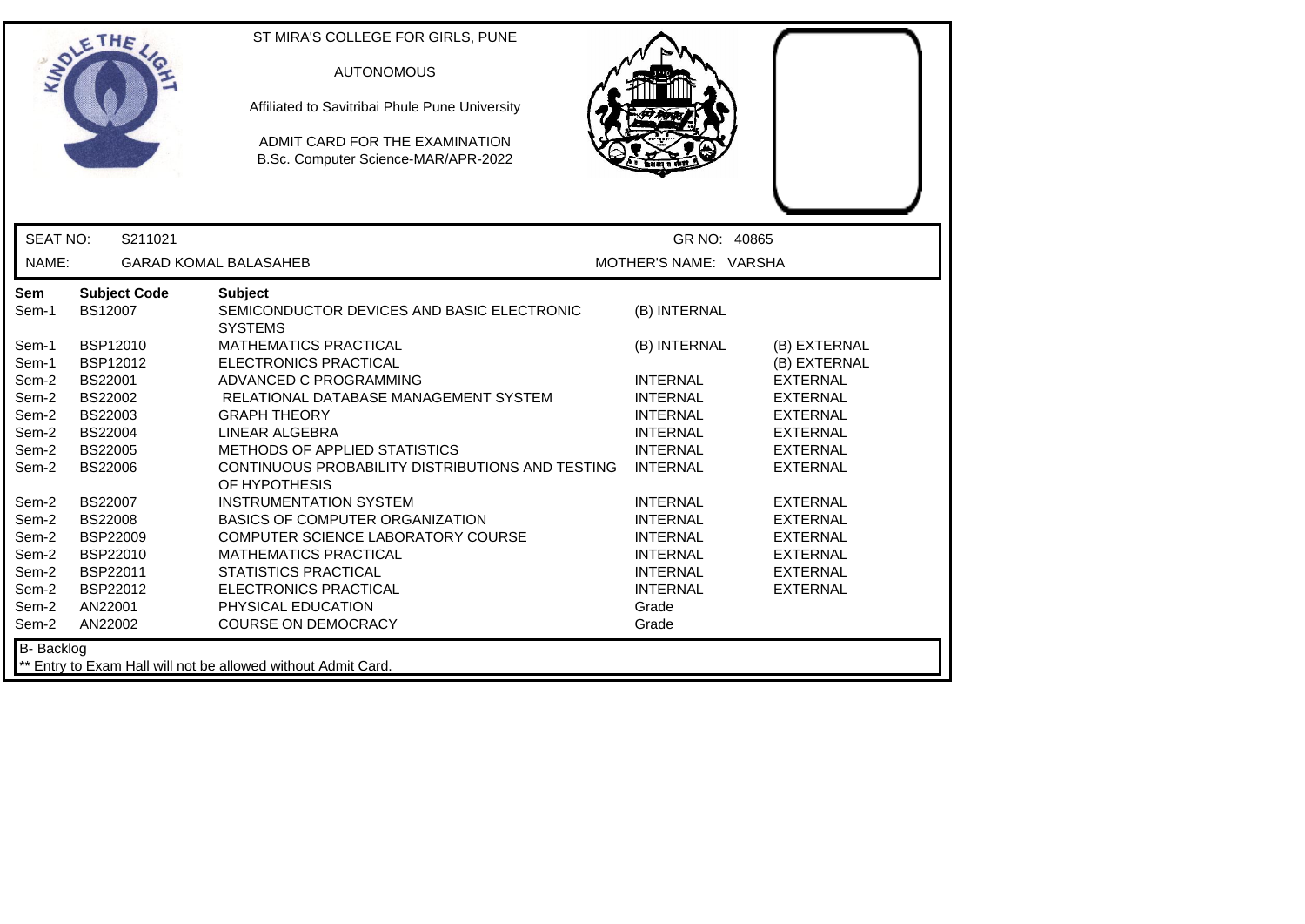|                   | ETHE                             | ST MIRA'S COLLEGE FOR GIRLS, PUNE<br><b>AUTONOMOUS</b><br>Affiliated to Savitribai Phule Pune University<br>ADMIT CARD FOR THE EXAMINATION<br>B.Sc. Computer Science-MAR/APR-2022 |                                    |                                    |
|-------------------|----------------------------------|-----------------------------------------------------------------------------------------------------------------------------------------------------------------------------------|------------------------------------|------------------------------------|
| <b>SEAT NO:</b>   | S211021                          |                                                                                                                                                                                   | GR NO: 40865                       |                                    |
| NAME:             |                                  | <b>GARAD KOMAL BALASAHEB</b>                                                                                                                                                      | MOTHER'S NAME: VARSHA              |                                    |
| Sem<br>Sem-1      | <b>Subject Code</b><br>BS12007   | <b>Subject</b><br>SEMICONDUCTOR DEVICES AND BASIC ELECTRONIC<br><b>SYSTEMS</b>                                                                                                    | (B) INTERNAL                       |                                    |
| Sem-1             | BSP12010                         | <b>MATHEMATICS PRACTICAL</b>                                                                                                                                                      | (B) INTERNAL                       | (B) EXTERNAL                       |
| Sem-1             | BSP12012                         | ELECTRONICS PRACTICAL                                                                                                                                                             |                                    | (B) EXTERNAL                       |
| Sem-2             | <b>BS22001</b>                   | ADVANCED C PROGRAMMING                                                                                                                                                            | <b>INTERNAL</b>                    | <b>EXTERNAL</b>                    |
| Sem-2             | BS22002                          | RELATIONAL DATABASE MANAGEMENT SYSTEM                                                                                                                                             | <b>INTERNAL</b>                    | <b>EXTERNAL</b>                    |
| Sem-2             | BS22003                          | <b>GRAPH THEORY</b>                                                                                                                                                               | <b>INTERNAL</b>                    | <b>EXTERNAL</b>                    |
| Sem-2             | BS22004                          | <b>LINEAR ALGEBRA</b>                                                                                                                                                             | <b>INTERNAL</b>                    | <b>EXTERNAL</b>                    |
| Sem-2<br>Sem-2    | <b>BS22005</b><br><b>BS22006</b> | METHODS OF APPLIED STATISTICS<br>CONTINUOUS PROBABILITY DISTRIBUTIONS AND TESTING<br>OF HYPOTHESIS                                                                                | <b>INTERNAL</b><br><b>INTERNAL</b> | <b>EXTERNAL</b><br><b>EXTERNAL</b> |
| Sem-2             | <b>BS22007</b>                   | <b>INSTRUMENTATION SYSTEM</b>                                                                                                                                                     | <b>INTERNAL</b>                    | <b>EXTERNAL</b>                    |
| Sem-2             | <b>BS22008</b>                   | <b>BASICS OF COMPUTER ORGANIZATION</b>                                                                                                                                            | <b>INTERNAL</b>                    | <b>EXTERNAL</b>                    |
| Sem-2             | <b>BSP22009</b>                  | COMPUTER SCIENCE LABORATORY COURSE                                                                                                                                                | <b>INTERNAL</b>                    | <b>EXTERNAL</b>                    |
| Sem-2             | BSP22010                         | <b>MATHEMATICS PRACTICAL</b>                                                                                                                                                      | <b>INTERNAL</b>                    | <b>EXTERNAL</b>                    |
| Sem-2             | BSP22011                         | <b>STATISTICS PRACTICAL</b>                                                                                                                                                       | <b>INTERNAL</b>                    | <b>EXTERNAL</b>                    |
| Sem-2             | BSP22012                         | <b>ELECTRONICS PRACTICAL</b>                                                                                                                                                      | <b>INTERNAL</b>                    | <b>EXTERNAL</b>                    |
| Sem-2             | AN22001                          | PHYSICAL EDUCATION                                                                                                                                                                | Grade                              |                                    |
| Sem-2             | AN22002                          | <b>COURSE ON DEMOCRACY</b>                                                                                                                                                        | Grade                              |                                    |
| <b>B-</b> Backlog |                                  | ** Entry to Exam Hall will not be allowed without Admit Card.                                                                                                                     |                                    |                                    |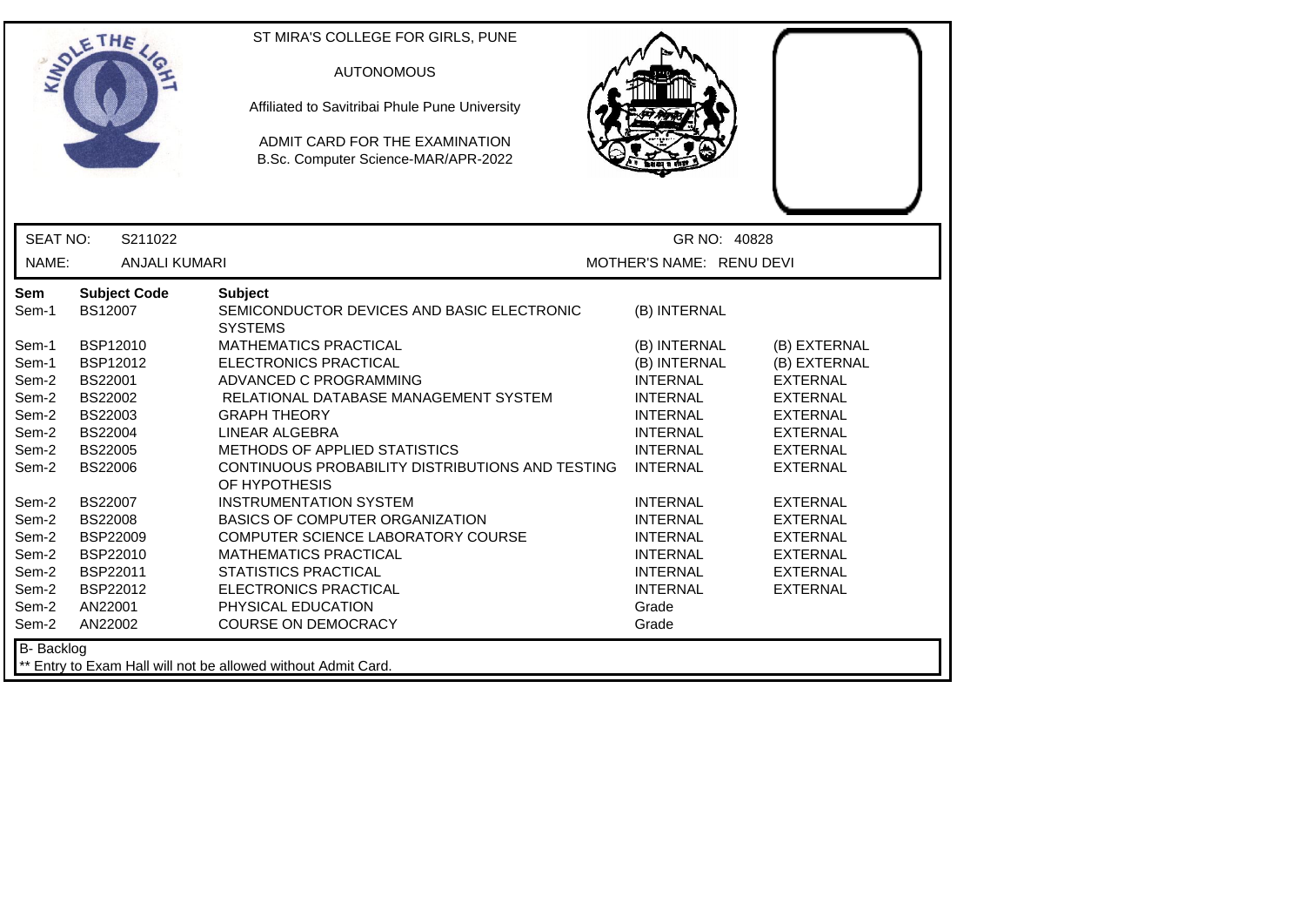|                                                                               | ETHE                                                                                                                                        | ST MIRA'S COLLEGE FOR GIRLS, PUNE<br><b>AUTONOMOUS</b><br>Affiliated to Savitribai Phule Pune University<br>ADMIT CARD FOR THE EXAMINATION<br>B.Sc. Computer Science-MAR/APR-2022                                                                                                                        |                                                                                                                                                                   |                                                                                                                                                                   |
|-------------------------------------------------------------------------------|---------------------------------------------------------------------------------------------------------------------------------------------|----------------------------------------------------------------------------------------------------------------------------------------------------------------------------------------------------------------------------------------------------------------------------------------------------------|-------------------------------------------------------------------------------------------------------------------------------------------------------------------|-------------------------------------------------------------------------------------------------------------------------------------------------------------------|
| <b>SEAT NO:</b>                                                               | S211022                                                                                                                                     |                                                                                                                                                                                                                                                                                                          | GR NO: 40828                                                                                                                                                      |                                                                                                                                                                   |
| NAME:                                                                         | <b>ANJALI KUMARI</b>                                                                                                                        |                                                                                                                                                                                                                                                                                                          | MOTHER'S NAME: RENU DEVI                                                                                                                                          |                                                                                                                                                                   |
| <b>Sem</b><br>Sem-1                                                           | <b>Subject Code</b><br>BS12007                                                                                                              | <b>Subject</b><br>SEMICONDUCTOR DEVICES AND BASIC ELECTRONIC<br><b>SYSTEMS</b>                                                                                                                                                                                                                           | (B) INTERNAL                                                                                                                                                      |                                                                                                                                                                   |
| Sem-1<br>Sem-1<br>Sem-2<br>Sem-2<br>Sem-2<br>Sem-2<br>Sem-2<br>Sem-2<br>Sem-2 | BSP12010<br><b>BSP12012</b><br>BS22001<br><b>BS22002</b><br>BS22003<br><b>BS22004</b><br><b>BS22005</b><br><b>BS22006</b><br><b>BS22007</b> | <b>MATHEMATICS PRACTICAL</b><br>ELECTRONICS PRACTICAL<br>ADVANCED C PROGRAMMING<br>RELATIONAL DATABASE MANAGEMENT SYSTEM<br><b>GRAPH THEORY</b><br>LINEAR ALGEBRA<br>METHODS OF APPLIED STATISTICS<br>CONTINUOUS PROBABILITY DISTRIBUTIONS AND TESTING<br>OF HYPOTHESIS<br><b>INSTRUMENTATION SYSTEM</b> | (B) INTERNAL<br>(B) INTERNAL<br><b>INTERNAL</b><br><b>INTERNAL</b><br><b>INTERNAL</b><br><b>INTERNAL</b><br><b>INTERNAL</b><br><b>INTERNAL</b><br><b>INTERNAL</b> | (B) EXTERNAL<br>(B) EXTERNAL<br><b>EXTERNAL</b><br><b>EXTERNAL</b><br><b>EXTERNAL</b><br><b>EXTERNAL</b><br><b>EXTERNAL</b><br><b>EXTERNAL</b><br><b>EXTERNAL</b> |
| Sem-2<br>Sem-2<br>Sem-2<br>Sem-2<br>Sem-2<br>Sem-2<br>Sem-2                   | <b>BS22008</b><br><b>BSP22009</b><br>BSP22010<br>BSP22011<br>BSP22012<br>AN22001<br>AN22002                                                 | <b>BASICS OF COMPUTER ORGANIZATION</b><br>COMPUTER SCIENCE LABORATORY COURSE<br><b>MATHEMATICS PRACTICAL</b><br><b>STATISTICS PRACTICAL</b><br><b>ELECTRONICS PRACTICAL</b><br>PHYSICAL EDUCATION<br><b>COURSE ON DEMOCRACY</b>                                                                          | <b>INTERNAL</b><br><b>INTERNAL</b><br><b>INTERNAL</b><br><b>INTERNAL</b><br><b>INTERNAL</b><br>Grade<br>Grade                                                     | <b>EXTERNAL</b><br><b>EXTERNAL</b><br><b>EXTERNAL</b><br><b>EXTERNAL</b><br><b>EXTERNAL</b>                                                                       |
| B- Backlog                                                                    |                                                                                                                                             | ** Entry to Exam Hall will not be allowed without Admit Card.                                                                                                                                                                                                                                            |                                                                                                                                                                   |                                                                                                                                                                   |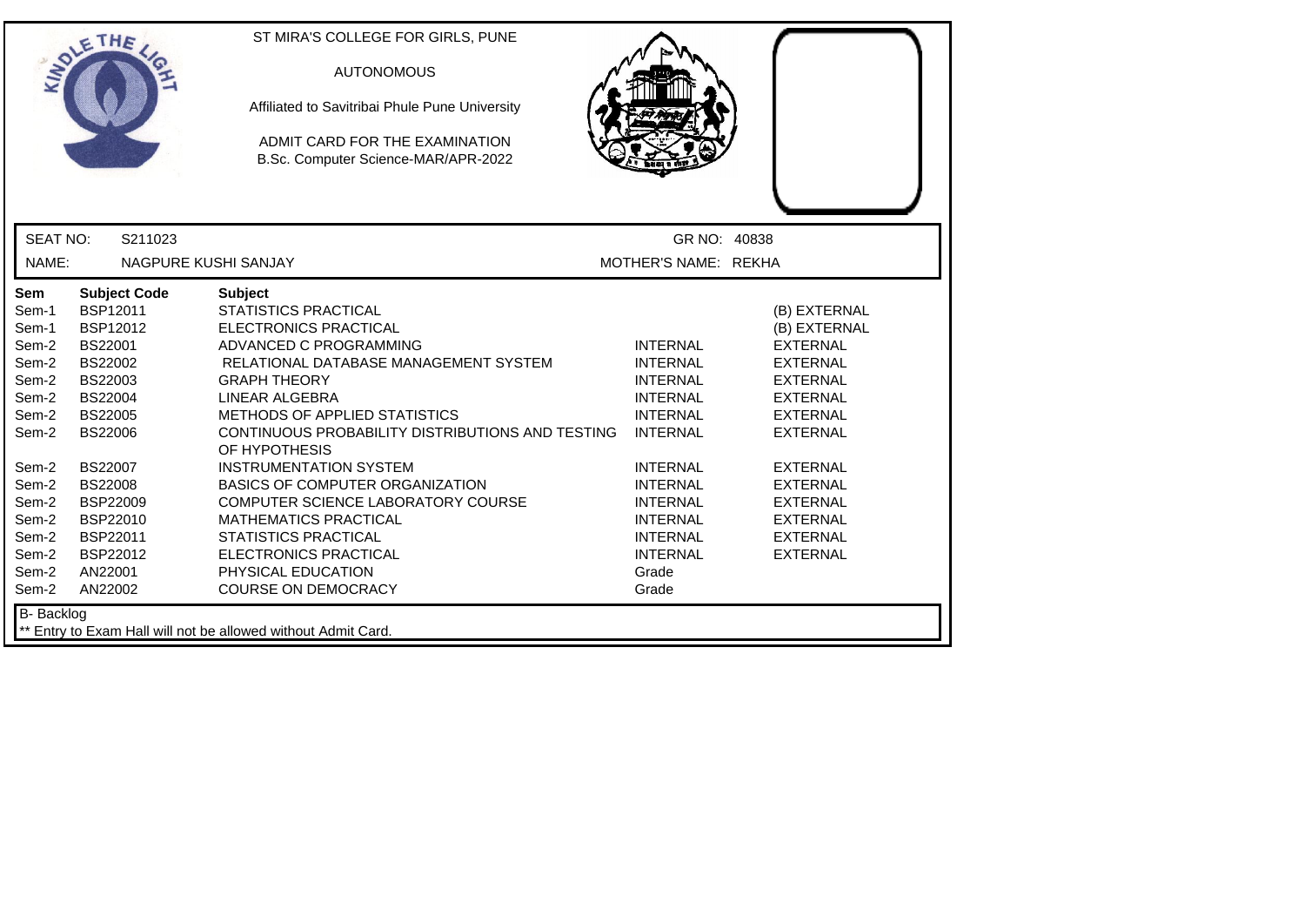| <b>SEAT NO:</b><br>GR NO: 40838<br>S211023<br>NAME:<br>MOTHER'S NAME: REKHA<br>NAGPURE KUSHI SANJAY<br><b>Subject Code</b><br><b>Subject</b><br>Sem<br><b>STATISTICS PRACTICAL</b><br><b>BSP12011</b><br>(B) EXTERNAL<br>Sem-1<br><b>BSP12012</b><br><b>ELECTRONICS PRACTICAL</b><br>(B) EXTERNAL<br>Sem-1<br>Sem-2<br><b>BS22001</b><br>ADVANCED C PROGRAMMING<br><b>INTERNAL</b><br><b>EXTERNAL</b><br>BS22002<br>RELATIONAL DATABASE MANAGEMENT SYSTEM<br><b>INTERNAL</b><br><b>EXTERNAL</b><br>Sem-2<br>BS22003<br><b>GRAPH THEORY</b><br>Sem-2<br><b>INTERNAL</b><br><b>EXTERNAL</b><br>Sem-2<br><b>BS22004</b><br>LINEAR ALGEBRA<br><b>INTERNAL</b><br><b>EXTERNAL</b><br><b>BS22005</b><br>METHODS OF APPLIED STATISTICS<br><b>INTERNAL</b><br><b>EXTERNAL</b><br>Sem-2<br>CONTINUOUS PROBABILITY DISTRIBUTIONS AND TESTING<br>Sem-2<br><b>BS22006</b><br><b>INTERNAL</b><br><b>EXTERNAL</b><br>OF HYPOTHESIS<br><b>BS22007</b><br><b>INSTRUMENTATION SYSTEM</b><br><b>INTERNAL</b><br>Sem-2<br><b>EXTERNAL</b><br>Sem-2<br><b>BS22008</b><br><b>BASICS OF COMPUTER ORGANIZATION</b><br><b>INTERNAL</b><br><b>EXTERNAL</b><br>Sem-2<br><b>BSP22009</b><br>COMPUTER SCIENCE LABORATORY COURSE<br><b>EXTERNAL</b><br><b>INTERNAL</b><br>BSP22010<br><b>MATHEMATICS PRACTICAL</b><br><b>INTERNAL</b><br>Sem-2<br><b>EXTERNAL</b><br>Sem-2<br>BSP22011<br><b>STATISTICS PRACTICAL</b><br><b>INTERNAL</b><br><b>EXTERNAL</b><br>Sem-2<br>BSP22012<br><b>ELECTRONICS PRACTICAL</b><br><b>INTERNAL</b><br><b>EXTERNAL</b><br>PHYSICAL EDUCATION<br>Sem-2<br>AN22001<br>Grade<br><b>COURSE ON DEMOCRACY</b><br>Sem-2<br>AN22002<br>Grade | THE               | ST MIRA'S COLLEGE FOR GIRLS, PUNE<br><b>AUTONOMOUS</b><br>Affiliated to Savitribai Phule Pune University<br>ADMIT CARD FOR THE EXAMINATION<br>B.Sc. Computer Science-MAR/APR-2022 |
|-----------------------------------------------------------------------------------------------------------------------------------------------------------------------------------------------------------------------------------------------------------------------------------------------------------------------------------------------------------------------------------------------------------------------------------------------------------------------------------------------------------------------------------------------------------------------------------------------------------------------------------------------------------------------------------------------------------------------------------------------------------------------------------------------------------------------------------------------------------------------------------------------------------------------------------------------------------------------------------------------------------------------------------------------------------------------------------------------------------------------------------------------------------------------------------------------------------------------------------------------------------------------------------------------------------------------------------------------------------------------------------------------------------------------------------------------------------------------------------------------------------------------------------------------------------------------------------------------------------------------------------------|-------------------|-----------------------------------------------------------------------------------------------------------------------------------------------------------------------------------|
|                                                                                                                                                                                                                                                                                                                                                                                                                                                                                                                                                                                                                                                                                                                                                                                                                                                                                                                                                                                                                                                                                                                                                                                                                                                                                                                                                                                                                                                                                                                                                                                                                                         |                   |                                                                                                                                                                                   |
|                                                                                                                                                                                                                                                                                                                                                                                                                                                                                                                                                                                                                                                                                                                                                                                                                                                                                                                                                                                                                                                                                                                                                                                                                                                                                                                                                                                                                                                                                                                                                                                                                                         |                   |                                                                                                                                                                                   |
|                                                                                                                                                                                                                                                                                                                                                                                                                                                                                                                                                                                                                                                                                                                                                                                                                                                                                                                                                                                                                                                                                                                                                                                                                                                                                                                                                                                                                                                                                                                                                                                                                                         | <b>B-</b> Backlog |                                                                                                                                                                                   |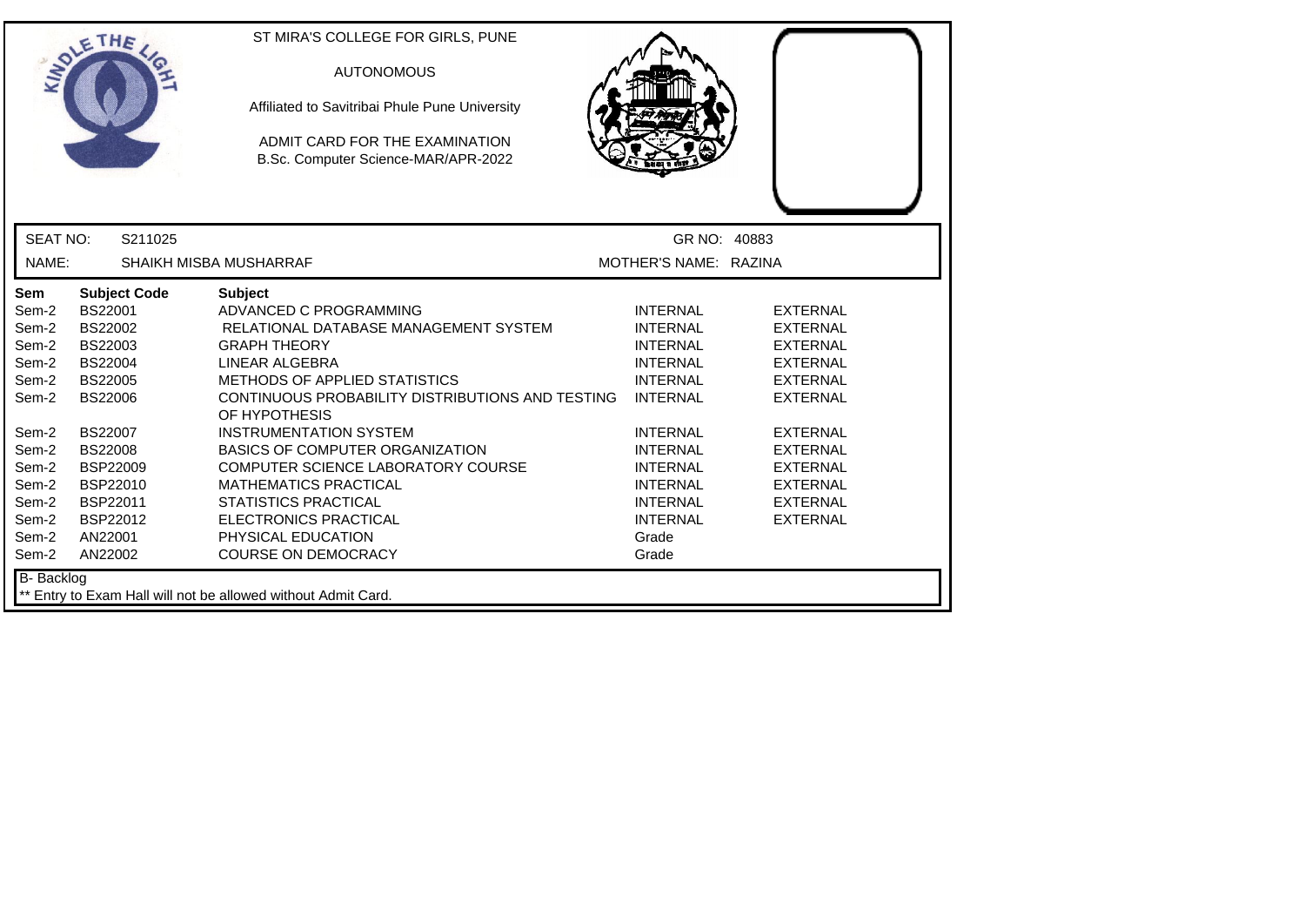| ETHE                                                                                                                                                                                                                                                                                                                                                                    | ST MIRA'S COLLEGE FOR GIRLS, PUNE<br><b>AUTONOMOUS</b><br>Affiliated to Savitribai Phule Pune University<br>ADMIT CARD FOR THE EXAMINATION<br>B.Sc. Computer Science-MAR/APR-2022                                                                                                                                                                                                                                                                                                             |                                                                                                                                                                                                                                                    |                                                                                                                                                                                                                                  |
|-------------------------------------------------------------------------------------------------------------------------------------------------------------------------------------------------------------------------------------------------------------------------------------------------------------------------------------------------------------------------|-----------------------------------------------------------------------------------------------------------------------------------------------------------------------------------------------------------------------------------------------------------------------------------------------------------------------------------------------------------------------------------------------------------------------------------------------------------------------------------------------|----------------------------------------------------------------------------------------------------------------------------------------------------------------------------------------------------------------------------------------------------|----------------------------------------------------------------------------------------------------------------------------------------------------------------------------------------------------------------------------------|
| <b>SEAT NO:</b><br>S211025                                                                                                                                                                                                                                                                                                                                              |                                                                                                                                                                                                                                                                                                                                                                                                                                                                                               | GR NO: 40883                                                                                                                                                                                                                                       |                                                                                                                                                                                                                                  |
| NAME:                                                                                                                                                                                                                                                                                                                                                                   | SHAIKH MISBA MUSHARRAF                                                                                                                                                                                                                                                                                                                                                                                                                                                                        | MOTHER'S NAME: RAZINA                                                                                                                                                                                                                              |                                                                                                                                                                                                                                  |
| <b>Subject Code</b><br>Sem<br>BS22001<br>Sem-2<br>BS22002<br>Sem-2<br><b>BS22003</b><br>Sem-2<br>Sem-2<br><b>BS22004</b><br>Sem-2<br><b>BS22005</b><br><b>BS22006</b><br>Sem-2<br>Sem-2<br><b>BS22007</b><br>Sem-2<br><b>BS22008</b><br><b>BSP22009</b><br>Sem-2<br>Sem-2<br>BSP22010<br>BSP22011<br>Sem-2<br>Sem-2<br>BSP22012<br>Sem-2<br>AN22001<br>Sem-2<br>AN22002 | <b>Subject</b><br>ADVANCED C PROGRAMMING<br>RELATIONAL DATABASE MANAGEMENT SYSTEM<br><b>GRAPH THEORY</b><br>LINEAR ALGEBRA<br>METHODS OF APPLIED STATISTICS<br>CONTINUOUS PROBABILITY DISTRIBUTIONS AND TESTING<br>OF HYPOTHESIS<br><b>INSTRUMENTATION SYSTEM</b><br>BASICS OF COMPUTER ORGANIZATION<br>COMPUTER SCIENCE LABORATORY COURSE<br><b>MATHEMATICS PRACTICAL</b><br><b>STATISTICS PRACTICAL</b><br><b>ELECTRONICS PRACTICAL</b><br>PHYSICAL EDUCATION<br><b>COURSE ON DEMOCRACY</b> | <b>INTERNAL</b><br><b>INTERNAL</b><br><b>INTERNAL</b><br><b>INTERNAL</b><br><b>INTERNAL</b><br><b>INTERNAL</b><br><b>INTERNAL</b><br><b>INTERNAL</b><br><b>INTERNAL</b><br><b>INTERNAL</b><br><b>INTERNAL</b><br><b>INTERNAL</b><br>Grade<br>Grade | <b>EXTERNAL</b><br><b>EXTERNAL</b><br><b>EXTERNAL</b><br><b>EXTERNAL</b><br><b>EXTERNAL</b><br><b>EXTERNAL</b><br><b>EXTERNAL</b><br><b>EXTERNAL</b><br><b>EXTERNAL</b><br><b>EXTERNAL</b><br><b>EXTERNAL</b><br><b>EXTERNAL</b> |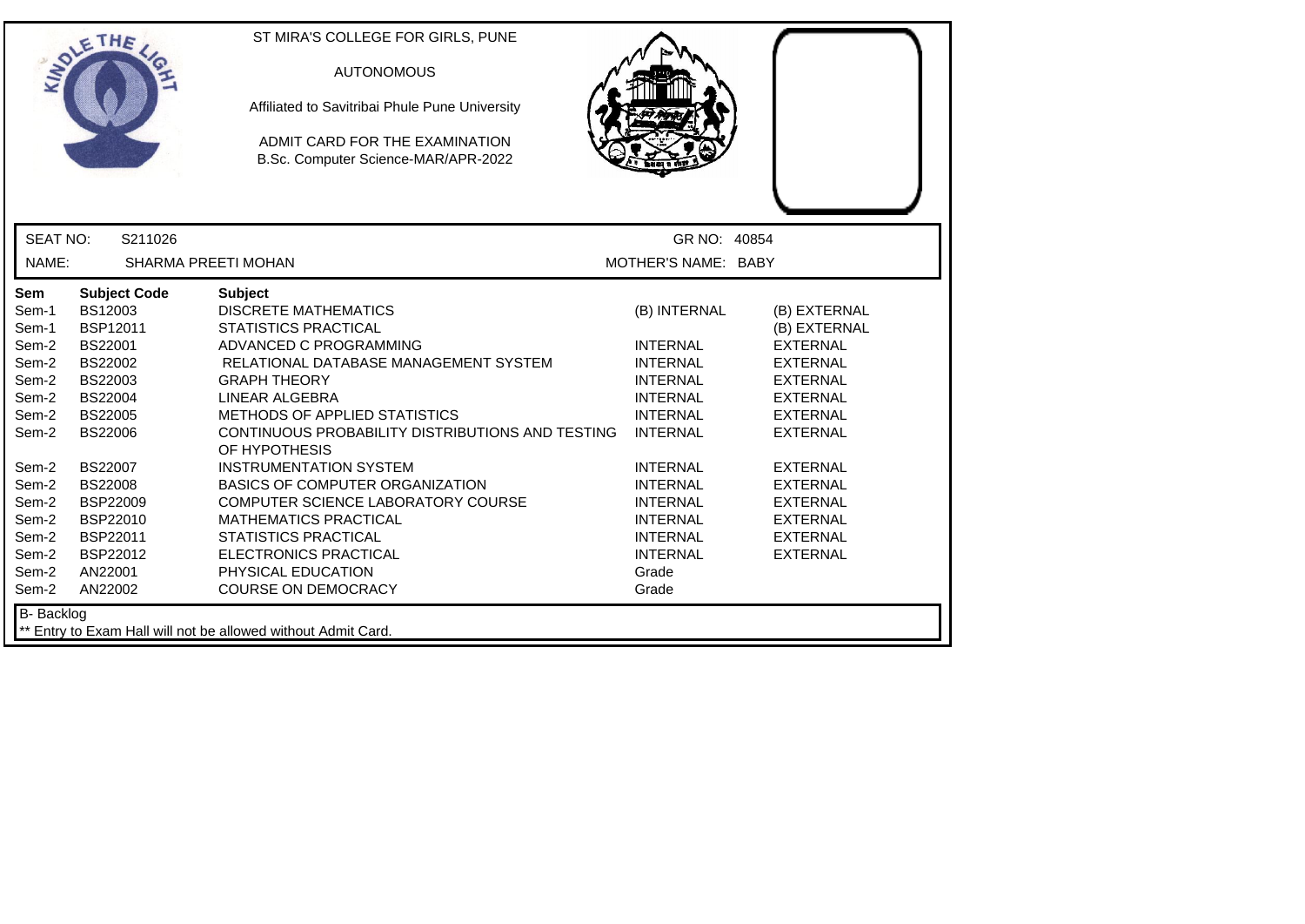| <b>SEAT NO:</b><br>S211026<br>GR NO: 40854<br>NAME:<br><b>SHARMA PREETI MOHAN</b><br>MOTHER'S NAME: BABY<br>Sem<br><b>Subject Code</b><br><b>Subject</b><br><b>DISCRETE MATHEMATICS</b><br>Sem-1<br>BS12003<br>(B) INTERNAL<br>(B) EXTERNAL<br>BSP12011<br><b>STATISTICS PRACTICAL</b><br>Sem-1<br>(B) EXTERNAL<br>Sem-2<br><b>BS22001</b><br>ADVANCED C PROGRAMMING<br><b>INTERNAL</b><br><b>EXTERNAL</b><br>BS22002<br>RELATIONAL DATABASE MANAGEMENT SYSTEM<br><b>INTERNAL</b><br><b>EXTERNAL</b><br>Sem-2<br>BS22003<br>Sem-2<br><b>GRAPH THEORY</b><br><b>INTERNAL</b><br><b>EXTERNAL</b><br>Sem-2<br><b>BS22004</b><br>LINEAR ALGEBRA<br><b>INTERNAL</b><br><b>EXTERNAL</b><br>Sem-2<br><b>BS22005</b><br>METHODS OF APPLIED STATISTICS<br><b>INTERNAL</b><br><b>EXTERNAL</b><br>Sem-2<br><b>BS22006</b><br>CONTINUOUS PROBABILITY DISTRIBUTIONS AND TESTING<br><b>INTERNAL</b><br><b>EXTERNAL</b><br>OF HYPOTHESIS<br><b>BS22007</b><br><b>INSTRUMENTATION SYSTEM</b><br><b>INTERNAL</b><br><b>EXTERNAL</b><br>Sem-2<br><b>BASICS OF COMPUTER ORGANIZATION</b><br><b>BS22008</b><br><b>INTERNAL</b><br><b>EXTERNAL</b><br>Sem-2<br><b>BSP22009</b><br>COMPUTER SCIENCE LABORATORY COURSE<br><b>INTERNAL</b><br><b>EXTERNAL</b><br>Sem-2<br>BSP22010<br><b>MATHEMATICS PRACTICAL</b><br><b>INTERNAL</b><br><b>EXTERNAL</b><br>Sem-2<br>BSP22011<br><b>STATISTICS PRACTICAL</b><br>Sem-2<br><b>INTERNAL</b><br><b>EXTERNAL</b><br>Sem-2<br>BSP22012<br><b>ELECTRONICS PRACTICAL</b><br><b>INTERNAL</b><br><b>EXTERNAL</b> | ETHE | ST MIRA'S COLLEGE FOR GIRLS, PUNE<br><b>AUTONOMOUS</b><br>Affiliated to Savitribai Phule Pune University<br>ADMIT CARD FOR THE EXAMINATION<br>B.Sc. Computer Science-MAR/APR-2022 |  |  |
|--------------------------------------------------------------------------------------------------------------------------------------------------------------------------------------------------------------------------------------------------------------------------------------------------------------------------------------------------------------------------------------------------------------------------------------------------------------------------------------------------------------------------------------------------------------------------------------------------------------------------------------------------------------------------------------------------------------------------------------------------------------------------------------------------------------------------------------------------------------------------------------------------------------------------------------------------------------------------------------------------------------------------------------------------------------------------------------------------------------------------------------------------------------------------------------------------------------------------------------------------------------------------------------------------------------------------------------------------------------------------------------------------------------------------------------------------------------------------------------------------------------------------------|------|-----------------------------------------------------------------------------------------------------------------------------------------------------------------------------------|--|--|
|                                                                                                                                                                                                                                                                                                                                                                                                                                                                                                                                                                                                                                                                                                                                                                                                                                                                                                                                                                                                                                                                                                                                                                                                                                                                                                                                                                                                                                                                                                                                |      |                                                                                                                                                                                   |  |  |
|                                                                                                                                                                                                                                                                                                                                                                                                                                                                                                                                                                                                                                                                                                                                                                                                                                                                                                                                                                                                                                                                                                                                                                                                                                                                                                                                                                                                                                                                                                                                |      |                                                                                                                                                                                   |  |  |
| AN22001<br>PHYSICAL EDUCATION<br>Grade<br>Sem-2<br>Sem-2<br>AN22002<br><b>COURSE ON DEMOCRACY</b><br>Grade<br>B- Backlog                                                                                                                                                                                                                                                                                                                                                                                                                                                                                                                                                                                                                                                                                                                                                                                                                                                                                                                                                                                                                                                                                                                                                                                                                                                                                                                                                                                                       |      |                                                                                                                                                                                   |  |  |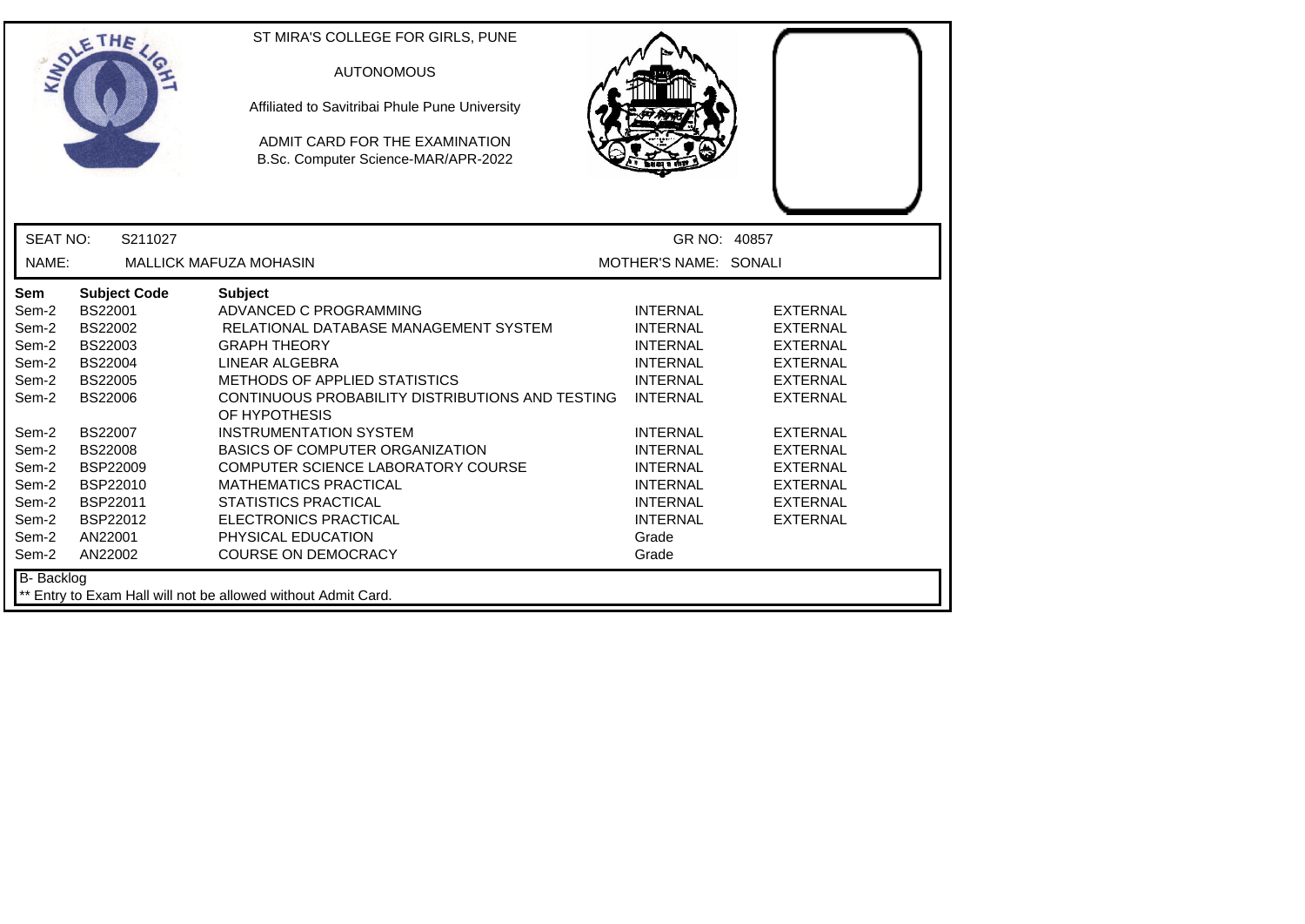|                                                                                                                                   | ETHE                                                                                                                                                                                                                               | ST MIRA'S COLLEGE FOR GIRLS, PUNE<br><b>AUTONOMOUS</b><br>Affiliated to Savitribai Phule Pune University<br>ADMIT CARD FOR THE EXAMINATION<br>B.Sc. Computer Science-MAR/APR-2022                                                                                                                                                                                                                                                                                                                           |                                                                                                                                                                                                                                                    |                                                                                                                                                                                                                                  |
|-----------------------------------------------------------------------------------------------------------------------------------|------------------------------------------------------------------------------------------------------------------------------------------------------------------------------------------------------------------------------------|-------------------------------------------------------------------------------------------------------------------------------------------------------------------------------------------------------------------------------------------------------------------------------------------------------------------------------------------------------------------------------------------------------------------------------------------------------------------------------------------------------------|----------------------------------------------------------------------------------------------------------------------------------------------------------------------------------------------------------------------------------------------------|----------------------------------------------------------------------------------------------------------------------------------------------------------------------------------------------------------------------------------|
| <b>SEAT NO:</b>                                                                                                                   | S211027                                                                                                                                                                                                                            |                                                                                                                                                                                                                                                                                                                                                                                                                                                                                                             | GR NO: 40857                                                                                                                                                                                                                                       |                                                                                                                                                                                                                                  |
| NAME:                                                                                                                             |                                                                                                                                                                                                                                    | <b>MALLICK MAFUZA MOHASIN</b>                                                                                                                                                                                                                                                                                                                                                                                                                                                                               | MOTHER'S NAME: SONALI                                                                                                                                                                                                                              |                                                                                                                                                                                                                                  |
| Sem<br>Sem-2<br>Sem-2<br>Sem-2<br>Sem-2<br>Sem-2<br>Sem-2<br>Sem-2<br>Sem-2<br>Sem-2<br>Sem-2<br>Sem-2<br>Sem-2<br>Sem-2<br>Sem-2 | <b>Subject Code</b><br>BS22001<br><b>BS22002</b><br>BS22003<br><b>BS22004</b><br><b>BS22005</b><br><b>BS22006</b><br><b>BS22007</b><br><b>BS22008</b><br><b>BSP22009</b><br>BSP22010<br>BSP22011<br>BSP22012<br>AN22001<br>AN22002 | <b>Subject</b><br>ADVANCED C PROGRAMMING<br>RELATIONAL DATABASE MANAGEMENT SYSTEM<br><b>GRAPH THEORY</b><br>LINEAR ALGEBRA<br><b>METHODS OF APPLIED STATISTICS</b><br>CONTINUOUS PROBABILITY DISTRIBUTIONS AND TESTING<br>OF HYPOTHESIS<br><b>INSTRUMENTATION SYSTEM</b><br><b>BASICS OF COMPUTER ORGANIZATION</b><br>COMPUTER SCIENCE LABORATORY COURSE<br><b>MATHEMATICS PRACTICAL</b><br><b>STATISTICS PRACTICAL</b><br><b>ELECTRONICS PRACTICAL</b><br>PHYSICAL EDUCATION<br><b>COURSE ON DEMOCRACY</b> | <b>INTERNAL</b><br><b>INTERNAL</b><br><b>INTERNAL</b><br><b>INTERNAL</b><br><b>INTERNAL</b><br><b>INTERNAL</b><br><b>INTERNAL</b><br><b>INTERNAL</b><br><b>INTERNAL</b><br><b>INTERNAL</b><br><b>INTERNAL</b><br><b>INTERNAL</b><br>Grade<br>Grade | <b>EXTERNAL</b><br><b>EXTERNAL</b><br><b>EXTERNAL</b><br><b>EXTERNAL</b><br><b>EXTERNAL</b><br><b>EXTERNAL</b><br><b>EXTERNAL</b><br><b>EXTERNAL</b><br><b>EXTERNAL</b><br><b>EXTERNAL</b><br><b>EXTERNAL</b><br><b>EXTERNAL</b> |
| B- Backlog                                                                                                                        |                                                                                                                                                                                                                                    | ** Entry to Exam Hall will not be allowed without Admit Card.                                                                                                                                                                                                                                                                                                                                                                                                                                               |                                                                                                                                                                                                                                                    |                                                                                                                                                                                                                                  |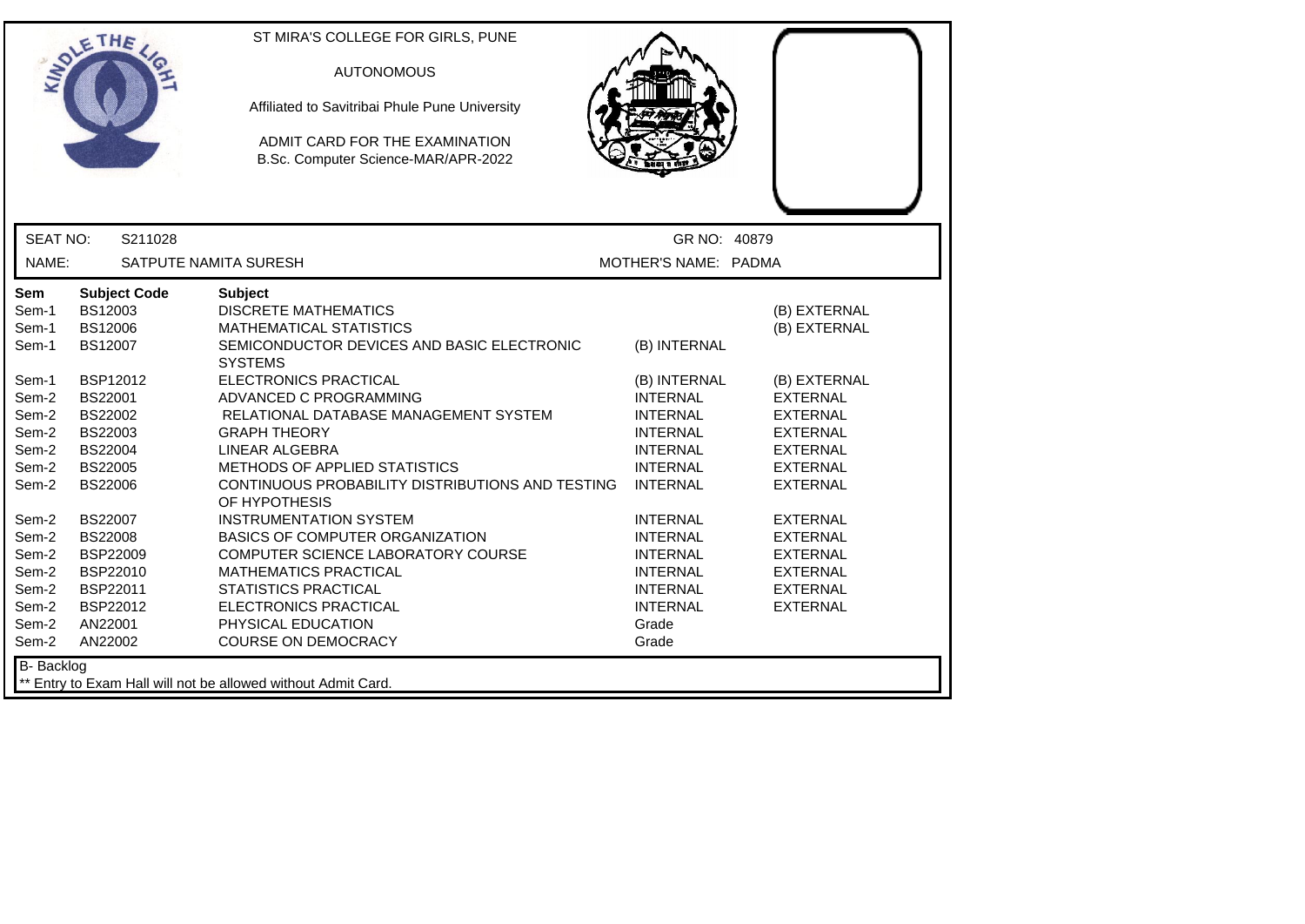|                                                                                               | ETHE                                                                                                                                                                  | ST MIRA'S COLLEGE FOR GIRLS, PUNE<br><b>AUTONOMOUS</b><br>Affiliated to Savitribai Phule Pune University<br>ADMIT CARD FOR THE EXAMINATION<br>B.Sc. Computer Science-MAR/APR-2022                                                                                                                                                                                                          |                                                                                                                                                |                                                                                                                                                                |
|-----------------------------------------------------------------------------------------------|-----------------------------------------------------------------------------------------------------------------------------------------------------------------------|--------------------------------------------------------------------------------------------------------------------------------------------------------------------------------------------------------------------------------------------------------------------------------------------------------------------------------------------------------------------------------------------|------------------------------------------------------------------------------------------------------------------------------------------------|----------------------------------------------------------------------------------------------------------------------------------------------------------------|
| <b>SEAT NO:</b>                                                                               | S211028                                                                                                                                                               |                                                                                                                                                                                                                                                                                                                                                                                            | GR NO: 40879                                                                                                                                   |                                                                                                                                                                |
| NAME:                                                                                         |                                                                                                                                                                       | SATPUTE NAMITA SURESH                                                                                                                                                                                                                                                                                                                                                                      | MOTHER'S NAME: PADMA                                                                                                                           |                                                                                                                                                                |
| Sem<br>Sem-1<br>Sem-1<br>Sem-1<br>Sem-1<br>Sem-2<br>Sem-2<br>Sem-2<br>Sem-2<br>Sem-2<br>Sem-2 | <b>Subject Code</b><br>BS12003<br>BS12006<br><b>BS12007</b><br>BSP12012<br><b>BS22001</b><br>BS22002<br>BS22003<br><b>BS22004</b><br><b>BS22005</b><br><b>BS22006</b> | <b>Subject</b><br><b>DISCRETE MATHEMATICS</b><br><b>MATHEMATICAL STATISTICS</b><br>SEMICONDUCTOR DEVICES AND BASIC ELECTRONIC<br><b>SYSTEMS</b><br>ELECTRONICS PRACTICAL<br>ADVANCED C PROGRAMMING<br>RELATIONAL DATABASE MANAGEMENT SYSTEM<br><b>GRAPH THEORY</b><br>LINEAR ALGEBRA<br>METHODS OF APPLIED STATISTICS<br>CONTINUOUS PROBABILITY DISTRIBUTIONS AND TESTING<br>OF HYPOTHESIS | (B) INTERNAL<br>(B) INTERNAL<br><b>INTERNAL</b><br><b>INTERNAL</b><br><b>INTERNAL</b><br><b>INTERNAL</b><br><b>INTERNAL</b><br><b>INTERNAL</b> | (B) EXTERNAL<br>(B) EXTERNAL<br>(B) EXTERNAL<br><b>EXTERNAL</b><br><b>EXTERNAL</b><br><b>EXTERNAL</b><br><b>EXTERNAL</b><br><b>EXTERNAL</b><br><b>EXTERNAL</b> |
| Sem-2<br>Sem-2<br>Sem-2<br>Sem-2<br>Sem-2<br>Sem-2<br>Sem-2<br>Sem-2<br>B- Backlog            | <b>BS22007</b><br><b>BS22008</b><br><b>BSP22009</b><br>BSP22010<br>BSP22011<br>BSP22012<br>AN22001<br>AN22002                                                         | <b>INSTRUMENTATION SYSTEM</b><br>BASICS OF COMPUTER ORGANIZATION<br>COMPUTER SCIENCE LABORATORY COURSE<br>MATHEMATICS PRACTICAL<br><b>STATISTICS PRACTICAL</b><br>ELECTRONICS PRACTICAL<br>PHYSICAL EDUCATION<br><b>COURSE ON DEMOCRACY</b>                                                                                                                                                | <b>INTERNAL</b><br><b>INTERNAL</b><br><b>INTERNAL</b><br><b>INTERNAL</b><br><b>INTERNAL</b><br><b>INTERNAL</b><br>Grade<br>Grade               | <b>EXTERNAL</b><br><b>EXTERNAL</b><br><b>EXTERNAL</b><br><b>EXTERNAL</b><br><b>EXTERNAL</b><br><b>EXTERNAL</b>                                                 |
|                                                                                               |                                                                                                                                                                       | Entry to Exam Hall will not be allowed without Admit Card.                                                                                                                                                                                                                                                                                                                                 |                                                                                                                                                |                                                                                                                                                                |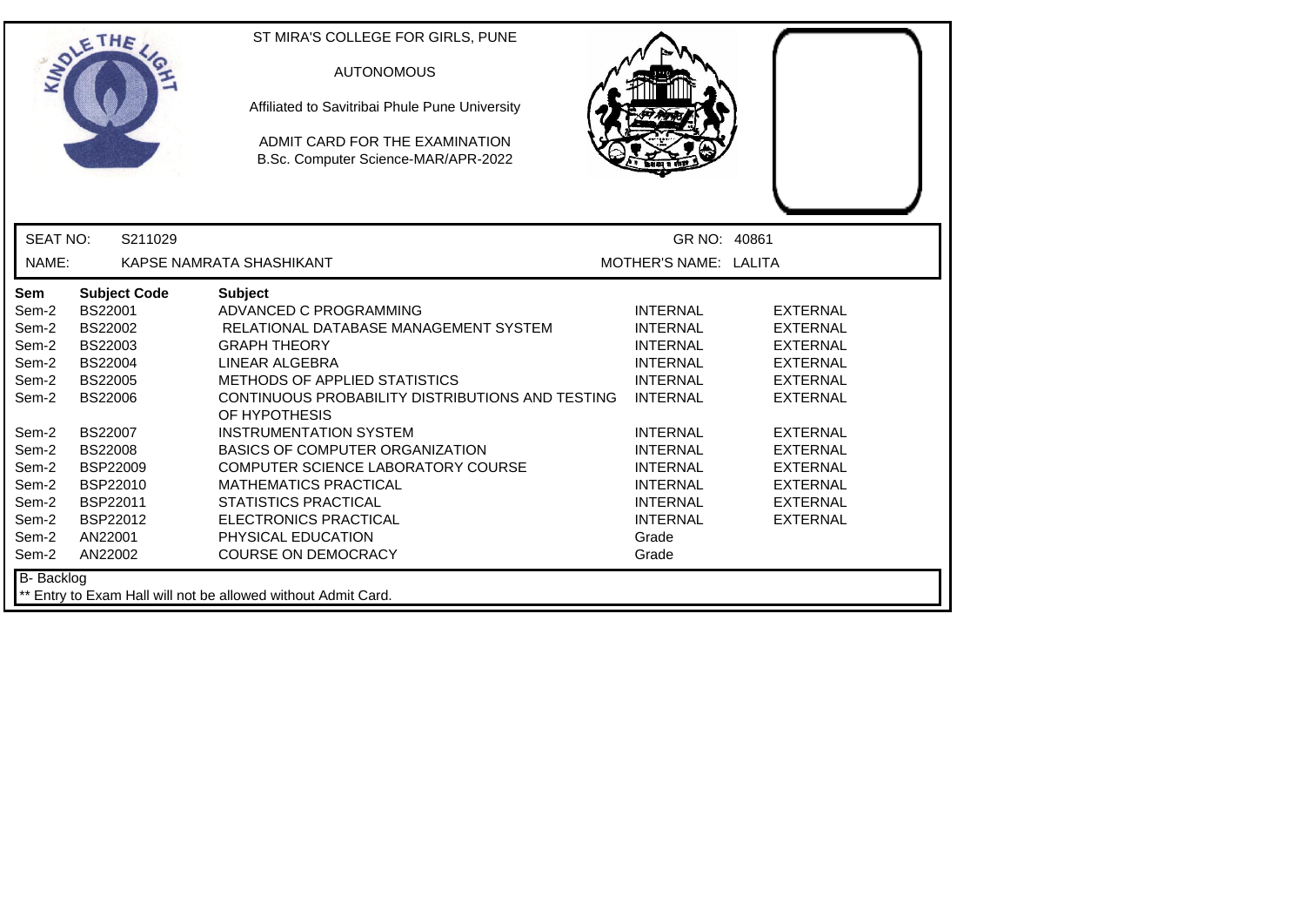|                                                                      | ETHE                                                                                                              | ST MIRA'S COLLEGE FOR GIRLS, PUNE<br><b>AUTONOMOUS</b><br>Affiliated to Savitribai Phule Pune University<br>ADMIT CARD FOR THE EXAMINATION<br>B.Sc. Computer Science-MAR/APR-2022                                                                                                 |                                                                                                                                  |                                                                                                                |  |
|----------------------------------------------------------------------|-------------------------------------------------------------------------------------------------------------------|-----------------------------------------------------------------------------------------------------------------------------------------------------------------------------------------------------------------------------------------------------------------------------------|----------------------------------------------------------------------------------------------------------------------------------|----------------------------------------------------------------------------------------------------------------|--|
| <b>SEAT NO:</b>                                                      | S211029                                                                                                           |                                                                                                                                                                                                                                                                                   | GR NO: 40861                                                                                                                     |                                                                                                                |  |
| NAME:                                                                |                                                                                                                   | KAPSE NAMRATA SHASHIKANT                                                                                                                                                                                                                                                          | MOTHER'S NAME: LALITA                                                                                                            |                                                                                                                |  |
| <b>Sem</b><br>Sem-2<br>Sem-2<br>Sem-2<br>Sem-2<br>Sem-2<br>Sem-2     | <b>Subject Code</b><br>BS22001<br><b>BS22002</b><br>BS22003<br><b>BS22004</b><br><b>BS22005</b><br><b>BS22006</b> | <b>Subject</b><br>ADVANCED C PROGRAMMING<br>RELATIONAL DATABASE MANAGEMENT SYSTEM<br><b>GRAPH THEORY</b><br>LINEAR ALGEBRA<br><b>METHODS OF APPLIED STATISTICS</b><br>CONTINUOUS PROBABILITY DISTRIBUTIONS AND TESTING                                                            | <b>INTERNAL</b><br><b>INTERNAL</b><br><b>INTERNAL</b><br><b>INTERNAL</b><br><b>INTERNAL</b><br><b>INTERNAL</b>                   | <b>EXTERNAL</b><br><b>EXTERNAL</b><br><b>EXTERNAL</b><br><b>EXTERNAL</b><br><b>EXTERNAL</b><br><b>EXTERNAL</b> |  |
| Sem-2<br>Sem-2<br>Sem-2<br>Sem-2<br>Sem-2<br>Sem-2<br>Sem-2<br>Sem-2 | <b>BS22007</b><br><b>BS22008</b><br><b>BSP22009</b><br>BSP22010<br>BSP22011<br>BSP22012<br>AN22001<br>AN22002     | OF HYPOTHESIS<br><b>INSTRUMENTATION SYSTEM</b><br><b>BASICS OF COMPUTER ORGANIZATION</b><br>COMPUTER SCIENCE LABORATORY COURSE<br><b>MATHEMATICS PRACTICAL</b><br><b>STATISTICS PRACTICAL</b><br><b>ELECTRONICS PRACTICAL</b><br>PHYSICAL EDUCATION<br><b>COURSE ON DEMOCRACY</b> | <b>INTERNAL</b><br><b>INTERNAL</b><br><b>INTERNAL</b><br><b>INTERNAL</b><br><b>INTERNAL</b><br><b>INTERNAL</b><br>Grade<br>Grade | <b>EXTERNAL</b><br><b>EXTERNAL</b><br><b>EXTERNAL</b><br><b>EXTERNAL</b><br><b>EXTERNAL</b><br><b>EXTERNAL</b> |  |
| <b>B-</b> Backlog                                                    |                                                                                                                   | ** Entry to Exam Hall will not be allowed without Admit Card.                                                                                                                                                                                                                     |                                                                                                                                  |                                                                                                                |  |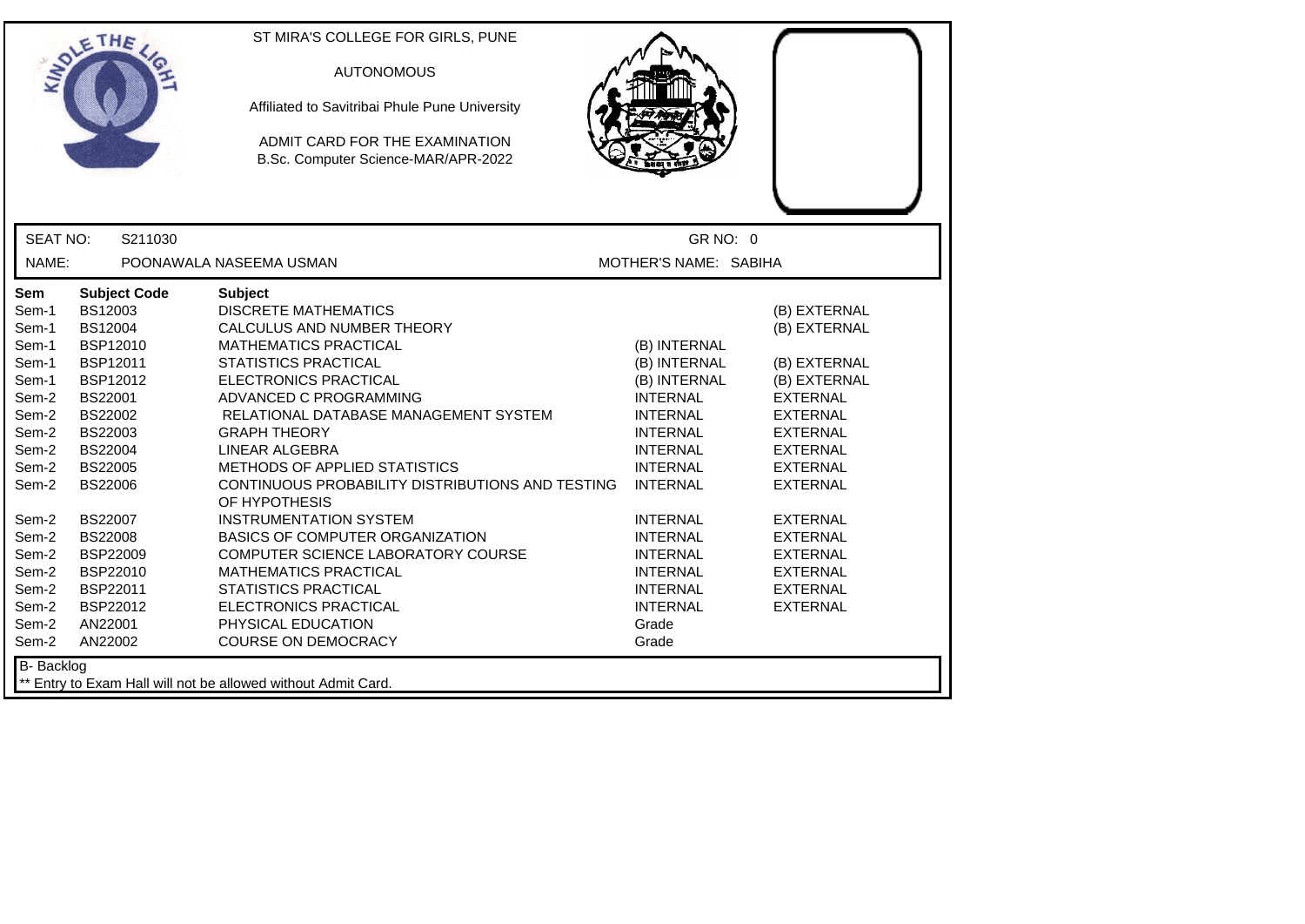|                         | ETHE                                        | ST MIRA'S COLLEGE FOR GIRLS, PUNE<br><b>AUTONOMOUS</b>                                                        |                                                       |                                                       |
|-------------------------|---------------------------------------------|---------------------------------------------------------------------------------------------------------------|-------------------------------------------------------|-------------------------------------------------------|
|                         |                                             | Affiliated to Savitribai Phule Pune University                                                                |                                                       |                                                       |
|                         |                                             | ADMIT CARD FOR THE EXAMINATION<br>B.Sc. Computer Science-MAR/APR-2022                                         |                                                       |                                                       |
| <b>SEAT NO:</b>         | S211030                                     |                                                                                                               | GR NO: 0                                              |                                                       |
| NAME:                   |                                             | POONAWALA NASEEMA USMAN                                                                                       | MOTHER'S NAME: SABIHA                                 |                                                       |
| Sem<br>Sem-1<br>Sem-1   | <b>Subject Code</b><br>BS12003<br>BS12004   | <b>Subject</b><br><b>DISCRETE MATHEMATICS</b><br>CALCULUS AND NUMBER THEORY                                   |                                                       | (B) EXTERNAL<br>(B) EXTERNAL                          |
| Sem-1<br>Sem-1<br>Sem-1 | BSP12010<br>BSP12011<br>BSP12012            | <b>MATHEMATICS PRACTICAL</b><br><b>STATISTICS PRACTICAL</b><br>ELECTRONICS PRACTICAL                          | (B) INTERNAL<br>(B) INTERNAL<br>(B) INTERNAL          | (B) EXTERNAL<br>(B) EXTERNAL                          |
| Sem-2<br>Sem-2          | BS22001<br><b>BS22002</b>                   | ADVANCED C PROGRAMMING<br>RELATIONAL DATABASE MANAGEMENT SYSTEM                                               | <b>INTERNAL</b><br><b>INTERNAL</b>                    | <b>EXTERNAL</b><br><b>EXTERNAL</b>                    |
| Sem-2<br>Sem-2<br>Sem-2 | <b>BS22003</b><br>BS22004<br><b>BS22005</b> | <b>GRAPH THEORY</b><br>LINEAR ALGEBRA<br>METHODS OF APPLIED STATISTICS                                        | <b>INTERNAL</b><br><b>INTERNAL</b><br><b>INTERNAL</b> | <b>EXTERNAL</b><br><b>EXTERNAL</b><br><b>EXTERNAL</b> |
| Sem-2                   | <b>BS22006</b>                              | CONTINUOUS PROBABILITY DISTRIBUTIONS AND TESTING<br>OF HYPOTHESIS                                             | <b>INTERNAL</b>                                       | <b>EXTERNAL</b>                                       |
| Sem-2<br>Sem-2<br>Sem-2 | BS22007<br><b>BS22008</b><br>BSP22009       | <b>INSTRUMENTATION SYSTEM</b><br><b>BASICS OF COMPUTER ORGANIZATION</b><br>COMPUTER SCIENCE LABORATORY COURSE | <b>INTERNAL</b><br><b>INTERNAL</b><br><b>INTERNAL</b> | <b>EXTERNAL</b><br><b>EXTERNAL</b><br><b>EXTERNAL</b> |
| Sem-2<br>Sem-2          | BSP22010<br>BSP22011                        | <b>MATHEMATICS PRACTICAL</b><br><b>STATISTICS PRACTICAL</b>                                                   | <b>INTERNAL</b><br><b>INTERNAL</b>                    | <b>EXTERNAL</b><br><b>EXTERNAL</b>                    |
| Sem-2<br>Sem-2<br>Sem-2 | BSP22012<br>AN22001<br>AN22002              | ELECTRONICS PRACTICAL<br>PHYSICAL EDUCATION<br><b>COURSE ON DEMOCRACY</b>                                     | <b>INTERNAL</b><br>Grade<br>Grade                     | <b>EXTERNAL</b>                                       |
| <b>B-</b> Backlog       |                                             | ** Entry to Exam Hall will not be allowed without Admit Card.                                                 |                                                       |                                                       |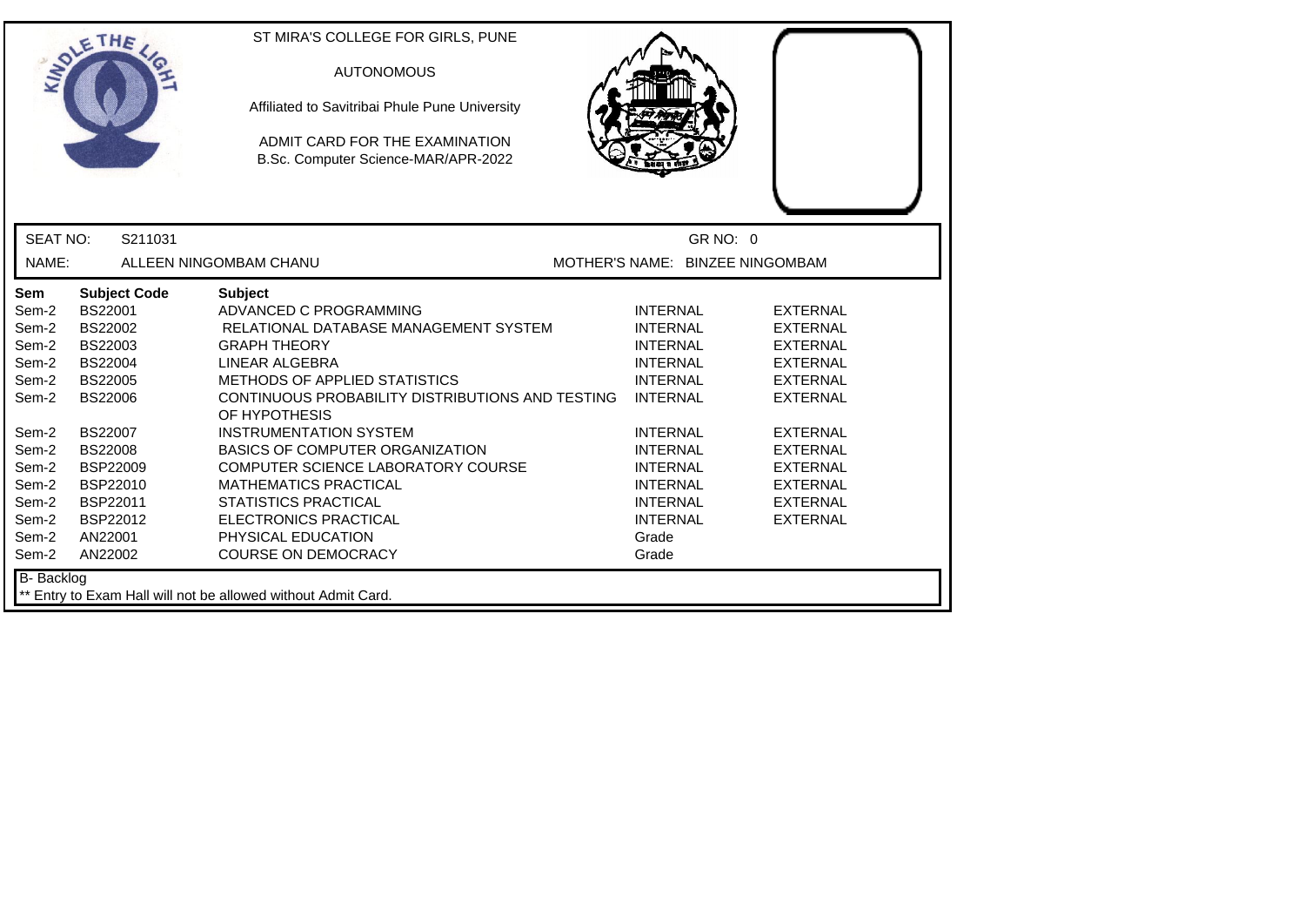|                                                                                                                                          | ETHE                                                                                                                                                                                                                               | ST MIRA'S COLLEGE FOR GIRLS, PUNE<br><b>AUTONOMOUS</b><br>Affiliated to Savitribai Phule Pune University<br>ADMIT CARD FOR THE EXAMINATION<br>B.Sc. Computer Science-MAR/APR-2022                                                                                                                                                                                                                                                                                                                           |                                                                                                                                                                                                                                                    |                                                                                                                                                                                                                                  |  |
|------------------------------------------------------------------------------------------------------------------------------------------|------------------------------------------------------------------------------------------------------------------------------------------------------------------------------------------------------------------------------------|-------------------------------------------------------------------------------------------------------------------------------------------------------------------------------------------------------------------------------------------------------------------------------------------------------------------------------------------------------------------------------------------------------------------------------------------------------------------------------------------------------------|----------------------------------------------------------------------------------------------------------------------------------------------------------------------------------------------------------------------------------------------------|----------------------------------------------------------------------------------------------------------------------------------------------------------------------------------------------------------------------------------|--|
| <b>SEAT NO:</b>                                                                                                                          | S211031                                                                                                                                                                                                                            |                                                                                                                                                                                                                                                                                                                                                                                                                                                                                                             |                                                                                                                                                                                                                                                    | GR NO: 0                                                                                                                                                                                                                         |  |
| NAME:                                                                                                                                    |                                                                                                                                                                                                                                    | ALLEEN NINGOMBAM CHANU                                                                                                                                                                                                                                                                                                                                                                                                                                                                                      |                                                                                                                                                                                                                                                    | MOTHER'S NAME: BINZEE NINGOMBAM                                                                                                                                                                                                  |  |
| <b>Sem</b><br>Sem-2<br>Sem-2<br>Sem-2<br>Sem-2<br>Sem-2<br>Sem-2<br>Sem-2<br>Sem-2<br>Sem-2<br>Sem-2<br>Sem-2<br>Sem-2<br>Sem-2<br>Sem-2 | <b>Subject Code</b><br>BS22001<br>BS22002<br>BS22003<br><b>BS22004</b><br><b>BS22005</b><br><b>BS22006</b><br><b>BS22007</b><br><b>BS22008</b><br><b>BSP22009</b><br>BSP22010<br>BSP22011<br><b>BSP22012</b><br>AN22001<br>AN22002 | <b>Subject</b><br>ADVANCED C PROGRAMMING<br>RELATIONAL DATABASE MANAGEMENT SYSTEM<br><b>GRAPH THEORY</b><br>LINEAR ALGEBRA<br><b>METHODS OF APPLIED STATISTICS</b><br>CONTINUOUS PROBABILITY DISTRIBUTIONS AND TESTING<br>OF HYPOTHESIS<br><b>INSTRUMENTATION SYSTEM</b><br><b>BASICS OF COMPUTER ORGANIZATION</b><br>COMPUTER SCIENCE LABORATORY COURSE<br><b>MATHEMATICS PRACTICAL</b><br><b>STATISTICS PRACTICAL</b><br><b>ELECTRONICS PRACTICAL</b><br>PHYSICAL EDUCATION<br><b>COURSE ON DEMOCRACY</b> | <b>INTERNAL</b><br><b>INTERNAL</b><br><b>INTERNAL</b><br><b>INTERNAL</b><br><b>INTERNAL</b><br><b>INTERNAL</b><br><b>INTERNAL</b><br><b>INTERNAL</b><br><b>INTERNAL</b><br><b>INTERNAL</b><br><b>INTERNAL</b><br><b>INTERNAL</b><br>Grade<br>Grade | <b>EXTERNAL</b><br><b>EXTERNAL</b><br><b>EXTERNAL</b><br><b>EXTERNAL</b><br><b>EXTERNAL</b><br><b>EXTERNAL</b><br><b>EXTERNAL</b><br><b>EXTERNAL</b><br><b>EXTERNAL</b><br><b>EXTERNAL</b><br><b>EXTERNAL</b><br><b>EXTERNAL</b> |  |
| <b>B-</b> Backlog                                                                                                                        |                                                                                                                                                                                                                                    | ** Entry to Exam Hall will not be allowed without Admit Card.                                                                                                                                                                                                                                                                                                                                                                                                                                               |                                                                                                                                                                                                                                                    |                                                                                                                                                                                                                                  |  |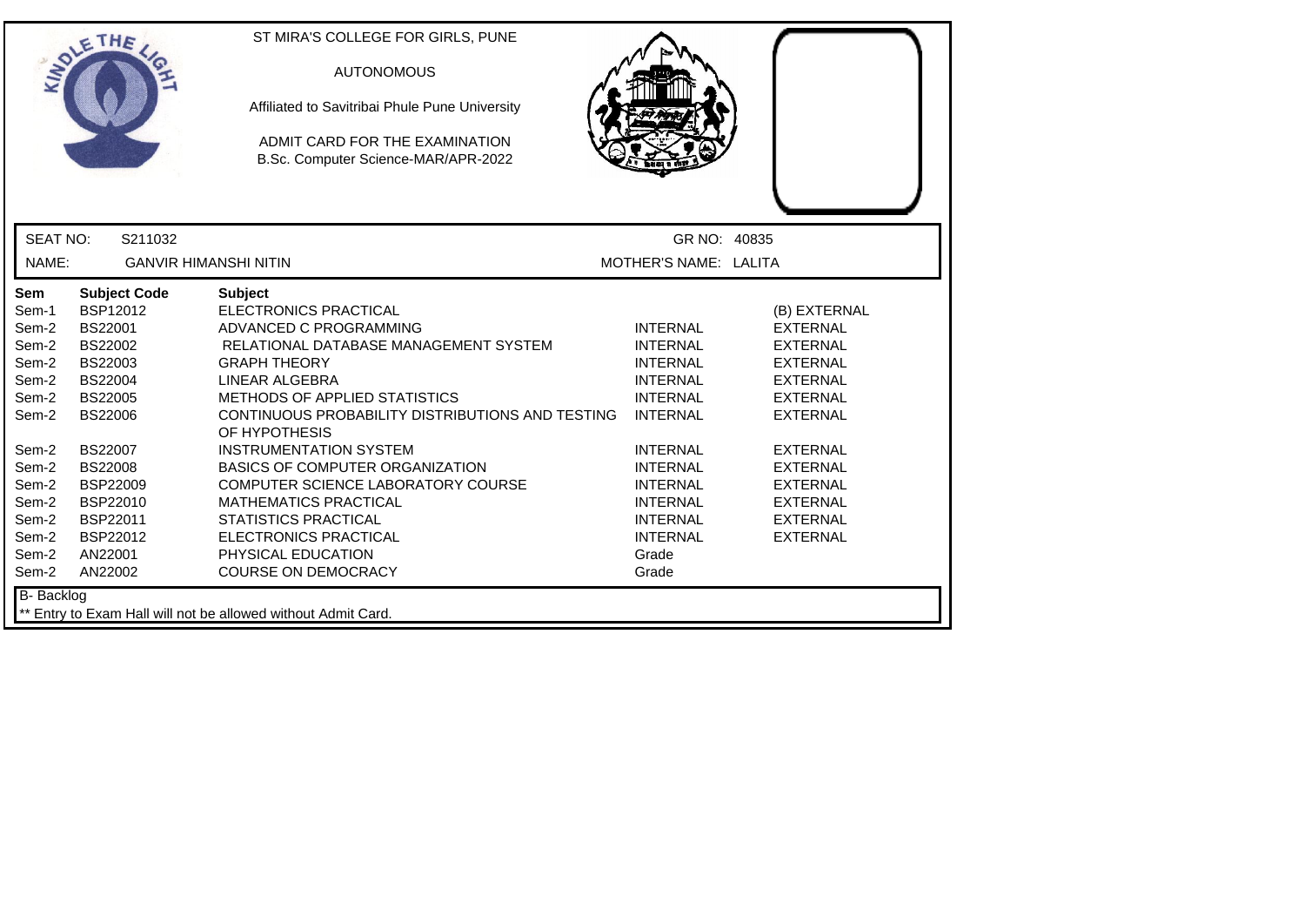|                 | ETHE                         | ST MIRA'S COLLEGE FOR GIRLS, PUNE<br><b>AUTONOMOUS</b><br>Affiliated to Savitribai Phule Pune University<br>ADMIT CARD FOR THE EXAMINATION<br>B.Sc. Computer Science-MAR/APR-2022 |                       |                 |
|-----------------|------------------------------|-----------------------------------------------------------------------------------------------------------------------------------------------------------------------------------|-----------------------|-----------------|
| <b>SEAT NO:</b> | S211032                      |                                                                                                                                                                                   | GR NO: 40835          |                 |
| NAME:           | <b>GANVIR HIMANSHI NITIN</b> |                                                                                                                                                                                   | MOTHER'S NAME: LALITA |                 |
| Sem             | <b>Subject Code</b>          | <b>Subject</b>                                                                                                                                                                    |                       |                 |
| Sem-1           | <b>BSP12012</b>              | <b>ELECTRONICS PRACTICAL</b>                                                                                                                                                      |                       | (B) EXTERNAL    |
| Sem-2           | BS22001                      | ADVANCED C PROGRAMMING                                                                                                                                                            | <b>INTERNAL</b>       | <b>EXTERNAL</b> |
| Sem-2           | <b>BS22002</b>               | RELATIONAL DATABASE MANAGEMENT SYSTEM                                                                                                                                             | <b>INTERNAL</b>       | <b>EXTERNAL</b> |
| Sem-2           | BS22003                      | <b>GRAPH THEORY</b>                                                                                                                                                               | <b>INTERNAL</b>       | <b>EXTERNAL</b> |
| Sem-2           | <b>BS22004</b>               | LINEAR ALGEBRA                                                                                                                                                                    | <b>INTERNAL</b>       | <b>EXTERNAL</b> |
| Sem-2           | <b>BS22005</b>               | METHODS OF APPLIED STATISTICS                                                                                                                                                     | <b>INTERNAL</b>       | <b>EXTERNAL</b> |
| Sem-2           | <b>BS22006</b>               | CONTINUOUS PROBABILITY DISTRIBUTIONS AND TESTING<br>OF HYPOTHESIS                                                                                                                 | <b>INTERNAL</b>       | <b>EXTERNAL</b> |
| Sem-2           | <b>BS22007</b>               | <b>INSTRUMENTATION SYSTEM</b>                                                                                                                                                     | <b>INTERNAL</b>       | <b>EXTERNAL</b> |
| Sem-2           | <b>BS22008</b>               | <b>BASICS OF COMPUTER ORGANIZATION</b>                                                                                                                                            | <b>INTERNAL</b>       | <b>EXTERNAL</b> |
| Sem-2           | <b>BSP22009</b>              | COMPUTER SCIENCE LABORATORY COURSE                                                                                                                                                | <b>INTERNAL</b>       | <b>EXTERNAL</b> |
| Sem-2           | BSP22010                     | <b>MATHEMATICS PRACTICAL</b>                                                                                                                                                      | <b>INTERNAL</b>       | <b>EXTERNAL</b> |
| Sem-2           | BSP22011                     | <b>STATISTICS PRACTICAL</b>                                                                                                                                                       | <b>INTERNAL</b>       | <b>EXTERNAL</b> |
| Sem-2           | BSP22012                     | ELECTRONICS PRACTICAL                                                                                                                                                             | <b>INTERNAL</b>       | <b>EXTERNAL</b> |
| Sem-2           | AN22001                      | PHYSICAL EDUCATION                                                                                                                                                                | Grade                 |                 |
| Sem-2           | AN22002                      | <b>COURSE ON DEMOCRACY</b>                                                                                                                                                        | Grade                 |                 |
| B- Backlog      |                              | ** Entry to Exam Hall will not be allowed without Admit Card.                                                                                                                     |                       |                 |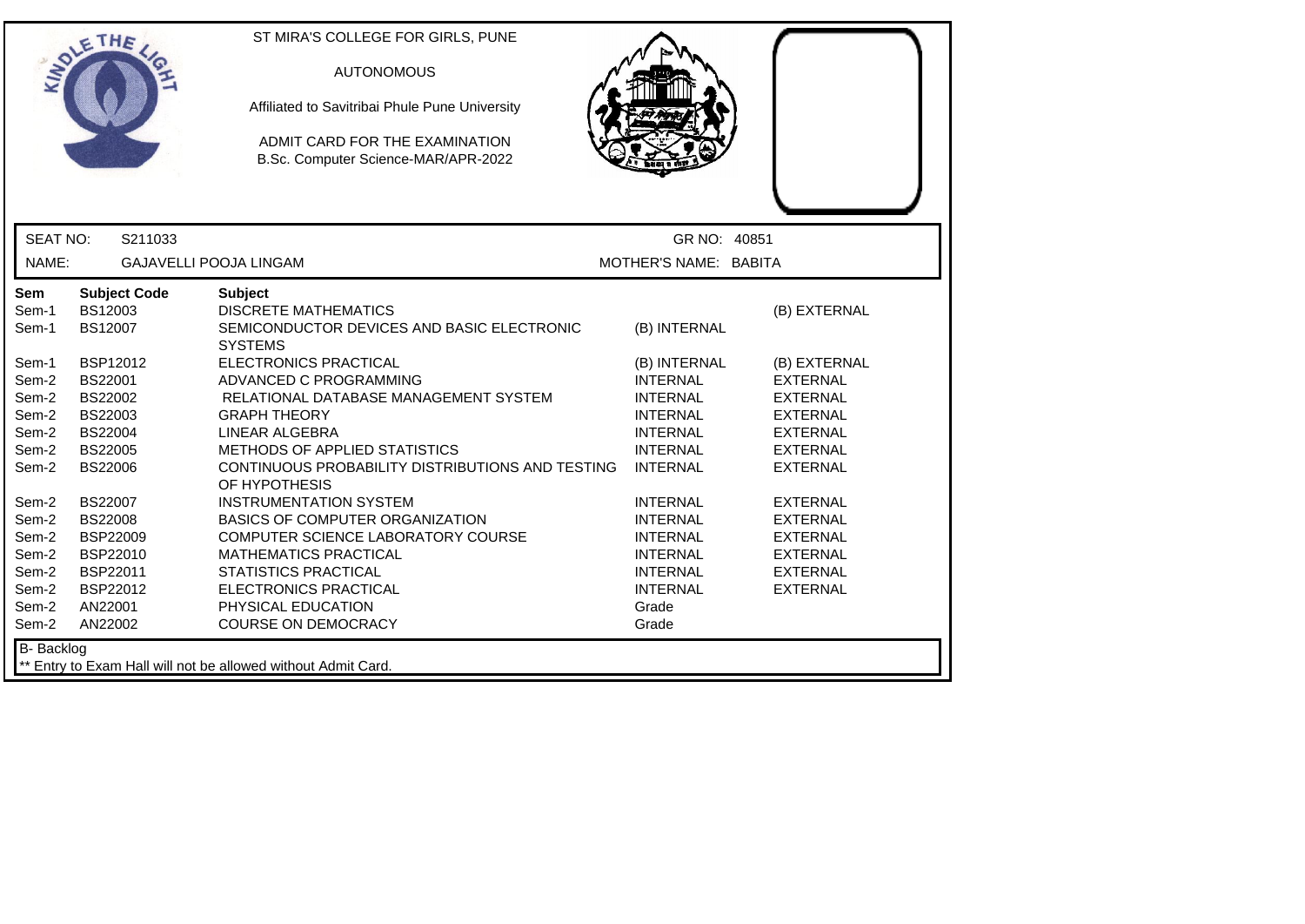|                                                                                                                            | ETHE                                                                                                                                                                                                                | ST MIRA'S COLLEGE FOR GIRLS, PUNE<br><b>AUTONOMOUS</b><br>Affiliated to Savitribai Phule Pune University<br>ADMIT CARD FOR THE EXAMINATION<br>B.Sc. Computer Science-MAR/APR-2022                                                                                                                                                                                                                                                                                             |                                                                                                                                                                                                                                                           |                                                                                                                                                                                                                                                  |
|----------------------------------------------------------------------------------------------------------------------------|---------------------------------------------------------------------------------------------------------------------------------------------------------------------------------------------------------------------|-------------------------------------------------------------------------------------------------------------------------------------------------------------------------------------------------------------------------------------------------------------------------------------------------------------------------------------------------------------------------------------------------------------------------------------------------------------------------------|-----------------------------------------------------------------------------------------------------------------------------------------------------------------------------------------------------------------------------------------------------------|--------------------------------------------------------------------------------------------------------------------------------------------------------------------------------------------------------------------------------------------------|
| <b>SEAT NO:</b>                                                                                                            | S211033                                                                                                                                                                                                             |                                                                                                                                                                                                                                                                                                                                                                                                                                                                               | GR NO: 40851                                                                                                                                                                                                                                              |                                                                                                                                                                                                                                                  |
| NAME:                                                                                                                      |                                                                                                                                                                                                                     | <b>GAJAVELLI POOJA LINGAM</b>                                                                                                                                                                                                                                                                                                                                                                                                                                                 | MOTHER'S NAME: BABITA                                                                                                                                                                                                                                     |                                                                                                                                                                                                                                                  |
| <b>Sem</b><br>Sem-1<br>Sem-1                                                                                               | <b>Subject Code</b><br>BS12003<br>BS12007                                                                                                                                                                           | <b>Subject</b><br><b>DISCRETE MATHEMATICS</b><br>SEMICONDUCTOR DEVICES AND BASIC ELECTRONIC<br><b>SYSTEMS</b>                                                                                                                                                                                                                                                                                                                                                                 | (B) INTERNAL                                                                                                                                                                                                                                              | (B) EXTERNAL                                                                                                                                                                                                                                     |
| Sem-1<br>Sem-2<br>Sem-2<br>Sem-2<br>Sem-2<br>Sem-2<br>Sem-2<br>Sem-2<br>Sem-2<br>Sem-2<br>Sem-2<br>Sem-2<br>Sem-2<br>Sem-2 | <b>BSP12012</b><br><b>BS22001</b><br>BS22002<br>BS22003<br><b>BS22004</b><br><b>BS22005</b><br><b>BS22006</b><br><b>BS22007</b><br><b>BS22008</b><br><b>BSP22009</b><br>BSP22010<br>BSP22011<br>BSP22012<br>AN22001 | ELECTRONICS PRACTICAL<br>ADVANCED C PROGRAMMING<br>RELATIONAL DATABASE MANAGEMENT SYSTEM<br><b>GRAPH THEORY</b><br>LINEAR ALGEBRA<br><b>METHODS OF APPLIED STATISTICS</b><br>CONTINUOUS PROBABILITY DISTRIBUTIONS AND TESTING<br>OF HYPOTHESIS<br><b>INSTRUMENTATION SYSTEM</b><br><b>BASICS OF COMPUTER ORGANIZATION</b><br>COMPUTER SCIENCE LABORATORY COURSE<br><b>MATHEMATICS PRACTICAL</b><br><b>STATISTICS PRACTICAL</b><br>ELECTRONICS PRACTICAL<br>PHYSICAL EDUCATION | (B) INTERNAL<br><b>INTERNAL</b><br><b>INTERNAL</b><br><b>INTERNAL</b><br><b>INTERNAL</b><br><b>INTERNAL</b><br><b>INTERNAL</b><br><b>INTERNAL</b><br><b>INTERNAL</b><br><b>INTERNAL</b><br><b>INTERNAL</b><br><b>INTERNAL</b><br><b>INTERNAL</b><br>Grade | (B) EXTERNAL<br><b>EXTERNAL</b><br><b>EXTERNAL</b><br><b>EXTERNAL</b><br><b>EXTERNAL</b><br><b>EXTERNAL</b><br><b>EXTERNAL</b><br><b>EXTERNAL</b><br><b>EXTERNAL</b><br><b>EXTERNAL</b><br><b>EXTERNAL</b><br><b>EXTERNAL</b><br><b>EXTERNAL</b> |
| Sem-2<br>B- Backlog                                                                                                        | AN22002                                                                                                                                                                                                             | <b>COURSE ON DEMOCRACY</b>                                                                                                                                                                                                                                                                                                                                                                                                                                                    | Grade                                                                                                                                                                                                                                                     |                                                                                                                                                                                                                                                  |
|                                                                                                                            |                                                                                                                                                                                                                     | ** Entry to Exam Hall will not be allowed without Admit Card.                                                                                                                                                                                                                                                                                                                                                                                                                 |                                                                                                                                                                                                                                                           |                                                                                                                                                                                                                                                  |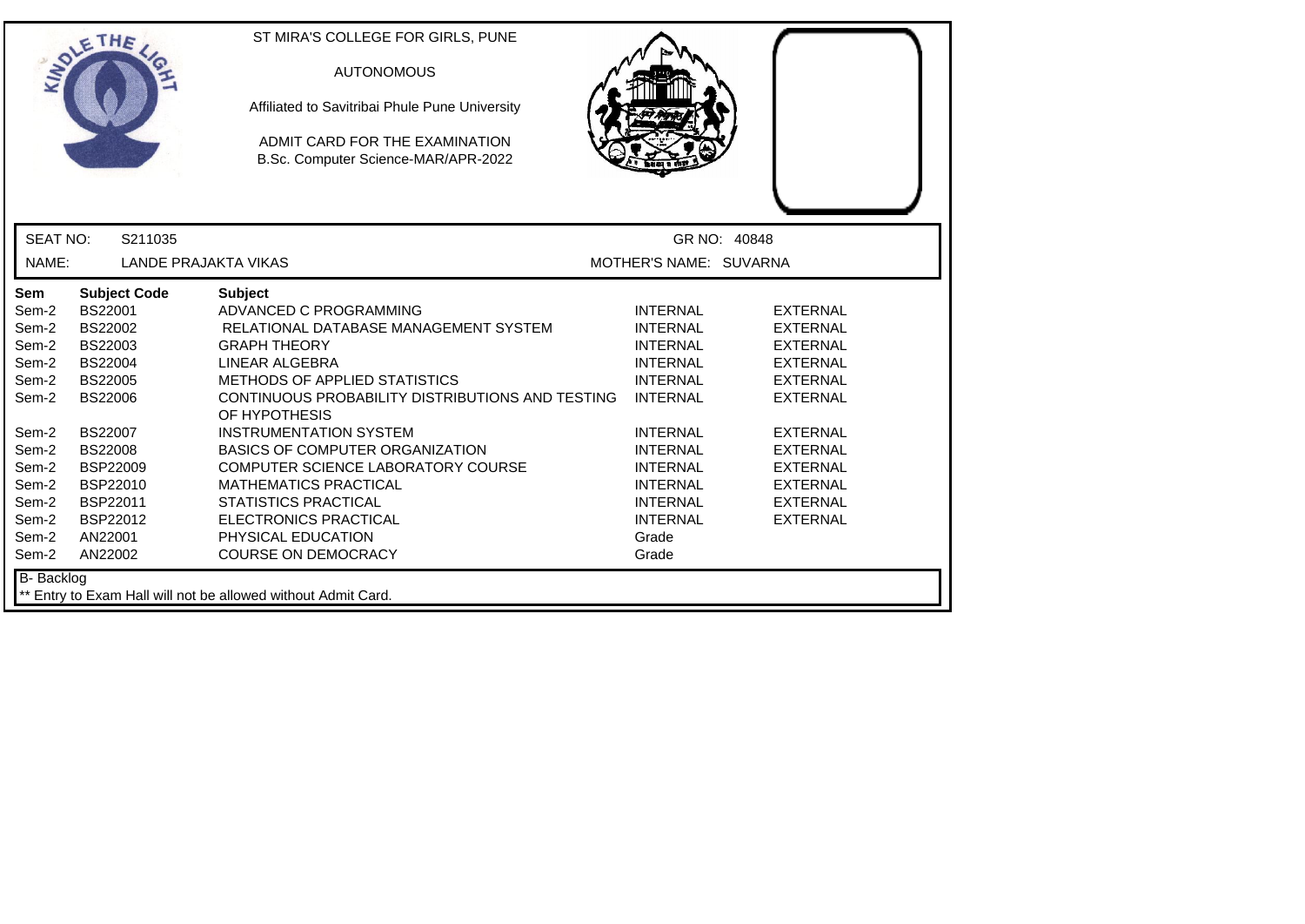|                                                                                                                                          | ETHE                                                                                                                                                                                                                               | ST MIRA'S COLLEGE FOR GIRLS, PUNE<br><b>AUTONOMOUS</b><br>Affiliated to Savitribai Phule Pune University<br>ADMIT CARD FOR THE EXAMINATION<br>B.Sc. Computer Science-MAR/APR-2022                                                                                                                                                                                                                                                                                                                    |                                                                                                                                                                                                                                                    |                                                                                                                                                                                                                           |
|------------------------------------------------------------------------------------------------------------------------------------------|------------------------------------------------------------------------------------------------------------------------------------------------------------------------------------------------------------------------------------|------------------------------------------------------------------------------------------------------------------------------------------------------------------------------------------------------------------------------------------------------------------------------------------------------------------------------------------------------------------------------------------------------------------------------------------------------------------------------------------------------|----------------------------------------------------------------------------------------------------------------------------------------------------------------------------------------------------------------------------------------------------|---------------------------------------------------------------------------------------------------------------------------------------------------------------------------------------------------------------------------|
| <b>SEAT NO:</b>                                                                                                                          | S211035                                                                                                                                                                                                                            |                                                                                                                                                                                                                                                                                                                                                                                                                                                                                                      |                                                                                                                                                                                                                                                    | GR NO: 40848                                                                                                                                                                                                              |
| NAME:                                                                                                                                    | <b>LANDE PRAJAKTA VIKAS</b>                                                                                                                                                                                                        |                                                                                                                                                                                                                                                                                                                                                                                                                                                                                                      | MOTHER'S NAME: SUVARNA                                                                                                                                                                                                                             |                                                                                                                                                                                                                           |
| <b>Sem</b><br>Sem-2<br>Sem-2<br>Sem-2<br>Sem-2<br>Sem-2<br>Sem-2<br>Sem-2<br>Sem-2<br>Sem-2<br>Sem-2<br>Sem-2<br>Sem-2<br>Sem-2<br>Sem-2 | <b>Subject Code</b><br>BS22001<br><b>BS22002</b><br>BS22003<br><b>BS22004</b><br><b>BS22005</b><br><b>BS22006</b><br><b>BS22007</b><br><b>BS22008</b><br><b>BSP22009</b><br>BSP22010<br>BSP22011<br>BSP22012<br>AN22001<br>AN22002 | <b>Subject</b><br>ADVANCED C PROGRAMMING<br>RELATIONAL DATABASE MANAGEMENT SYSTEM<br><b>GRAPH THEORY</b><br>LINEAR ALGEBRA<br>METHODS OF APPLIED STATISTICS<br>CONTINUOUS PROBABILITY DISTRIBUTIONS AND TESTING<br>OF HYPOTHESIS<br><b>INSTRUMENTATION SYSTEM</b><br><b>BASICS OF COMPUTER ORGANIZATION</b><br>COMPUTER SCIENCE LABORATORY COURSE<br><b>MATHEMATICS PRACTICAL</b><br><b>STATISTICS PRACTICAL</b><br><b>ELECTRONICS PRACTICAL</b><br>PHYSICAL EDUCATION<br><b>COURSE ON DEMOCRACY</b> | <b>INTERNAL</b><br><b>INTERNAL</b><br><b>INTERNAL</b><br><b>INTERNAL</b><br><b>INTERNAL</b><br><b>INTERNAL</b><br><b>INTERNAL</b><br><b>INTERNAL</b><br><b>INTERNAL</b><br><b>INTERNAL</b><br><b>INTERNAL</b><br><b>INTERNAL</b><br>Grade<br>Grade | <b>EXTERNAL</b><br><b>EXTERNAL</b><br><b>EXTERNAL</b><br>EXTERNAL<br><b>EXTERNAL</b><br><b>EXTERNAL</b><br><b>EXTERNAL</b><br><b>EXTERNAL</b><br><b>EXTERNAL</b><br><b>EXTERNAL</b><br><b>EXTERNAL</b><br><b>EXTERNAL</b> |
| <b>B-</b> Backlog                                                                                                                        |                                                                                                                                                                                                                                    | ** Entry to Exam Hall will not be allowed without Admit Card.                                                                                                                                                                                                                                                                                                                                                                                                                                        |                                                                                                                                                                                                                                                    |                                                                                                                                                                                                                           |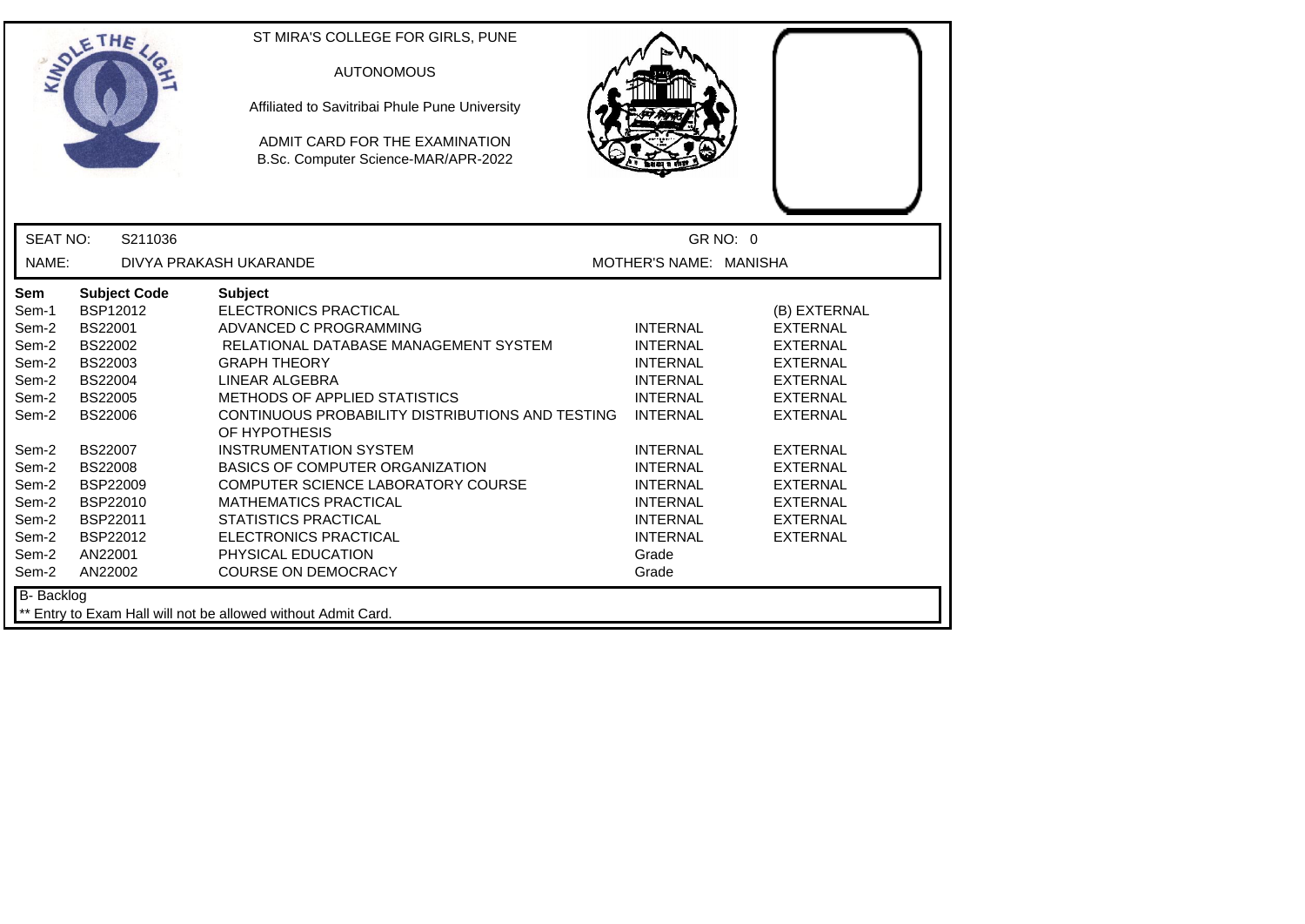|                                                                                      | ETHE                                                                                                                                                | ST MIRA'S COLLEGE FOR GIRLS, PUNE<br><b>AUTONOMOUS</b><br>Affiliated to Savitribai Phule Pune University<br>ADMIT CARD FOR THE EXAMINATION<br>B.Sc. Computer Science-MAR/APR-2022                                                                                                                                                    |                                                                                                                                                      |                                                                                                                                                                      |
|--------------------------------------------------------------------------------------|-----------------------------------------------------------------------------------------------------------------------------------------------------|--------------------------------------------------------------------------------------------------------------------------------------------------------------------------------------------------------------------------------------------------------------------------------------------------------------------------------------|------------------------------------------------------------------------------------------------------------------------------------------------------|----------------------------------------------------------------------------------------------------------------------------------------------------------------------|
| <b>SEAT NO:</b>                                                                      | S211036                                                                                                                                             |                                                                                                                                                                                                                                                                                                                                      |                                                                                                                                                      | GR NO: 0                                                                                                                                                             |
| NAME:                                                                                |                                                                                                                                                     | DIVYA PRAKASH UKARANDE                                                                                                                                                                                                                                                                                                               | MOTHER'S NAME: MANISHA                                                                                                                               |                                                                                                                                                                      |
| Sem<br>Sem-1<br>Sem-2<br>Sem-2<br>Sem-2<br>Sem-2<br>Sem-2<br>Sem-2<br>Sem-2<br>Sem-2 | <b>Subject Code</b><br>BSP12012<br>BS22001<br>BS22002<br>BS22003<br>BS22004<br><b>BS22005</b><br><b>BS22006</b><br><b>BS22007</b><br><b>BS22008</b> | <b>Subject</b><br><b>ELECTRONICS PRACTICAL</b><br>ADVANCED C PROGRAMMING<br>RELATIONAL DATABASE MANAGEMENT SYSTEM<br><b>GRAPH THEORY</b><br>LINEAR ALGEBRA<br>METHODS OF APPLIED STATISTICS<br>CONTINUOUS PROBABILITY DISTRIBUTIONS AND TESTING<br>OF HYPOTHESIS<br>INSTRUMENTATION SYSTEM<br><b>BASICS OF COMPUTER ORGANIZATION</b> | <b>INTERNAL</b><br><b>INTERNAL</b><br><b>INTERNAL</b><br><b>INTERNAL</b><br><b>INTERNAL</b><br><b>INTERNAL</b><br><b>INTERNAL</b><br><b>INTERNAL</b> | (B) EXTERNAL<br><b>EXTERNAL</b><br><b>EXTERNAL</b><br><b>EXTERNAL</b><br><b>EXTERNAL</b><br><b>EXTERNAL</b><br><b>EXTERNAL</b><br><b>EXTERNAL</b><br><b>EXTERNAL</b> |
| Sem-2<br>Sem-2<br>Sem-2<br>Sem-2<br>Sem-2<br>Sem-2                                   | <b>BSP22009</b><br>BSP22010<br>BSP22011<br>BSP22012<br>AN22001<br>AN22002                                                                           | COMPUTER SCIENCE LABORATORY COURSE<br><b>MATHEMATICS PRACTICAL</b><br><b>STATISTICS PRACTICAL</b><br><b>ELECTRONICS PRACTICAL</b><br>PHYSICAL EDUCATION<br><b>COURSE ON DEMOCRACY</b>                                                                                                                                                | <b>INTERNAL</b><br><b>INTERNAL</b><br><b>INTERNAL</b><br><b>INTERNAL</b><br>Grade<br>Grade                                                           | <b>EXTERNAL</b><br><b>EXTERNAL</b><br><b>EXTERNAL</b><br><b>EXTERNAL</b>                                                                                             |
| <b>B-</b> Backlog                                                                    |                                                                                                                                                     | ** Entry to Exam Hall will not be allowed without Admit Card.                                                                                                                                                                                                                                                                        |                                                                                                                                                      |                                                                                                                                                                      |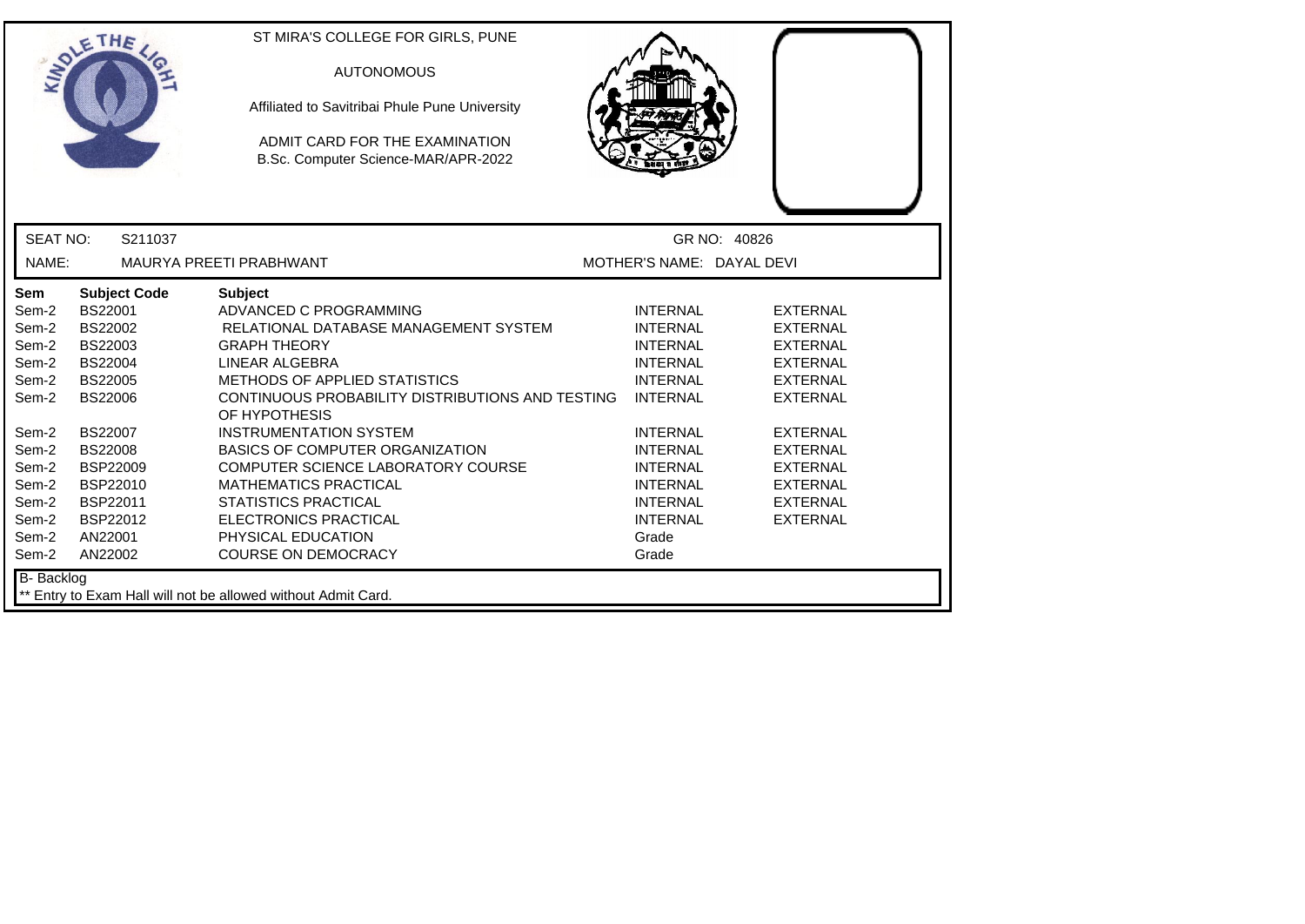|                                  | ETHE                                                            | ST MIRA'S COLLEGE FOR GIRLS, PUNE<br><b>AUTONOMOUS</b><br>Affiliated to Savitribai Phule Pune University<br>ADMIT CARD FOR THE EXAMINATION<br>B.Sc. Computer Science-MAR/APR-2022 |                                                                          |                                                                          |
|----------------------------------|-----------------------------------------------------------------|-----------------------------------------------------------------------------------------------------------------------------------------------------------------------------------|--------------------------------------------------------------------------|--------------------------------------------------------------------------|
| <b>SEAT NO:</b>                  | S211037                                                         |                                                                                                                                                                                   |                                                                          | GR NO: 40826                                                             |
| NAME:                            |                                                                 | MAURYA PREETI PRABHWANT                                                                                                                                                           | MOTHER'S NAME: DAYAL DEVI                                                |                                                                          |
| <b>Sem</b><br>Sem-2              | <b>Subject Code</b><br>BS22001<br>BS22002                       | <b>Subject</b><br>ADVANCED C PROGRAMMING<br>RELATIONAL DATABASE MANAGEMENT SYSTEM                                                                                                 | <b>INTERNAL</b><br><b>INTERNAL</b>                                       | <b>EXTERNAL</b><br><b>EXTERNAL</b>                                       |
| Sem-2<br>Sem-2<br>Sem-2          | BS22003<br><b>BS22004</b>                                       | <b>GRAPH THEORY</b><br>LINEAR ALGEBRA                                                                                                                                             | <b>INTERNAL</b><br><b>INTERNAL</b>                                       | <b>EXTERNAL</b><br><b>EXTERNAL</b>                                       |
| Sem-2<br>Sem-2                   | <b>BS22005</b><br>BS22006                                       | METHODS OF APPLIED STATISTICS<br>CONTINUOUS PROBABILITY DISTRIBUTIONS AND TESTING<br>OF HYPOTHESIS                                                                                | <b>INTERNAL</b><br><b>INTERNAL</b>                                       | <b>EXTERNAL</b><br><b>EXTERNAL</b>                                       |
| Sem-2<br>Sem-2<br>Sem-2<br>Sem-2 | <b>BS22007</b><br><b>BS22008</b><br><b>BSP22009</b><br>BSP22010 | <b>INSTRUMENTATION SYSTEM</b><br><b>BASICS OF COMPUTER ORGANIZATION</b><br>COMPUTER SCIENCE LABORATORY COURSE<br><b>MATHEMATICS PRACTICAL</b>                                     | <b>INTERNAL</b><br><b>INTERNAL</b><br><b>INTERNAL</b><br><b>INTERNAL</b> | <b>EXTERNAL</b><br><b>EXTERNAL</b><br><b>EXTERNAL</b><br><b>EXTERNAL</b> |
| Sem-2<br>Sem-2<br>Sem-2<br>Sem-2 | BSP22011<br>BSP22012<br>AN22001<br>AN22002                      | <b>STATISTICS PRACTICAL</b><br><b>ELECTRONICS PRACTICAL</b><br>PHYSICAL EDUCATION<br><b>COURSE ON DEMOCRACY</b>                                                                   | <b>INTERNAL</b><br><b>INTERNAL</b><br>Grade<br>Grade                     | <b>EXTERNAL</b><br><b>EXTERNAL</b>                                       |
| B- Backlog                       |                                                                 | ** Entry to Exam Hall will not be allowed without Admit Card.                                                                                                                     |                                                                          |                                                                          |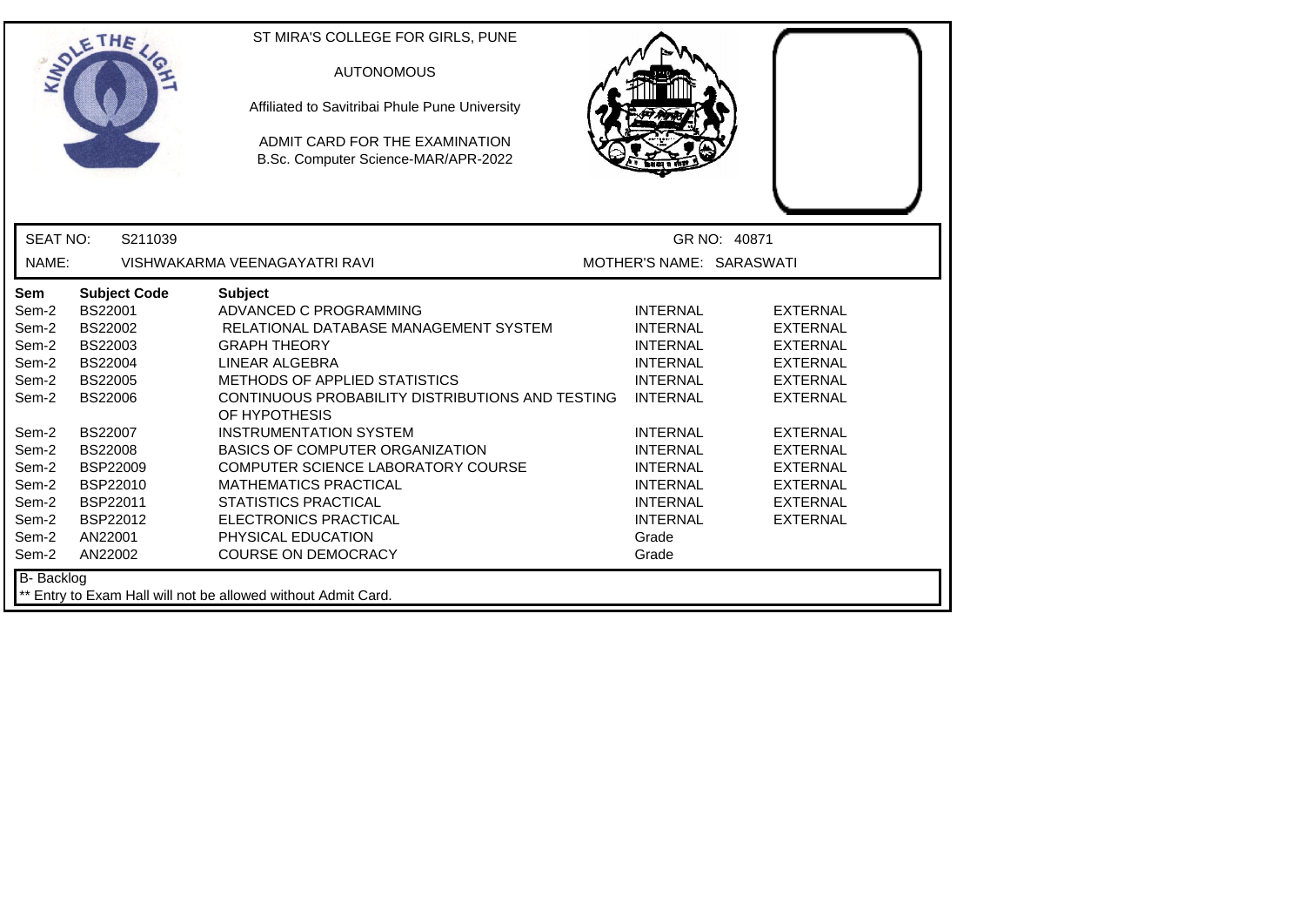|                 | ETHE                | ST MIRA'S COLLEGE FOR GIRLS, PUNE<br><b>AUTONOMOUS</b><br>Affiliated to Savitribai Phule Pune University<br>ADMIT CARD FOR THE EXAMINATION<br>B.Sc. Computer Science-MAR/APR-2022 |                          |                 |
|-----------------|---------------------|-----------------------------------------------------------------------------------------------------------------------------------------------------------------------------------|--------------------------|-----------------|
| <b>SEAT NO:</b> | S211039             |                                                                                                                                                                                   |                          | GR NO: 40871    |
| NAME:           |                     | VISHWAKARMA VEENAGAYATRI RAVI                                                                                                                                                     | MOTHER'S NAME: SARASWATI |                 |
| <b>Sem</b>      | <b>Subject Code</b> | <b>Subject</b>                                                                                                                                                                    |                          |                 |
| Sem-2           | BS22001             | ADVANCED C PROGRAMMING                                                                                                                                                            | <b>INTERNAL</b>          | <b>EXTERNAL</b> |
| Sem-2           | BS22002             | RELATIONAL DATABASE MANAGEMENT SYSTEM                                                                                                                                             | <b>INTERNAL</b>          | <b>EXTERNAL</b> |
| Sem-2           | BS22003             | <b>GRAPH THEORY</b>                                                                                                                                                               | <b>INTERNAL</b>          | <b>EXTERNAL</b> |
| Sem-2           | <b>BS22004</b>      | LINEAR ALGEBRA                                                                                                                                                                    | <b>INTERNAL</b>          | <b>EXTERNAL</b> |
| Sem-2           | <b>BS22005</b>      | <b>METHODS OF APPLIED STATISTICS</b>                                                                                                                                              | <b>INTERNAL</b>          | <b>EXTERNAL</b> |
| Sem-2           | <b>BS22006</b>      | CONTINUOUS PROBABILITY DISTRIBUTIONS AND TESTING<br>OF HYPOTHESIS                                                                                                                 | <b>INTERNAL</b>          | <b>EXTERNAL</b> |
| Sem-2           | <b>BS22007</b>      | <b>INSTRUMENTATION SYSTEM</b>                                                                                                                                                     | <b>INTERNAL</b>          | <b>EXTERNAL</b> |
| Sem-2           | <b>BS22008</b>      | <b>BASICS OF COMPUTER ORGANIZATION</b>                                                                                                                                            | <b>INTERNAL</b>          | <b>EXTERNAL</b> |
| Sem-2           | BSP22009            | COMPUTER SCIENCE LABORATORY COURSE                                                                                                                                                | <b>INTERNAL</b>          | <b>EXTERNAL</b> |
| Sem-2           | BSP22010            | <b>MATHEMATICS PRACTICAL</b>                                                                                                                                                      | <b>INTERNAL</b>          | <b>EXTERNAL</b> |
| Sem-2           | BSP22011            | <b>STATISTICS PRACTICAL</b>                                                                                                                                                       | <b>INTERNAL</b>          | <b>EXTERNAL</b> |
| Sem-2           | BSP22012            | ELECTRONICS PRACTICAL                                                                                                                                                             | <b>INTERNAL</b>          | <b>EXTERNAL</b> |
| Sem-2           | AN22001             | PHYSICAL EDUCATION                                                                                                                                                                | Grade                    |                 |
| Sem-2           | AN22002             | <b>COURSE ON DEMOCRACY</b>                                                                                                                                                        | Grade                    |                 |
| B-Backlog       |                     | ** Entry to Exam Hall will not be allowed without Admit Card.                                                                                                                     |                          |                 |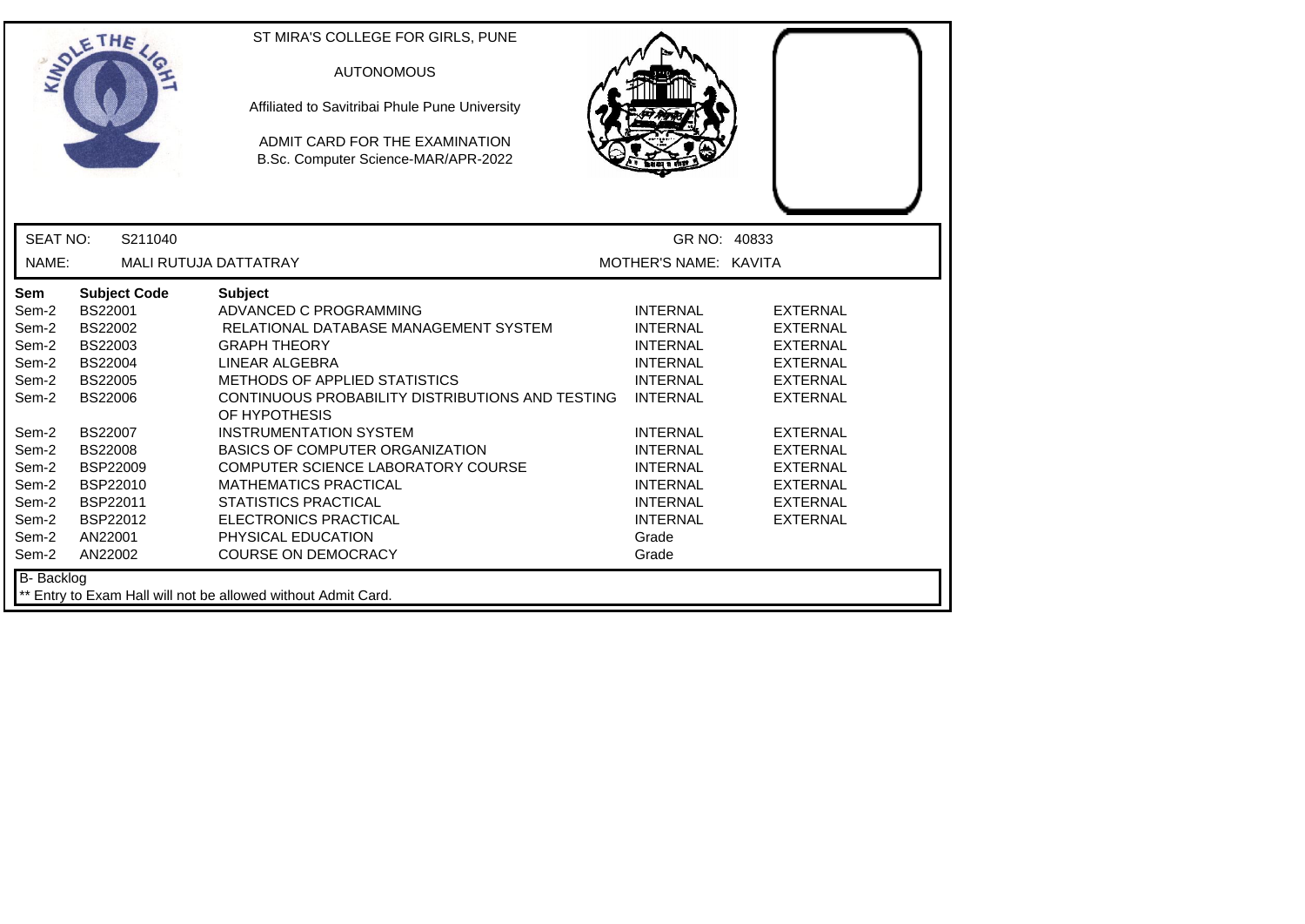|                                                                                                                                   | ETHE                                                                                                                                                                                                                               | ST MIRA'S COLLEGE FOR GIRLS, PUNE<br><b>AUTONOMOUS</b><br>Affiliated to Savitribai Phule Pune University<br>ADMIT CARD FOR THE EXAMINATION<br>B.Sc. Computer Science-MAR/APR-2022                                                                                                                                                                                                                                                                                                                           |                                                                                                                                                                                                                                                    |                                                                                                                                                                                                                                  |  |
|-----------------------------------------------------------------------------------------------------------------------------------|------------------------------------------------------------------------------------------------------------------------------------------------------------------------------------------------------------------------------------|-------------------------------------------------------------------------------------------------------------------------------------------------------------------------------------------------------------------------------------------------------------------------------------------------------------------------------------------------------------------------------------------------------------------------------------------------------------------------------------------------------------|----------------------------------------------------------------------------------------------------------------------------------------------------------------------------------------------------------------------------------------------------|----------------------------------------------------------------------------------------------------------------------------------------------------------------------------------------------------------------------------------|--|
| <b>SEAT NO:</b>                                                                                                                   | S211040                                                                                                                                                                                                                            |                                                                                                                                                                                                                                                                                                                                                                                                                                                                                                             | GR NO: 40833                                                                                                                                                                                                                                       |                                                                                                                                                                                                                                  |  |
| NAME:                                                                                                                             | MALI RUTUJA DATTATRAY                                                                                                                                                                                                              |                                                                                                                                                                                                                                                                                                                                                                                                                                                                                                             | MOTHER'S NAME: KAVITA                                                                                                                                                                                                                              |                                                                                                                                                                                                                                  |  |
| Sem<br>Sem-2<br>Sem-2<br>Sem-2<br>Sem-2<br>Sem-2<br>Sem-2<br>Sem-2<br>Sem-2<br>Sem-2<br>Sem-2<br>Sem-2<br>Sem-2<br>Sem-2<br>Sem-2 | <b>Subject Code</b><br>BS22001<br><b>BS22002</b><br>BS22003<br><b>BS22004</b><br><b>BS22005</b><br><b>BS22006</b><br><b>BS22007</b><br><b>BS22008</b><br><b>BSP22009</b><br>BSP22010<br>BSP22011<br>BSP22012<br>AN22001<br>AN22002 | <b>Subject</b><br>ADVANCED C PROGRAMMING<br>RELATIONAL DATABASE MANAGEMENT SYSTEM<br><b>GRAPH THEORY</b><br>LINEAR ALGEBRA<br><b>METHODS OF APPLIED STATISTICS</b><br>CONTINUOUS PROBABILITY DISTRIBUTIONS AND TESTING<br>OF HYPOTHESIS<br><b>INSTRUMENTATION SYSTEM</b><br><b>BASICS OF COMPUTER ORGANIZATION</b><br>COMPUTER SCIENCE LABORATORY COURSE<br><b>MATHEMATICS PRACTICAL</b><br><b>STATISTICS PRACTICAL</b><br><b>ELECTRONICS PRACTICAL</b><br>PHYSICAL EDUCATION<br><b>COURSE ON DEMOCRACY</b> | <b>INTERNAL</b><br><b>INTERNAL</b><br><b>INTERNAL</b><br><b>INTERNAL</b><br><b>INTERNAL</b><br><b>INTERNAL</b><br><b>INTERNAL</b><br><b>INTERNAL</b><br><b>INTERNAL</b><br><b>INTERNAL</b><br><b>INTERNAL</b><br><b>INTERNAL</b><br>Grade<br>Grade | <b>EXTERNAL</b><br><b>EXTERNAL</b><br><b>EXTERNAL</b><br><b>EXTERNAL</b><br><b>EXTERNAL</b><br><b>EXTERNAL</b><br><b>EXTERNAL</b><br><b>EXTERNAL</b><br><b>EXTERNAL</b><br><b>EXTERNAL</b><br><b>EXTERNAL</b><br><b>EXTERNAL</b> |  |
| <b>B-</b> Backlog                                                                                                                 |                                                                                                                                                                                                                                    | ** Entry to Exam Hall will not be allowed without Admit Card.                                                                                                                                                                                                                                                                                                                                                                                                                                               |                                                                                                                                                                                                                                                    |                                                                                                                                                                                                                                  |  |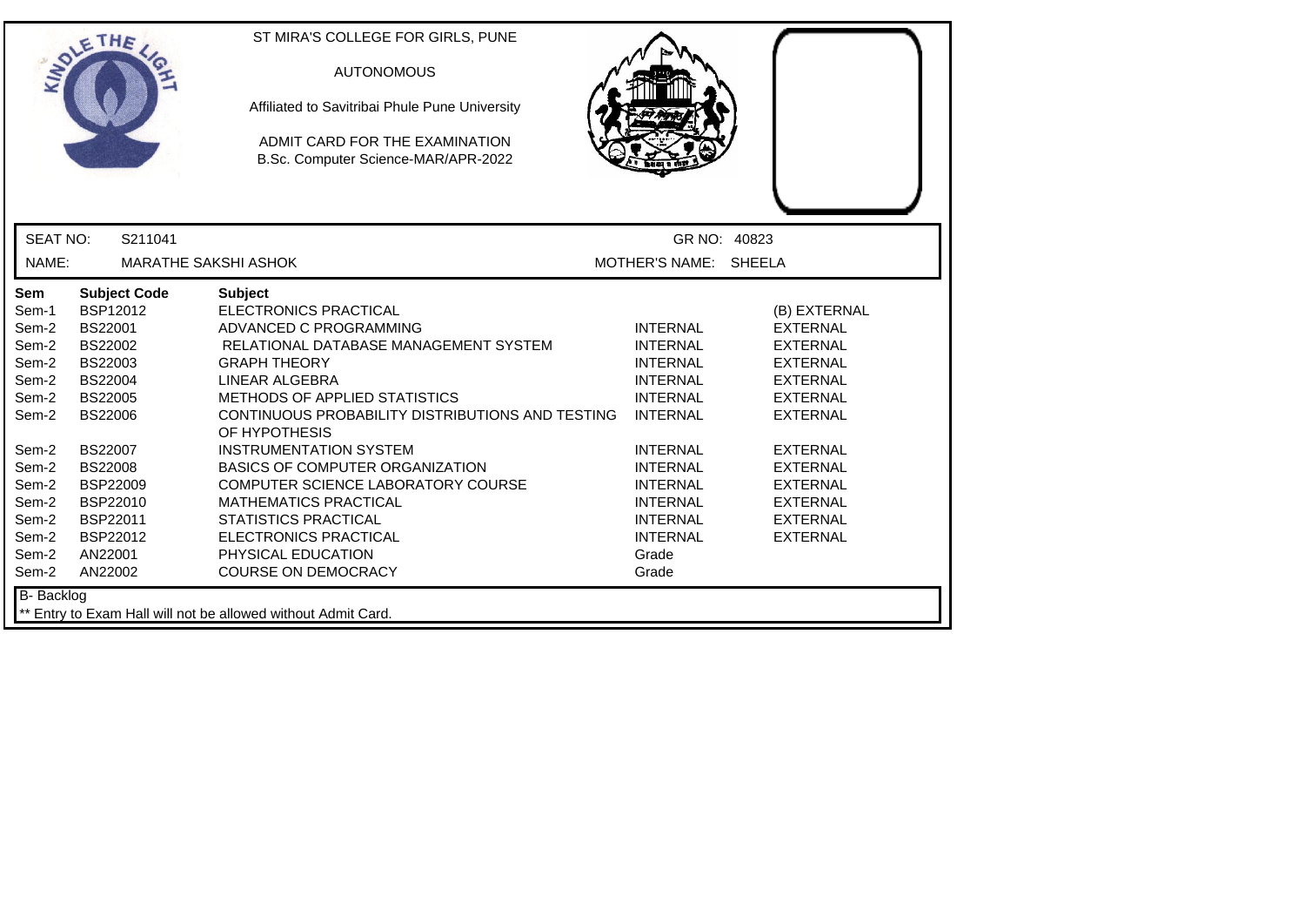|                 | ETHE                        | ST MIRA'S COLLEGE FOR GIRLS, PUNE<br><b>AUTONOMOUS</b><br>Affiliated to Savitribai Phule Pune University<br>ADMIT CARD FOR THE EXAMINATION<br>B.Sc. Computer Science-MAR/APR-2022 |                       |                 |
|-----------------|-----------------------------|-----------------------------------------------------------------------------------------------------------------------------------------------------------------------------------|-----------------------|-----------------|
| <b>SEAT NO:</b> | S211041                     |                                                                                                                                                                                   |                       | GR NO: 40823    |
| NAME:           | <b>MARATHE SAKSHI ASHOK</b> |                                                                                                                                                                                   | MOTHER'S NAME: SHEELA |                 |
| Sem             | <b>Subject Code</b>         | <b>Subject</b>                                                                                                                                                                    |                       |                 |
| Sem-1           | <b>BSP12012</b>             | <b>ELECTRONICS PRACTICAL</b>                                                                                                                                                      |                       | (B) EXTERNAL    |
| Sem-2           | <b>BS22001</b>              | ADVANCED C PROGRAMMING                                                                                                                                                            | <b>INTERNAL</b>       | <b>EXTERNAL</b> |
| Sem-2           | <b>BS22002</b>              | RELATIONAL DATABASE MANAGEMENT SYSTEM                                                                                                                                             | <b>INTERNAL</b>       | <b>EXTERNAL</b> |
| Sem-2           | BS22003                     | <b>GRAPH THEORY</b>                                                                                                                                                               | <b>INTERNAL</b>       | <b>EXTERNAL</b> |
| Sem-2           | <b>BS22004</b>              | LINEAR ALGEBRA                                                                                                                                                                    | <b>INTERNAL</b>       | <b>EXTERNAL</b> |
| Sem-2           | <b>BS22005</b>              | METHODS OF APPLIED STATISTICS                                                                                                                                                     | <b>INTERNAL</b>       | <b>EXTERNAL</b> |
| Sem-2           | <b>BS22006</b>              | CONTINUOUS PROBABILITY DISTRIBUTIONS AND TESTING<br>OF HYPOTHESIS                                                                                                                 | <b>INTERNAL</b>       | <b>EXTERNAL</b> |
| Sem-2           | <b>BS22007</b>              | <b>INSTRUMENTATION SYSTEM</b>                                                                                                                                                     | <b>INTERNAL</b>       | <b>EXTERNAL</b> |
| Sem-2           | <b>BS22008</b>              | BASICS OF COMPUTER ORGANIZATION                                                                                                                                                   | <b>INTERNAL</b>       | <b>EXTERNAL</b> |
| Sem-2           | <b>BSP22009</b>             | COMPUTER SCIENCE LABORATORY COURSE                                                                                                                                                | <b>INTERNAL</b>       | <b>EXTERNAL</b> |
| Sem-2           | BSP22010                    | <b>MATHEMATICS PRACTICAL</b>                                                                                                                                                      | <b>INTERNAL</b>       | <b>EXTERNAL</b> |
| Sem-2           | BSP22011                    | <b>STATISTICS PRACTICAL</b>                                                                                                                                                       | <b>INTERNAL</b>       | <b>EXTERNAL</b> |
| Sem-2           | BSP22012                    | <b>ELECTRONICS PRACTICAL</b>                                                                                                                                                      | <b>INTERNAL</b>       | <b>EXTERNAL</b> |
| Sem-2           | AN22001                     | PHYSICAL EDUCATION                                                                                                                                                                | Grade                 |                 |
| Sem-2           | AN22002                     | <b>COURSE ON DEMOCRACY</b>                                                                                                                                                        | Grade                 |                 |
| B- Backlog      |                             | ** Entry to Exam Hall will not be allowed without Admit Card.                                                                                                                     |                       |                 |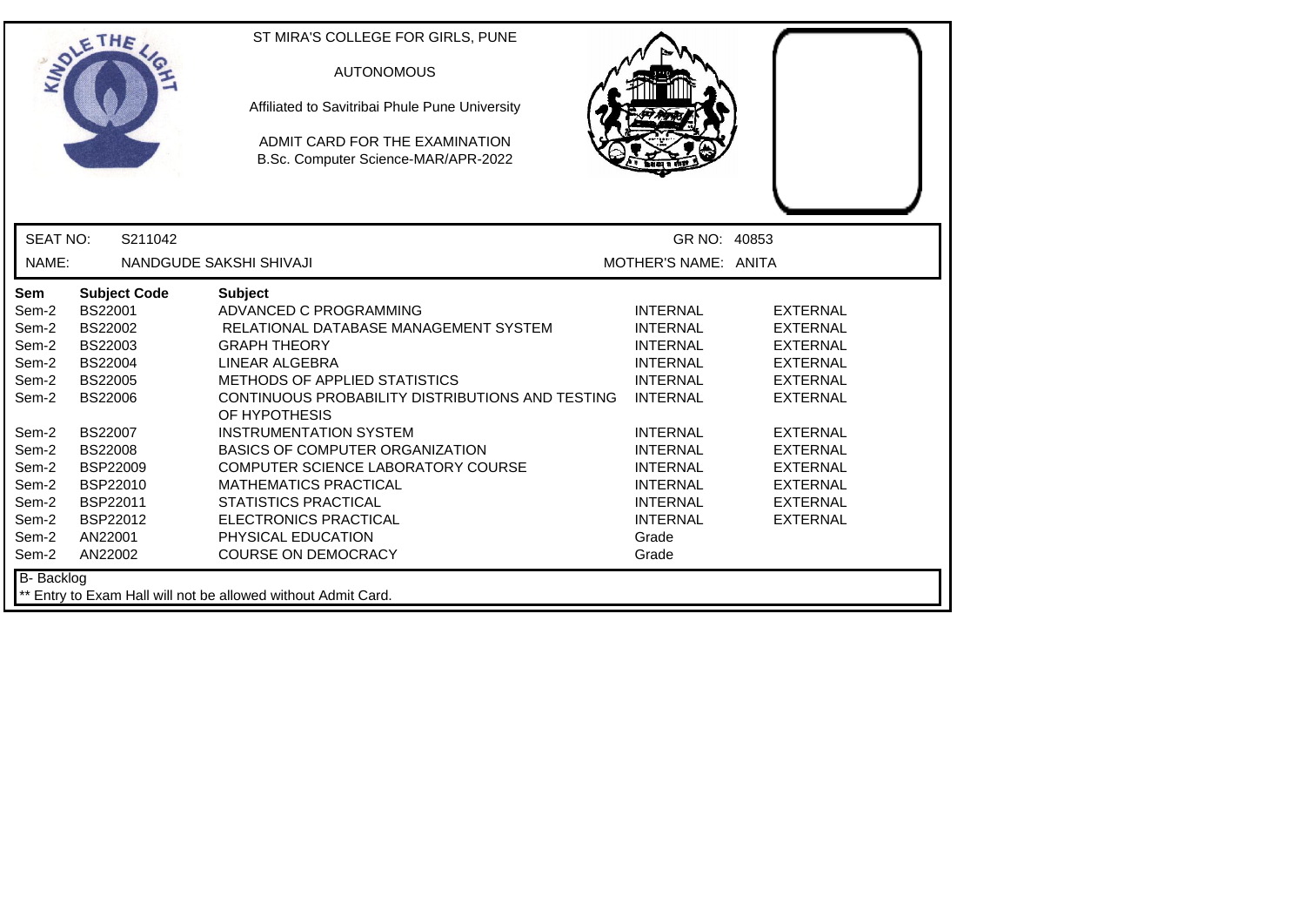|                                                                                                                                   | ETHE                                                                                                                                                                                                                                      | ST MIRA'S COLLEGE FOR GIRLS, PUNE<br><b>AUTONOMOUS</b><br>Affiliated to Savitribai Phule Pune University<br>ADMIT CARD FOR THE EXAMINATION<br>B.Sc. Computer Science-MAR/APR-2022                                                                                                                                                                                                                                                                                                                    |                                                                                                                                                                                                                                                    |                                                                                                                                                                                                                                  |
|-----------------------------------------------------------------------------------------------------------------------------------|-------------------------------------------------------------------------------------------------------------------------------------------------------------------------------------------------------------------------------------------|------------------------------------------------------------------------------------------------------------------------------------------------------------------------------------------------------------------------------------------------------------------------------------------------------------------------------------------------------------------------------------------------------------------------------------------------------------------------------------------------------|----------------------------------------------------------------------------------------------------------------------------------------------------------------------------------------------------------------------------------------------------|----------------------------------------------------------------------------------------------------------------------------------------------------------------------------------------------------------------------------------|
| <b>SEAT NO:</b>                                                                                                                   | S211042                                                                                                                                                                                                                                   |                                                                                                                                                                                                                                                                                                                                                                                                                                                                                                      | GR NO: 40853                                                                                                                                                                                                                                       |                                                                                                                                                                                                                                  |
| NAME:                                                                                                                             |                                                                                                                                                                                                                                           | NANDGUDE SAKSHI SHIVAJI                                                                                                                                                                                                                                                                                                                                                                                                                                                                              | MOTHER'S NAME: ANITA                                                                                                                                                                                                                               |                                                                                                                                                                                                                                  |
| Sem<br>Sem-2<br>Sem-2<br>Sem-2<br>Sem-2<br>Sem-2<br>Sem-2<br>Sem-2<br>Sem-2<br>Sem-2<br>Sem-2<br>Sem-2<br>Sem-2<br>Sem-2<br>Sem-2 | <b>Subject Code</b><br><b>BS22001</b><br>BS22002<br><b>BS22003</b><br><b>BS22004</b><br><b>BS22005</b><br><b>BS22006</b><br><b>BS22007</b><br><b>BS22008</b><br><b>BSP22009</b><br>BSP22010<br>BSP22011<br>BSP22012<br>AN22001<br>AN22002 | <b>Subject</b><br>ADVANCED C PROGRAMMING<br>RELATIONAL DATABASE MANAGEMENT SYSTEM<br><b>GRAPH THEORY</b><br>LINEAR ALGEBRA<br>METHODS OF APPLIED STATISTICS<br>CONTINUOUS PROBABILITY DISTRIBUTIONS AND TESTING<br>OF HYPOTHESIS<br><b>INSTRUMENTATION SYSTEM</b><br><b>BASICS OF COMPUTER ORGANIZATION</b><br>COMPUTER SCIENCE LABORATORY COURSE<br><b>MATHEMATICS PRACTICAL</b><br><b>STATISTICS PRACTICAL</b><br><b>ELECTRONICS PRACTICAL</b><br>PHYSICAL EDUCATION<br><b>COURSE ON DEMOCRACY</b> | <b>INTERNAL</b><br><b>INTERNAL</b><br><b>INTERNAL</b><br><b>INTERNAL</b><br><b>INTERNAL</b><br><b>INTERNAL</b><br><b>INTERNAL</b><br><b>INTERNAL</b><br><b>INTERNAL</b><br><b>INTERNAL</b><br><b>INTERNAL</b><br><b>INTERNAL</b><br>Grade<br>Grade | <b>EXTERNAL</b><br><b>EXTERNAL</b><br><b>EXTERNAL</b><br><b>EXTERNAL</b><br><b>EXTERNAL</b><br><b>EXTERNAL</b><br><b>EXTERNAL</b><br><b>EXTERNAL</b><br><b>EXTERNAL</b><br><b>EXTERNAL</b><br><b>EXTERNAL</b><br><b>EXTERNAL</b> |
| B- Backlog                                                                                                                        |                                                                                                                                                                                                                                           | ** Entry to Exam Hall will not be allowed without Admit Card.                                                                                                                                                                                                                                                                                                                                                                                                                                        |                                                                                                                                                                                                                                                    |                                                                                                                                                                                                                                  |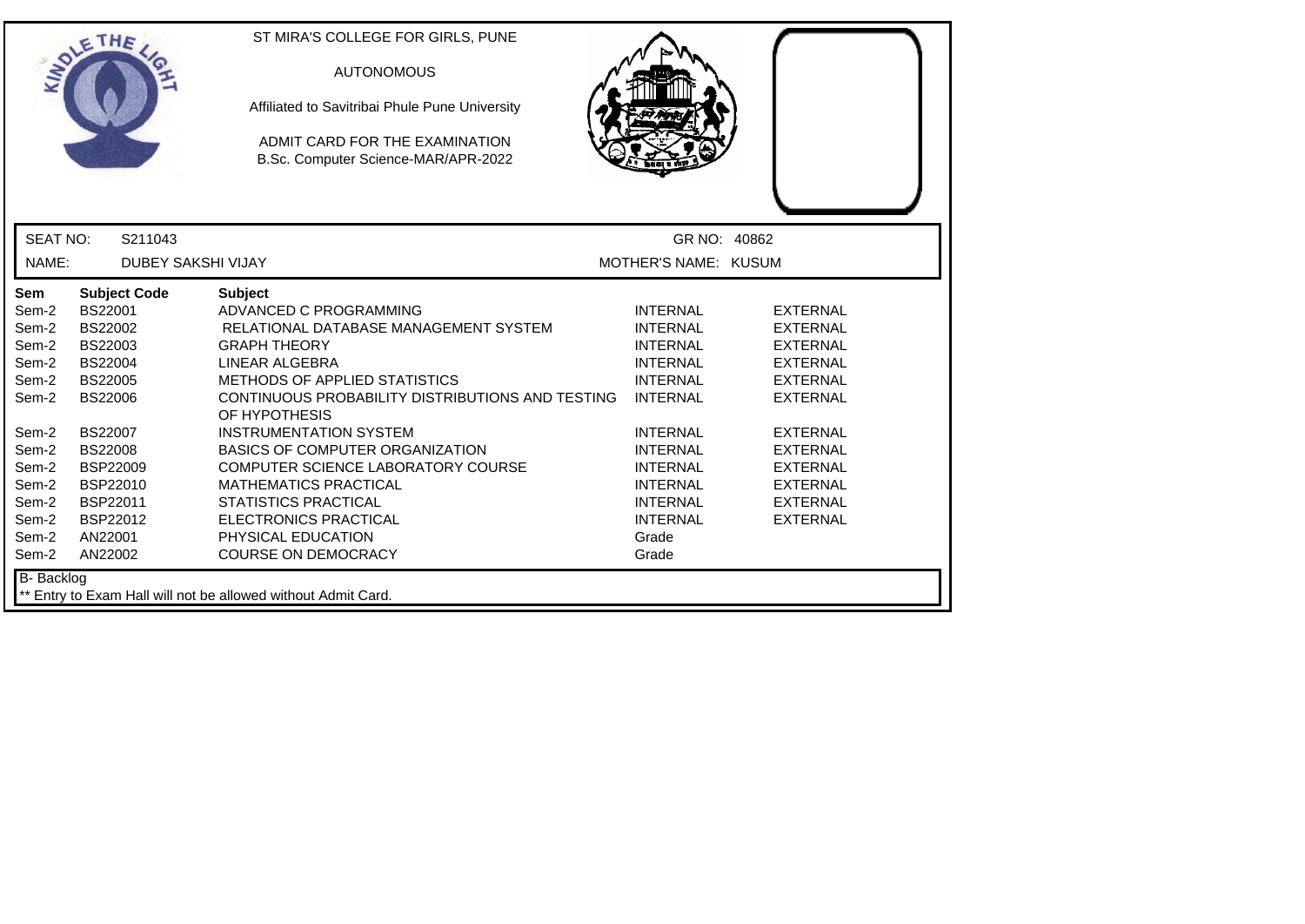|                                                                                                                                   | ETHE                                                                                                                                                                                                                               | ST MIRA'S COLLEGE FOR GIRLS, PUNE<br><b>AUTONOMOUS</b><br>Affiliated to Savitribai Phule Pune University<br>ADMIT CARD FOR THE EXAMINATION<br>B.Sc. Computer Science-MAR/APR-2022                                                                                                                                                                                                                                                                                                                    |                                                                                                                                                                                                                                                    |                                                                                                                                                                                                                           |
|-----------------------------------------------------------------------------------------------------------------------------------|------------------------------------------------------------------------------------------------------------------------------------------------------------------------------------------------------------------------------------|------------------------------------------------------------------------------------------------------------------------------------------------------------------------------------------------------------------------------------------------------------------------------------------------------------------------------------------------------------------------------------------------------------------------------------------------------------------------------------------------------|----------------------------------------------------------------------------------------------------------------------------------------------------------------------------------------------------------------------------------------------------|---------------------------------------------------------------------------------------------------------------------------------------------------------------------------------------------------------------------------|
| <b>SEAT NO:</b>                                                                                                                   | S211043                                                                                                                                                                                                                            |                                                                                                                                                                                                                                                                                                                                                                                                                                                                                                      | GR NO: 40862                                                                                                                                                                                                                                       |                                                                                                                                                                                                                           |
| NAME:                                                                                                                             | <b>DUBEY SAKSHI VIJAY</b>                                                                                                                                                                                                          |                                                                                                                                                                                                                                                                                                                                                                                                                                                                                                      | MOTHER'S NAME: KUSUM                                                                                                                                                                                                                               |                                                                                                                                                                                                                           |
| Sem<br>Sem-2<br>Sem-2<br>Sem-2<br>Sem-2<br>Sem-2<br>Sem-2<br>Sem-2<br>Sem-2<br>Sem-2<br>Sem-2<br>Sem-2<br>Sem-2<br>Sem-2<br>Sem-2 | <b>Subject Code</b><br><b>BS22001</b><br><b>BS22002</b><br>BS22003<br><b>BS22004</b><br><b>BS22005</b><br>BS22006<br><b>BS22007</b><br><b>BS22008</b><br><b>BSP22009</b><br>BSP22010<br>BSP22011<br>BSP22012<br>AN22001<br>AN22002 | <b>Subject</b><br>ADVANCED C PROGRAMMING<br>RELATIONAL DATABASE MANAGEMENT SYSTEM<br><b>GRAPH THEORY</b><br>LINEAR ALGEBRA<br><b>METHODS OF APPLIED STATISTICS</b><br>CONTINUOUS PROBABILITY DISTRIBUTIONS AND TESTING<br>OF HYPOTHESIS<br><b>INSTRUMENTATION SYSTEM</b><br>BASICS OF COMPUTER ORGANIZATION<br>COMPUTER SCIENCE LABORATORY COURSE<br><b>MATHEMATICS PRACTICAL</b><br><b>STATISTICS PRACTICAL</b><br><b>ELECTRONICS PRACTICAL</b><br>PHYSICAL EDUCATION<br><b>COURSE ON DEMOCRACY</b> | <b>INTERNAL</b><br><b>INTERNAL</b><br><b>INTERNAL</b><br><b>INTERNAL</b><br><b>INTERNAL</b><br><b>INTERNAL</b><br><b>INTERNAL</b><br><b>INTERNAL</b><br><b>INTERNAL</b><br><b>INTERNAL</b><br><b>INTERNAL</b><br><b>INTERNAL</b><br>Grade<br>Grade | <b>EXTERNAL</b><br><b>EXTERNAL</b><br><b>EXTERNAL</b><br><b>EXTERNAL</b><br><b>EXTERNAL</b><br><b>EXTERNAL</b><br><b>EXTERNAL</b><br>EXTERNAL<br><b>EXTERNAL</b><br><b>EXTERNAL</b><br><b>EXTERNAL</b><br><b>EXTERNAL</b> |
| B- Backlog                                                                                                                        |                                                                                                                                                                                                                                    | ** Entry to Exam Hall will not be allowed without Admit Card.                                                                                                                                                                                                                                                                                                                                                                                                                                        |                                                                                                                                                                                                                                                    |                                                                                                                                                                                                                           |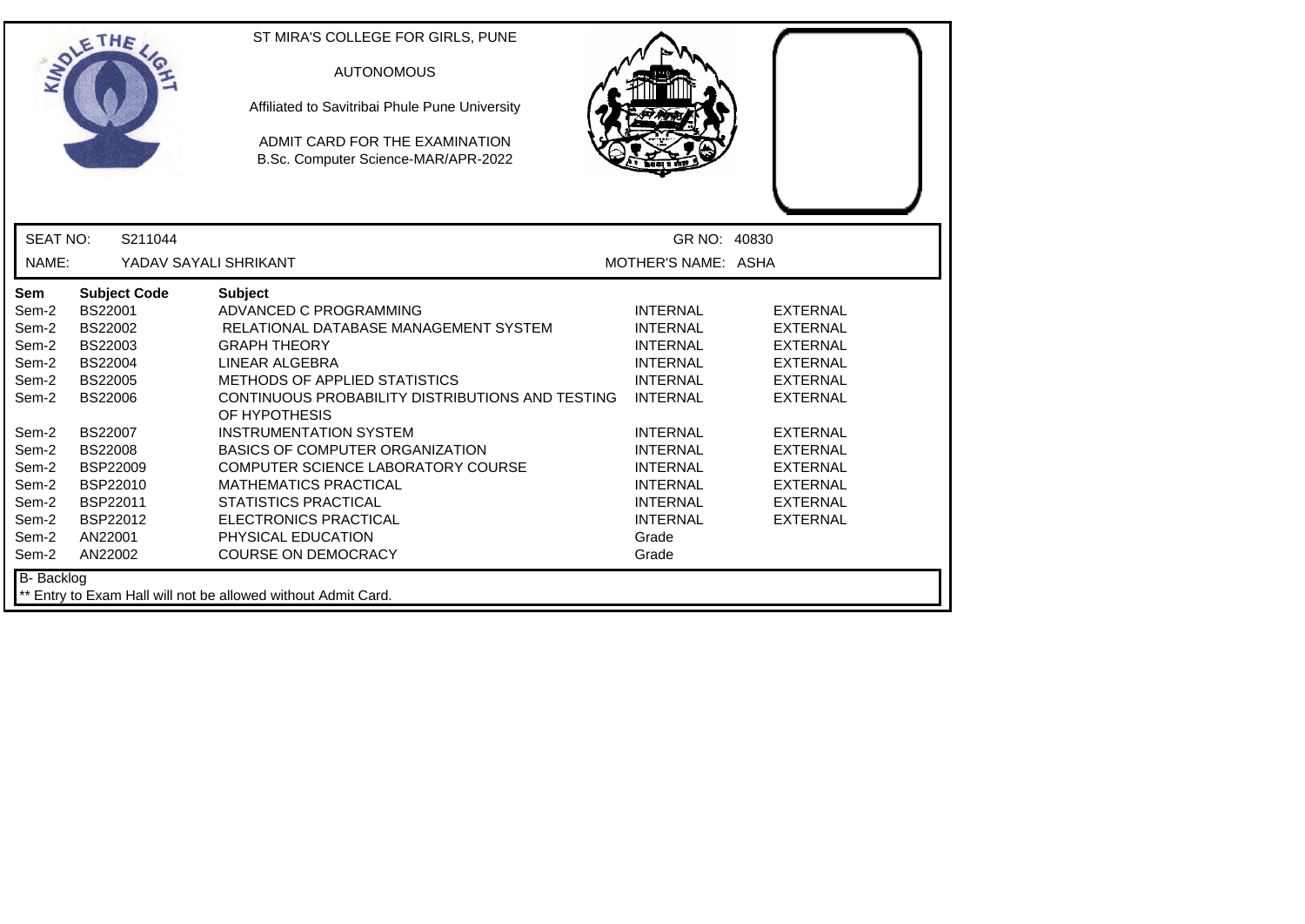|                                                                                                                                          | ETHE                                                                                                                                                                                                                 | ST MIRA'S COLLEGE FOR GIRLS, PUNE<br><b>AUTONOMOUS</b><br>Affiliated to Savitribai Phule Pune University<br>ADMIT CARD FOR THE EXAMINATION<br>B.Sc. Computer Science-MAR/APR-2022                                                                                                                                                                                                                                                                                                                    |                                                                                                                                                                                                                                                    |                                                                                                                                                                                                                                  |
|------------------------------------------------------------------------------------------------------------------------------------------|----------------------------------------------------------------------------------------------------------------------------------------------------------------------------------------------------------------------|------------------------------------------------------------------------------------------------------------------------------------------------------------------------------------------------------------------------------------------------------------------------------------------------------------------------------------------------------------------------------------------------------------------------------------------------------------------------------------------------------|----------------------------------------------------------------------------------------------------------------------------------------------------------------------------------------------------------------------------------------------------|----------------------------------------------------------------------------------------------------------------------------------------------------------------------------------------------------------------------------------|
| <b>SEAT NO:</b>                                                                                                                          | S211044                                                                                                                                                                                                              |                                                                                                                                                                                                                                                                                                                                                                                                                                                                                                      | GR NO: 40830                                                                                                                                                                                                                                       |                                                                                                                                                                                                                                  |
| NAME:                                                                                                                                    | YADAV SAYALI SHRIKANT                                                                                                                                                                                                |                                                                                                                                                                                                                                                                                                                                                                                                                                                                                                      | MOTHER'S NAME: ASHA                                                                                                                                                                                                                                |                                                                                                                                                                                                                                  |
| <b>Sem</b><br>Sem-2<br>Sem-2<br>Sem-2<br>Sem-2<br>Sem-2<br>Sem-2<br>Sem-2<br>Sem-2<br>Sem-2<br>Sem-2<br>Sem-2<br>Sem-2<br>Sem-2<br>Sem-2 | <b>Subject Code</b><br>BS22001<br>BS22002<br>BS22003<br><b>BS22004</b><br><b>BS22005</b><br><b>BS22006</b><br>BS22007<br><b>BS22008</b><br><b>BSP22009</b><br>BSP22010<br>BSP22011<br>BSP22012<br>AN22001<br>AN22002 | <b>Subject</b><br>ADVANCED C PROGRAMMING<br>RELATIONAL DATABASE MANAGEMENT SYSTEM<br><b>GRAPH THEORY</b><br>LINEAR ALGEBRA<br>METHODS OF APPLIED STATISTICS<br>CONTINUOUS PROBABILITY DISTRIBUTIONS AND TESTING<br>OF HYPOTHESIS<br><b>INSTRUMENTATION SYSTEM</b><br><b>BASICS OF COMPUTER ORGANIZATION</b><br>COMPUTER SCIENCE LABORATORY COURSE<br><b>MATHEMATICS PRACTICAL</b><br><b>STATISTICS PRACTICAL</b><br><b>ELECTRONICS PRACTICAL</b><br>PHYSICAL EDUCATION<br><b>COURSE ON DEMOCRACY</b> | <b>INTERNAL</b><br><b>INTERNAL</b><br><b>INTERNAL</b><br><b>INTERNAL</b><br><b>INTERNAL</b><br><b>INTERNAL</b><br><b>INTERNAL</b><br><b>INTERNAL</b><br><b>INTERNAL</b><br><b>INTERNAL</b><br><b>INTERNAL</b><br><b>INTERNAL</b><br>Grade<br>Grade | <b>EXTERNAL</b><br><b>EXTERNAL</b><br><b>EXTERNAL</b><br><b>EXTERNAL</b><br><b>EXTERNAL</b><br><b>EXTERNAL</b><br><b>EXTERNAL</b><br><b>EXTERNAL</b><br><b>EXTERNAL</b><br><b>EXTERNAL</b><br><b>EXTERNAL</b><br><b>EXTERNAL</b> |
| B- Backlog                                                                                                                               |                                                                                                                                                                                                                      | ** Entry to Exam Hall will not be allowed without Admit Card.                                                                                                                                                                                                                                                                                                                                                                                                                                        |                                                                                                                                                                                                                                                    |                                                                                                                                                                                                                                  |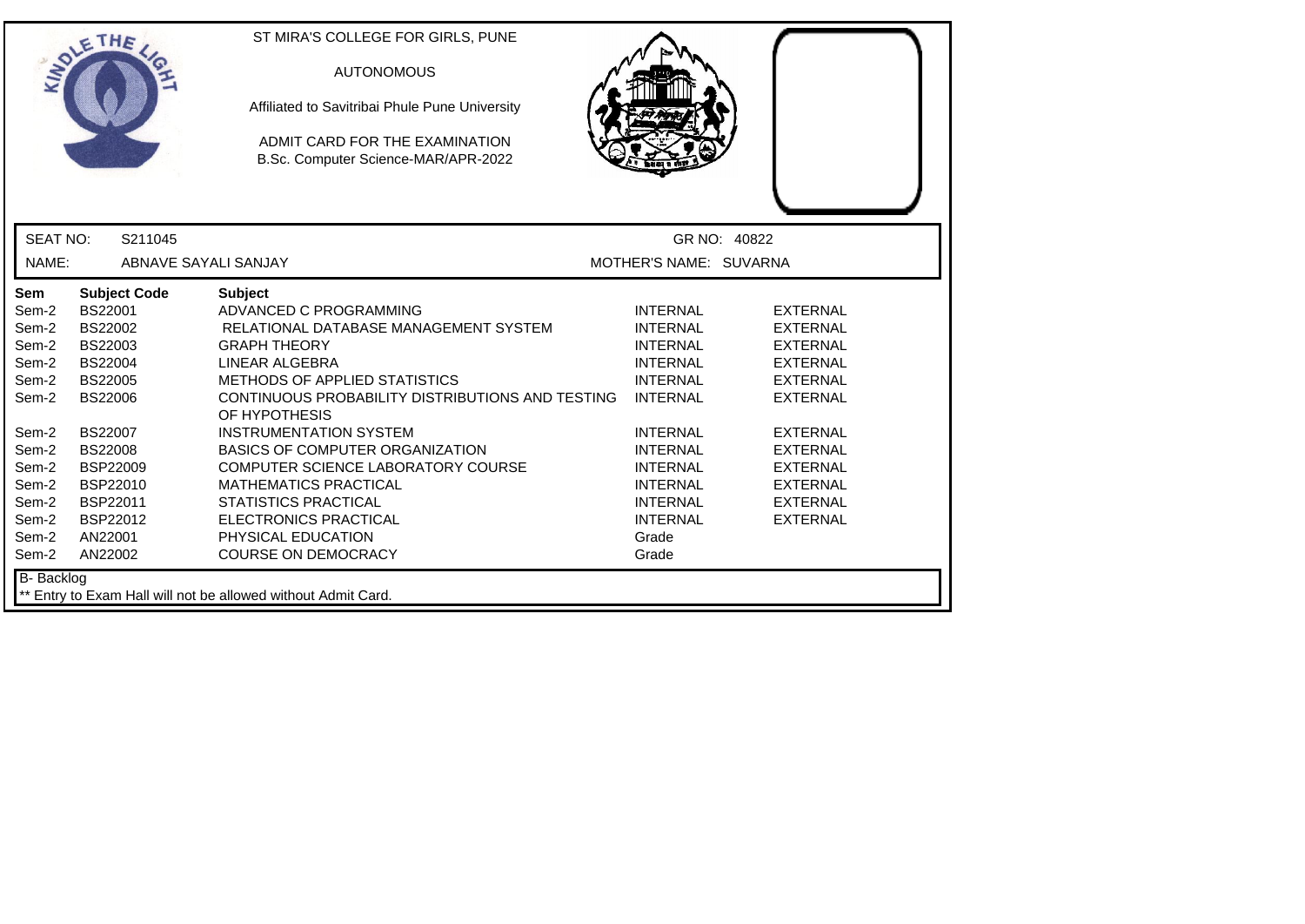|                                                                                                                                          | ETHE                                                                                                                                                                                                                               | ST MIRA'S COLLEGE FOR GIRLS, PUNE<br><b>AUTONOMOUS</b><br>Affiliated to Savitribai Phule Pune University<br>ADMIT CARD FOR THE EXAMINATION<br>B.Sc. Computer Science-MAR/APR-2022                                                                                                                                                                                                                                                                                                                    |                                                                                                                                                                                                                                                    |                                                                                                                                                                                                                                  |
|------------------------------------------------------------------------------------------------------------------------------------------|------------------------------------------------------------------------------------------------------------------------------------------------------------------------------------------------------------------------------------|------------------------------------------------------------------------------------------------------------------------------------------------------------------------------------------------------------------------------------------------------------------------------------------------------------------------------------------------------------------------------------------------------------------------------------------------------------------------------------------------------|----------------------------------------------------------------------------------------------------------------------------------------------------------------------------------------------------------------------------------------------------|----------------------------------------------------------------------------------------------------------------------------------------------------------------------------------------------------------------------------------|
| SEAT NO:                                                                                                                                 | S211045                                                                                                                                                                                                                            |                                                                                                                                                                                                                                                                                                                                                                                                                                                                                                      |                                                                                                                                                                                                                                                    | GR NO: 40822                                                                                                                                                                                                                     |
| NAME:                                                                                                                                    | ABNAVE SAYALI SANJAY                                                                                                                                                                                                               |                                                                                                                                                                                                                                                                                                                                                                                                                                                                                                      | MOTHER'S NAME: SUVARNA                                                                                                                                                                                                                             |                                                                                                                                                                                                                                  |
| <b>Sem</b><br>Sem-2<br>Sem-2<br>Sem-2<br>Sem-2<br>Sem-2<br>Sem-2<br>Sem-2<br>Sem-2<br>Sem-2<br>Sem-2<br>Sem-2<br>Sem-2<br>Sem-2<br>Sem-2 | <b>Subject Code</b><br><b>BS22001</b><br>BS22002<br>BS22003<br><b>BS22004</b><br><b>BS22005</b><br><b>BS22006</b><br><b>BS22007</b><br><b>BS22008</b><br><b>BSP22009</b><br>BSP22010<br>BSP22011<br>BSP22012<br>AN22001<br>AN22002 | <b>Subject</b><br>ADVANCED C PROGRAMMING<br>RELATIONAL DATABASE MANAGEMENT SYSTEM<br><b>GRAPH THEORY</b><br>LINEAR ALGEBRA<br>METHODS OF APPLIED STATISTICS<br>CONTINUOUS PROBABILITY DISTRIBUTIONS AND TESTING<br>OF HYPOTHESIS<br><b>INSTRUMENTATION SYSTEM</b><br><b>BASICS OF COMPUTER ORGANIZATION</b><br>COMPUTER SCIENCE LABORATORY COURSE<br><b>MATHEMATICS PRACTICAL</b><br><b>STATISTICS PRACTICAL</b><br><b>ELECTRONICS PRACTICAL</b><br>PHYSICAL EDUCATION<br><b>COURSE ON DEMOCRACY</b> | <b>INTERNAL</b><br><b>INTERNAL</b><br><b>INTERNAL</b><br><b>INTERNAL</b><br><b>INTERNAL</b><br><b>INTERNAL</b><br><b>INTERNAL</b><br><b>INTERNAL</b><br><b>INTERNAL</b><br><b>INTERNAL</b><br><b>INTERNAL</b><br><b>INTERNAL</b><br>Grade<br>Grade | <b>EXTERNAL</b><br><b>EXTERNAL</b><br><b>EXTERNAL</b><br><b>EXTERNAL</b><br><b>EXTERNAL</b><br><b>EXTERNAL</b><br><b>EXTERNAL</b><br><b>EXTERNAL</b><br><b>EXTERNAL</b><br><b>EXTERNAL</b><br><b>EXTERNAL</b><br><b>EXTERNAL</b> |
| B- Backlog                                                                                                                               |                                                                                                                                                                                                                                    | ** Entry to Exam Hall will not be allowed without Admit Card.                                                                                                                                                                                                                                                                                                                                                                                                                                        |                                                                                                                                                                                                                                                    |                                                                                                                                                                                                                                  |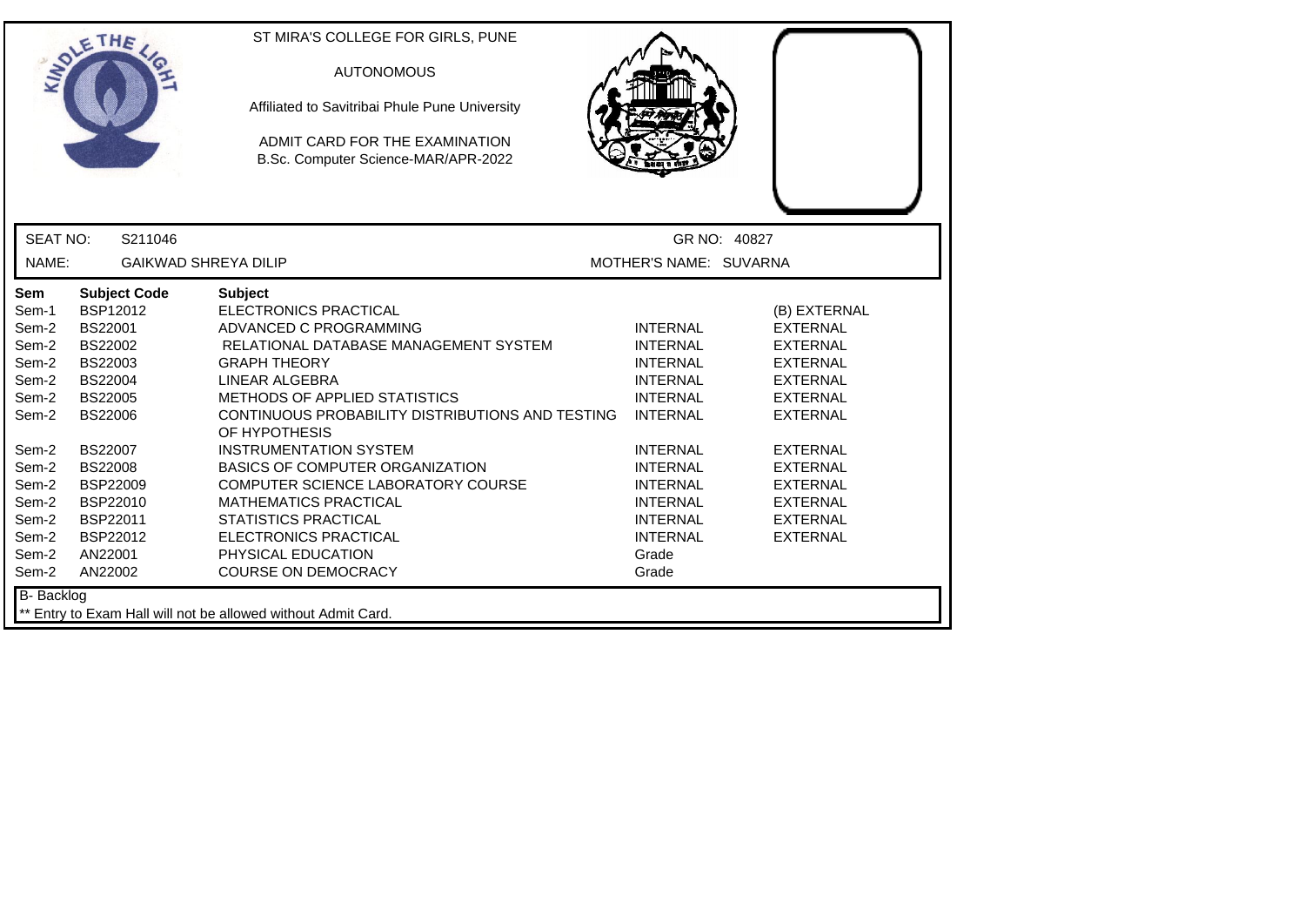| <b>SEAT NO:</b><br>S211046<br>GR NO: 40827<br>NAME:<br><b>GAIKWAD SHREYA DILIP</b><br>MOTHER'S NAME: SUVARNA<br>Sem<br><b>Subject Code</b><br><b>Subject</b><br><b>ELECTRONICS PRACTICAL</b><br>Sem-1<br>BSP12012<br>(B) EXTERNAL<br><b>BS22001</b><br>Sem-2<br>ADVANCED C PROGRAMMING<br><b>INTERNAL</b><br><b>EXTERNAL</b><br>BS22002<br>Sem-2<br>RELATIONAL DATABASE MANAGEMENT SYSTEM<br><b>INTERNAL</b><br><b>EXTERNAL</b><br>Sem-2<br>BS22003<br><b>GRAPH THEORY</b><br><b>INTERNAL</b><br><b>EXTERNAL</b><br>Sem-2<br><b>BS22004</b><br>LINEAR ALGEBRA<br><b>INTERNAL</b><br><b>EXTERNAL</b><br><b>BS22005</b><br>METHODS OF APPLIED STATISTICS<br>Sem-2<br><b>INTERNAL</b><br><b>EXTERNAL</b><br>CONTINUOUS PROBABILITY DISTRIBUTIONS AND TESTING<br><b>BS22006</b><br><b>INTERNAL</b><br><b>EXTERNAL</b><br>Sem-2<br>OF HYPOTHESIS<br><b>BS22007</b><br><b>INSTRUMENTATION SYSTEM</b><br><b>INTERNAL</b><br><b>EXTERNAL</b><br>Sem-2<br><b>BS22008</b><br>BASICS OF COMPUTER ORGANIZATION<br>Sem-2<br><b>INTERNAL</b><br><b>EXTERNAL</b><br>Sem-2<br><b>BSP22009</b><br>COMPUTER SCIENCE LABORATORY COURSE<br><b>INTERNAL</b><br><b>EXTERNAL</b><br>Sem-2<br>BSP22010<br><b>MATHEMATICS PRACTICAL</b><br><b>INTERNAL</b><br><b>EXTERNAL</b><br>BSP22011<br><b>STATISTICS PRACTICAL</b><br>Sem-2<br><b>INTERNAL</b><br><b>EXTERNAL</b><br>BSP22012<br>Sem-2<br><b>ELECTRONICS PRACTICAL</b><br><b>INTERNAL</b><br><b>EXTERNAL</b><br>PHYSICAL EDUCATION<br>Sem-2<br>AN22001<br>Grade<br><b>COURSE ON DEMOCRACY</b><br>Sem-2<br>AN22002<br>Grade | ETHE | ST MIRA'S COLLEGE FOR GIRLS, PUNE<br><b>AUTONOMOUS</b><br>Affiliated to Savitribai Phule Pune University<br>ADMIT CARD FOR THE EXAMINATION<br>B.Sc. Computer Science-MAR/APR-2022 |  |
|---------------------------------------------------------------------------------------------------------------------------------------------------------------------------------------------------------------------------------------------------------------------------------------------------------------------------------------------------------------------------------------------------------------------------------------------------------------------------------------------------------------------------------------------------------------------------------------------------------------------------------------------------------------------------------------------------------------------------------------------------------------------------------------------------------------------------------------------------------------------------------------------------------------------------------------------------------------------------------------------------------------------------------------------------------------------------------------------------------------------------------------------------------------------------------------------------------------------------------------------------------------------------------------------------------------------------------------------------------------------------------------------------------------------------------------------------------------------------------------------------------------------------------------------------------|------|-----------------------------------------------------------------------------------------------------------------------------------------------------------------------------------|--|
|                                                                                                                                                                                                                                                                                                                                                                                                                                                                                                                                                                                                                                                                                                                                                                                                                                                                                                                                                                                                                                                                                                                                                                                                                                                                                                                                                                                                                                                                                                                                                         |      |                                                                                                                                                                                   |  |
|                                                                                                                                                                                                                                                                                                                                                                                                                                                                                                                                                                                                                                                                                                                                                                                                                                                                                                                                                                                                                                                                                                                                                                                                                                                                                                                                                                                                                                                                                                                                                         |      |                                                                                                                                                                                   |  |
|                                                                                                                                                                                                                                                                                                                                                                                                                                                                                                                                                                                                                                                                                                                                                                                                                                                                                                                                                                                                                                                                                                                                                                                                                                                                                                                                                                                                                                                                                                                                                         |      |                                                                                                                                                                                   |  |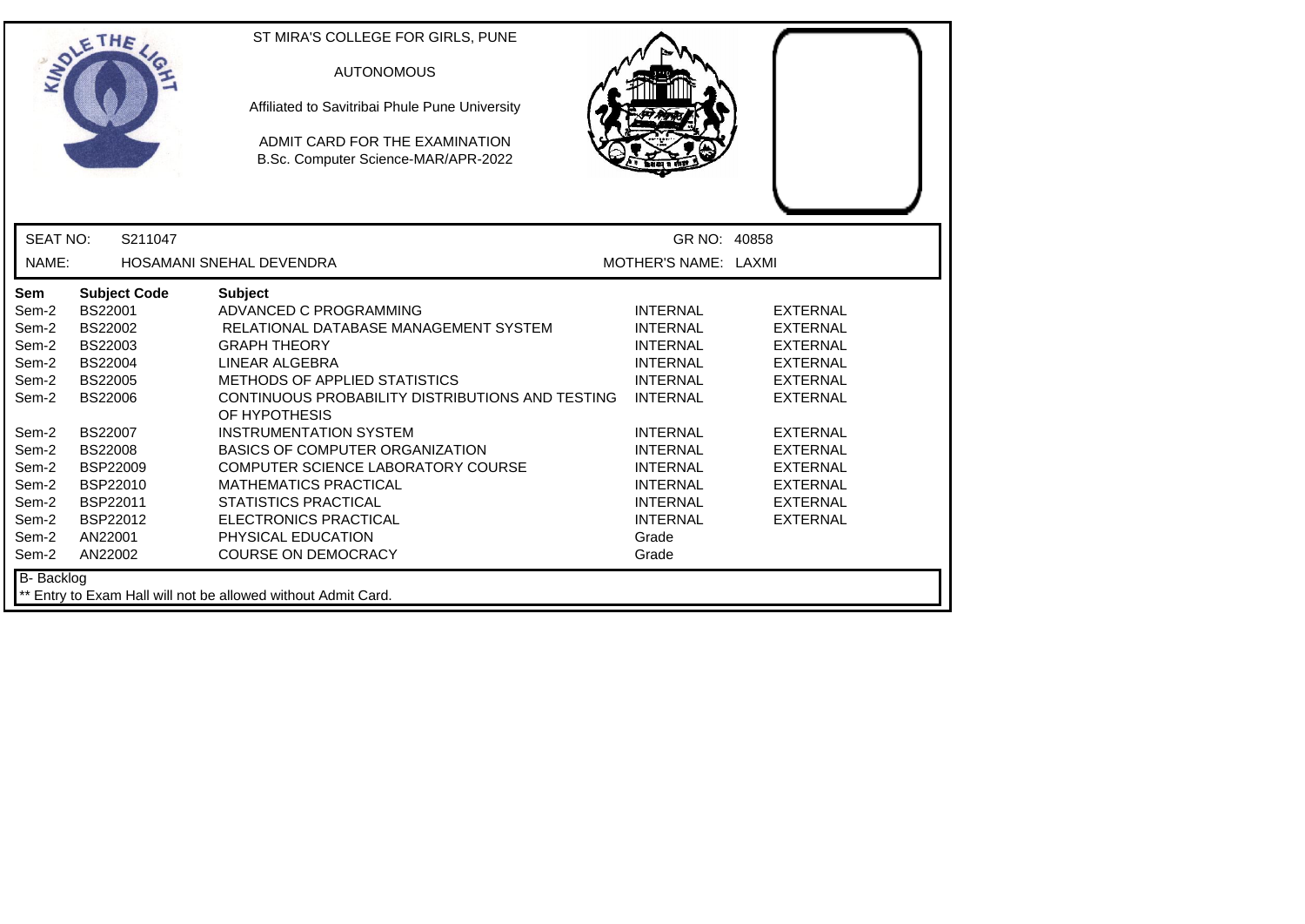|                                                                                                                                          | ETHE                                                                                                                                                                                                                               | ST MIRA'S COLLEGE FOR GIRLS, PUNE<br><b>AUTONOMOUS</b><br>Affiliated to Savitribai Phule Pune University<br>ADMIT CARD FOR THE EXAMINATION<br>B.Sc. Computer Science-MAR/APR-2022                                                                                                                                                                                                                                                                                                                           |                                                                                                                                                                                                                                                    |                                                                                                                                                                                                                                  |  |
|------------------------------------------------------------------------------------------------------------------------------------------|------------------------------------------------------------------------------------------------------------------------------------------------------------------------------------------------------------------------------------|-------------------------------------------------------------------------------------------------------------------------------------------------------------------------------------------------------------------------------------------------------------------------------------------------------------------------------------------------------------------------------------------------------------------------------------------------------------------------------------------------------------|----------------------------------------------------------------------------------------------------------------------------------------------------------------------------------------------------------------------------------------------------|----------------------------------------------------------------------------------------------------------------------------------------------------------------------------------------------------------------------------------|--|
| <b>SEAT NO:</b>                                                                                                                          | S211047                                                                                                                                                                                                                            |                                                                                                                                                                                                                                                                                                                                                                                                                                                                                                             | GR NO: 40858                                                                                                                                                                                                                                       |                                                                                                                                                                                                                                  |  |
| NAME:                                                                                                                                    |                                                                                                                                                                                                                                    | <b>HOSAMANI SNEHAL DEVENDRA</b>                                                                                                                                                                                                                                                                                                                                                                                                                                                                             | MOTHER'S NAME: LAXMI                                                                                                                                                                                                                               |                                                                                                                                                                                                                                  |  |
| <b>Sem</b><br>Sem-2<br>Sem-2<br>Sem-2<br>Sem-2<br>Sem-2<br>Sem-2<br>Sem-2<br>Sem-2<br>Sem-2<br>Sem-2<br>Sem-2<br>Sem-2<br>Sem-2<br>Sem-2 | <b>Subject Code</b><br>BS22001<br>BS22002<br>BS22003<br><b>BS22004</b><br><b>BS22005</b><br><b>BS22006</b><br><b>BS22007</b><br><b>BS22008</b><br><b>BSP22009</b><br>BSP22010<br>BSP22011<br><b>BSP22012</b><br>AN22001<br>AN22002 | <b>Subject</b><br>ADVANCED C PROGRAMMING<br>RELATIONAL DATABASE MANAGEMENT SYSTEM<br><b>GRAPH THEORY</b><br>LINEAR ALGEBRA<br><b>METHODS OF APPLIED STATISTICS</b><br>CONTINUOUS PROBABILITY DISTRIBUTIONS AND TESTING<br>OF HYPOTHESIS<br><b>INSTRUMENTATION SYSTEM</b><br><b>BASICS OF COMPUTER ORGANIZATION</b><br>COMPUTER SCIENCE LABORATORY COURSE<br><b>MATHEMATICS PRACTICAL</b><br><b>STATISTICS PRACTICAL</b><br><b>ELECTRONICS PRACTICAL</b><br>PHYSICAL EDUCATION<br><b>COURSE ON DEMOCRACY</b> | <b>INTERNAL</b><br><b>INTERNAL</b><br><b>INTERNAL</b><br><b>INTERNAL</b><br><b>INTERNAL</b><br><b>INTERNAL</b><br><b>INTERNAL</b><br><b>INTERNAL</b><br><b>INTERNAL</b><br><b>INTERNAL</b><br><b>INTERNAL</b><br><b>INTERNAL</b><br>Grade<br>Grade | <b>EXTERNAL</b><br><b>EXTERNAL</b><br><b>EXTERNAL</b><br><b>EXTERNAL</b><br><b>EXTERNAL</b><br><b>EXTERNAL</b><br><b>EXTERNAL</b><br><b>EXTERNAL</b><br><b>EXTERNAL</b><br><b>EXTERNAL</b><br><b>EXTERNAL</b><br><b>EXTERNAL</b> |  |
| <b>B-</b> Backlog                                                                                                                        |                                                                                                                                                                                                                                    | ** Entry to Exam Hall will not be allowed without Admit Card.                                                                                                                                                                                                                                                                                                                                                                                                                                               |                                                                                                                                                                                                                                                    |                                                                                                                                                                                                                                  |  |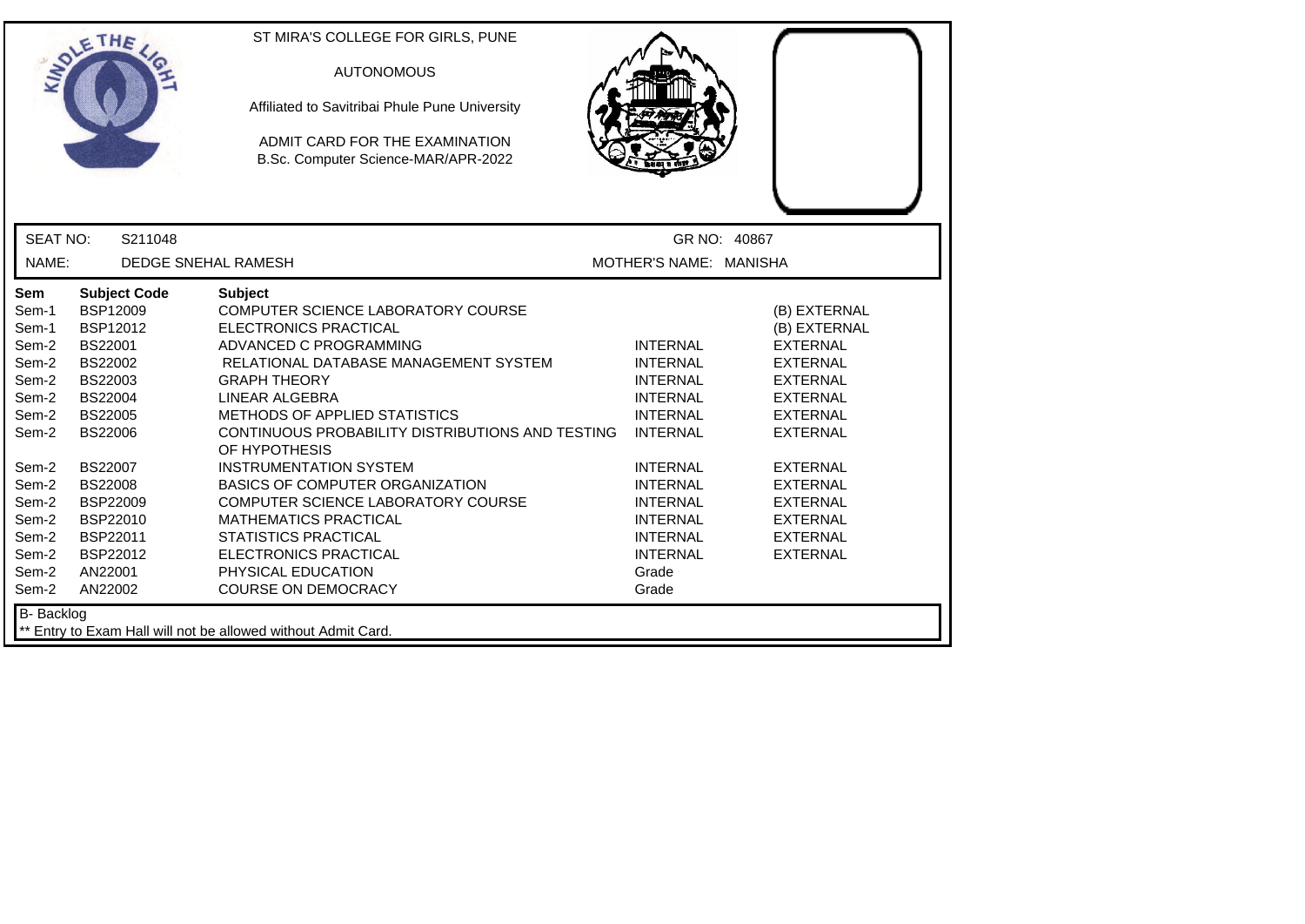|                                                                                                                                                                   | LETHE                                                                                                                                                                                                                                               | ST MIRA'S COLLEGE FOR GIRLS, PUNE<br><b>AUTONOMOUS</b><br>Affiliated to Savitribai Phule Pune University<br>ADMIT CARD FOR THE EXAMINATION<br>B.Sc. Computer Science-MAR/APR-2022                                                                                                                                                                                                                                                                                                                                                                                          |                                                                                                                                                                                                                                                    |                                                                                                                                                                                                                                                                  |
|-------------------------------------------------------------------------------------------------------------------------------------------------------------------|-----------------------------------------------------------------------------------------------------------------------------------------------------------------------------------------------------------------------------------------------------|----------------------------------------------------------------------------------------------------------------------------------------------------------------------------------------------------------------------------------------------------------------------------------------------------------------------------------------------------------------------------------------------------------------------------------------------------------------------------------------------------------------------------------------------------------------------------|----------------------------------------------------------------------------------------------------------------------------------------------------------------------------------------------------------------------------------------------------|------------------------------------------------------------------------------------------------------------------------------------------------------------------------------------------------------------------------------------------------------------------|
| <b>SEAT NO:</b>                                                                                                                                                   | S211048                                                                                                                                                                                                                                             |                                                                                                                                                                                                                                                                                                                                                                                                                                                                                                                                                                            | GR NO: 40867                                                                                                                                                                                                                                       |                                                                                                                                                                                                                                                                  |
| NAME:                                                                                                                                                             | <b>DEDGE SNEHAL RAMESH</b>                                                                                                                                                                                                                          |                                                                                                                                                                                                                                                                                                                                                                                                                                                                                                                                                                            | MOTHER'S NAME: MANISHA                                                                                                                                                                                                                             |                                                                                                                                                                                                                                                                  |
| Sem<br>Sem-1<br>Sem-1<br>Sem-2<br>Sem-2<br>Sem-2<br>Sem-2<br>Sem-2<br>Sem-2<br>Sem-2<br>Sem-2<br>Sem-2<br>Sem-2<br>Sem-2<br>Sem-2<br>Sem-2<br>Sem-2<br>B- Backlog | <b>Subject Code</b><br>BSP12009<br>BSP12012<br><b>BS22001</b><br>BS22002<br>BS22003<br><b>BS22004</b><br><b>BS22005</b><br><b>BS22006</b><br><b>BS22007</b><br><b>BS22008</b><br>BSP22009<br>BSP22010<br>BSP22011<br>BSP22012<br>AN22001<br>AN22002 | <b>Subject</b><br>COMPUTER SCIENCE LABORATORY COURSE<br><b>ELECTRONICS PRACTICAL</b><br>ADVANCED C PROGRAMMING<br>RELATIONAL DATABASE MANAGEMENT SYSTEM<br><b>GRAPH THEORY</b><br>LINEAR ALGEBRA<br>METHODS OF APPLIED STATISTICS<br>CONTINUOUS PROBABILITY DISTRIBUTIONS AND TESTING<br>OF HYPOTHESIS<br><b>INSTRUMENTATION SYSTEM</b><br><b>BASICS OF COMPUTER ORGANIZATION</b><br>COMPUTER SCIENCE LABORATORY COURSE<br><b>MATHEMATICS PRACTICAL</b><br><b>STATISTICS PRACTICAL</b><br><b>ELECTRONICS PRACTICAL</b><br>PHYSICAL EDUCATION<br><b>COURSE ON DEMOCRACY</b> | <b>INTERNAL</b><br><b>INTERNAL</b><br><b>INTERNAL</b><br><b>INTERNAL</b><br><b>INTERNAL</b><br><b>INTERNAL</b><br><b>INTERNAL</b><br><b>INTERNAL</b><br><b>INTERNAL</b><br><b>INTERNAL</b><br><b>INTERNAL</b><br><b>INTERNAL</b><br>Grade<br>Grade | (B) EXTERNAL<br>(B) EXTERNAL<br><b>EXTERNAL</b><br><b>EXTERNAL</b><br><b>EXTERNAL</b><br><b>EXTERNAL</b><br><b>EXTERNAL</b><br><b>EXTERNAL</b><br><b>EXTERNAL</b><br><b>EXTERNAL</b><br><b>EXTERNAL</b><br><b>EXTERNAL</b><br><b>EXTERNAL</b><br><b>EXTERNAL</b> |
|                                                                                                                                                                   |                                                                                                                                                                                                                                                     | ** Entry to Exam Hall will not be allowed without Admit Card.                                                                                                                                                                                                                                                                                                                                                                                                                                                                                                              |                                                                                                                                                                                                                                                    |                                                                                                                                                                                                                                                                  |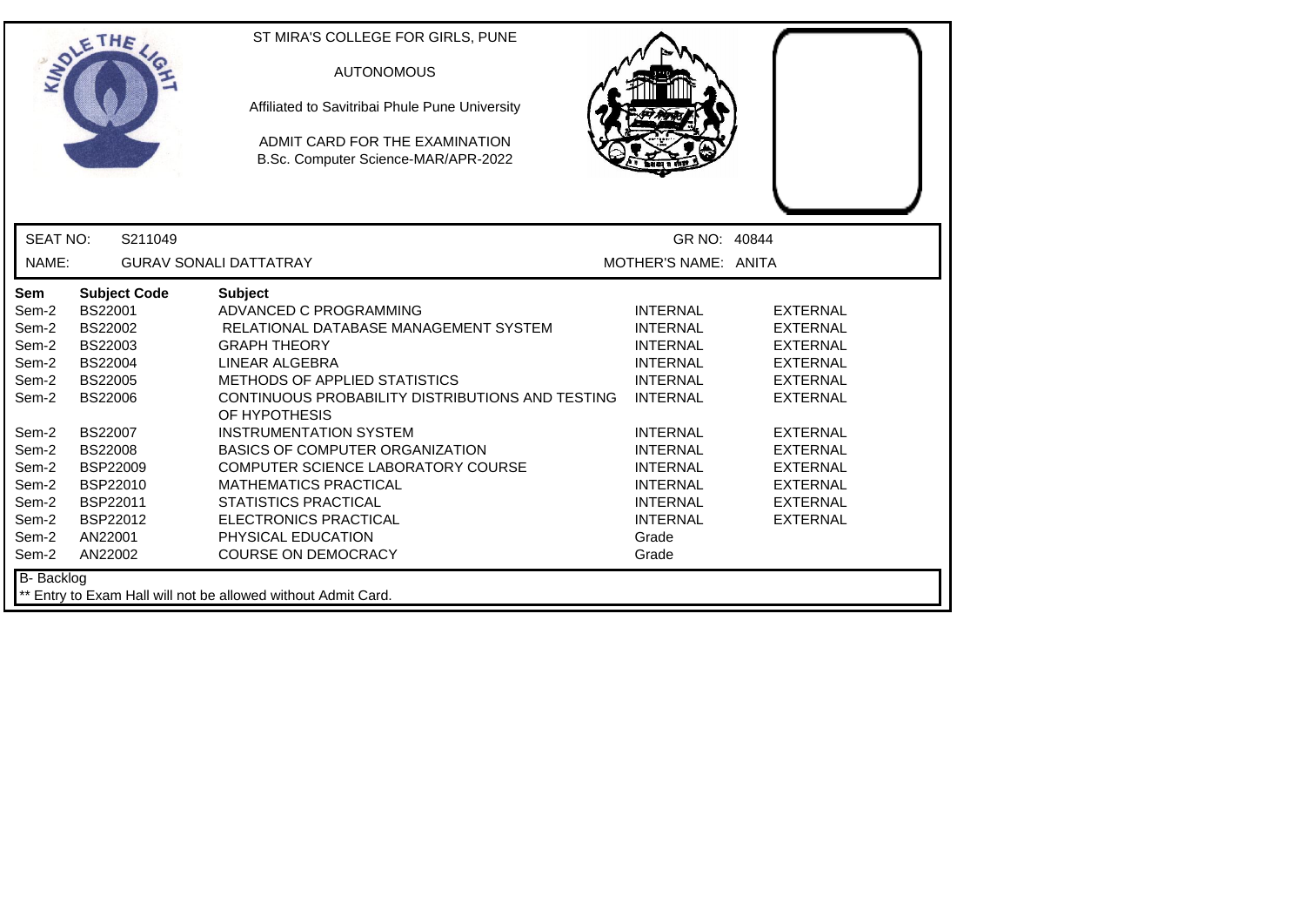|                                                                                                                                   | ETHE                                                                                                                                                                                                                        | ST MIRA'S COLLEGE FOR GIRLS, PUNE<br><b>AUTONOMOUS</b><br>Affiliated to Savitribai Phule Pune University<br>ADMIT CARD FOR THE EXAMINATION<br>B.Sc. Computer Science-MAR/APR-2022                                                                                                                                                                                                                                                                                                                    |                                                                                                                                                                                                                                                    |                                                                                                                                                                                                                                  |  |
|-----------------------------------------------------------------------------------------------------------------------------------|-----------------------------------------------------------------------------------------------------------------------------------------------------------------------------------------------------------------------------|------------------------------------------------------------------------------------------------------------------------------------------------------------------------------------------------------------------------------------------------------------------------------------------------------------------------------------------------------------------------------------------------------------------------------------------------------------------------------------------------------|----------------------------------------------------------------------------------------------------------------------------------------------------------------------------------------------------------------------------------------------------|----------------------------------------------------------------------------------------------------------------------------------------------------------------------------------------------------------------------------------|--|
| <b>SEAT NO:</b>                                                                                                                   | S211049                                                                                                                                                                                                                     |                                                                                                                                                                                                                                                                                                                                                                                                                                                                                                      | GR NO: 40844                                                                                                                                                                                                                                       |                                                                                                                                                                                                                                  |  |
| NAME:                                                                                                                             |                                                                                                                                                                                                                             | <b>GURAV SONALI DATTATRAY</b>                                                                                                                                                                                                                                                                                                                                                                                                                                                                        | MOTHER'S NAME: ANITA                                                                                                                                                                                                                               |                                                                                                                                                                                                                                  |  |
| Sem<br>Sem-2<br>Sem-2<br>Sem-2<br>Sem-2<br>Sem-2<br>Sem-2<br>Sem-2<br>Sem-2<br>Sem-2<br>Sem-2<br>Sem-2<br>Sem-2<br>Sem-2<br>Sem-2 | <b>Subject Code</b><br>BS22001<br>BS22002<br>BS22003<br><b>BS22004</b><br><b>BS22005</b><br><b>BS22006</b><br><b>BS22007</b><br><b>BS22008</b><br><b>BSP22009</b><br>BSP22010<br>BSP22011<br>BSP22012<br>AN22001<br>AN22002 | <b>Subject</b><br>ADVANCED C PROGRAMMING<br>RELATIONAL DATABASE MANAGEMENT SYSTEM<br><b>GRAPH THEORY</b><br>LINEAR ALGEBRA<br>METHODS OF APPLIED STATISTICS<br>CONTINUOUS PROBABILITY DISTRIBUTIONS AND TESTING<br>OF HYPOTHESIS<br><b>INSTRUMENTATION SYSTEM</b><br><b>BASICS OF COMPUTER ORGANIZATION</b><br>COMPUTER SCIENCE LABORATORY COURSE<br><b>MATHEMATICS PRACTICAL</b><br><b>STATISTICS PRACTICAL</b><br><b>ELECTRONICS PRACTICAL</b><br>PHYSICAL EDUCATION<br><b>COURSE ON DEMOCRACY</b> | <b>INTERNAL</b><br><b>INTERNAL</b><br><b>INTERNAL</b><br><b>INTERNAL</b><br><b>INTERNAL</b><br><b>INTERNAL</b><br><b>INTERNAL</b><br><b>INTERNAL</b><br><b>INTERNAL</b><br><b>INTERNAL</b><br><b>INTERNAL</b><br><b>INTERNAL</b><br>Grade<br>Grade | <b>EXTERNAL</b><br><b>EXTERNAL</b><br><b>EXTERNAL</b><br><b>EXTERNAL</b><br><b>EXTERNAL</b><br><b>EXTERNAL</b><br><b>EXTERNAL</b><br><b>EXTERNAL</b><br><b>EXTERNAL</b><br><b>EXTERNAL</b><br><b>EXTERNAL</b><br><b>EXTERNAL</b> |  |
| B-Backlog                                                                                                                         |                                                                                                                                                                                                                             | ** Entry to Exam Hall will not be allowed without Admit Card.                                                                                                                                                                                                                                                                                                                                                                                                                                        |                                                                                                                                                                                                                                                    |                                                                                                                                                                                                                                  |  |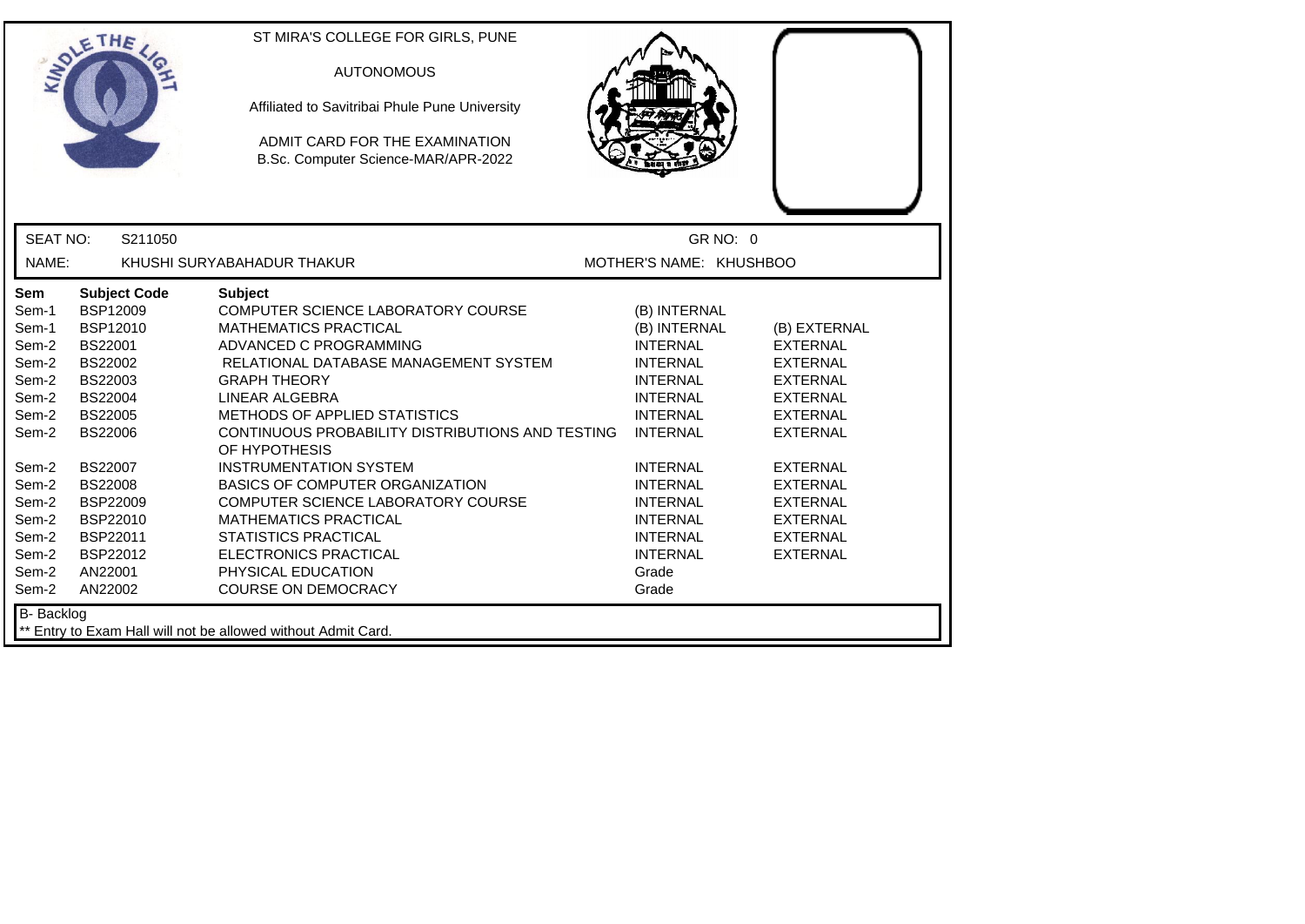|                                                                                                                                                                   | LETHE                                                                                                                                                                                                                                        | ST MIRA'S COLLEGE FOR GIRLS, PUNE<br><b>AUTONOMOUS</b><br>Affiliated to Savitribai Phule Pune University<br>ADMIT CARD FOR THE EXAMINATION<br>B.Sc. Computer Science-MAR/APR-2022                                                                                                                                                                                                                                                                                                                                                                                   |                                                                                                                                                                                                                                                                                    |                                                                                                                                                                                                                                                  |
|-------------------------------------------------------------------------------------------------------------------------------------------------------------------|----------------------------------------------------------------------------------------------------------------------------------------------------------------------------------------------------------------------------------------------|---------------------------------------------------------------------------------------------------------------------------------------------------------------------------------------------------------------------------------------------------------------------------------------------------------------------------------------------------------------------------------------------------------------------------------------------------------------------------------------------------------------------------------------------------------------------|------------------------------------------------------------------------------------------------------------------------------------------------------------------------------------------------------------------------------------------------------------------------------------|--------------------------------------------------------------------------------------------------------------------------------------------------------------------------------------------------------------------------------------------------|
| <b>SEAT NO:</b>                                                                                                                                                   | S211050                                                                                                                                                                                                                                      |                                                                                                                                                                                                                                                                                                                                                                                                                                                                                                                                                                     | GR NO: 0                                                                                                                                                                                                                                                                           |                                                                                                                                                                                                                                                  |
| NAME:                                                                                                                                                             |                                                                                                                                                                                                                                              | KHUSHI SURYABAHADUR THAKUR                                                                                                                                                                                                                                                                                                                                                                                                                                                                                                                                          | MOTHER'S NAME: KHUSHBOO                                                                                                                                                                                                                                                            |                                                                                                                                                                                                                                                  |
| Sem<br>Sem-1<br>Sem-1<br>Sem-2<br>Sem-2<br>Sem-2<br>Sem-2<br>Sem-2<br>Sem-2<br>Sem-2<br>Sem-2<br>Sem-2<br>Sem-2<br>Sem-2<br>Sem-2<br>Sem-2<br>Sem-2<br>B- Backlog | <b>Subject Code</b><br>BSP12009<br>BSP12010<br>BS22001<br><b>BS22002</b><br>BS22003<br>BS22004<br><b>BS22005</b><br><b>BS22006</b><br><b>BS22007</b><br><b>BS22008</b><br>BSP22009<br>BSP22010<br>BSP22011<br>BSP22012<br>AN22001<br>AN22002 | <b>Subject</b><br>COMPUTER SCIENCE LABORATORY COURSE<br><b>MATHEMATICS PRACTICAL</b><br>ADVANCED C PROGRAMMING<br>RELATIONAL DATABASE MANAGEMENT SYSTEM<br><b>GRAPH THEORY</b><br>LINEAR ALGEBRA<br><b>METHODS OF APPLIED STATISTICS</b><br>CONTINUOUS PROBABILITY DISTRIBUTIONS AND TESTING<br>OF HYPOTHESIS<br><b>INSTRUMENTATION SYSTEM</b><br>BASICS OF COMPUTER ORGANIZATION<br>COMPUTER SCIENCE LABORATORY COURSE<br><b>MATHEMATICS PRACTICAL</b><br><b>STATISTICS PRACTICAL</b><br>ELECTRONICS PRACTICAL<br>PHYSICAL EDUCATION<br><b>COURSE ON DEMOCRACY</b> | (B) INTERNAL<br>(B) INTERNAL<br><b>INTERNAL</b><br><b>INTERNAL</b><br><b>INTERNAL</b><br><b>INTERNAL</b><br><b>INTERNAL</b><br><b>INTERNAL</b><br><b>INTERNAL</b><br><b>INTERNAL</b><br><b>INTERNAL</b><br><b>INTERNAL</b><br><b>INTERNAL</b><br><b>INTERNAL</b><br>Grade<br>Grade | (B) EXTERNAL<br><b>EXTERNAL</b><br><b>EXTERNAL</b><br><b>EXTERNAL</b><br><b>EXTERNAL</b><br><b>EXTERNAL</b><br><b>EXTERNAL</b><br><b>EXTERNAL</b><br><b>EXTERNAL</b><br><b>EXTERNAL</b><br><b>EXTERNAL</b><br><b>EXTERNAL</b><br><b>EXTERNAL</b> |
|                                                                                                                                                                   |                                                                                                                                                                                                                                              | Entry to Exam Hall will not be allowed without Admit Card.                                                                                                                                                                                                                                                                                                                                                                                                                                                                                                          |                                                                                                                                                                                                                                                                                    |                                                                                                                                                                                                                                                  |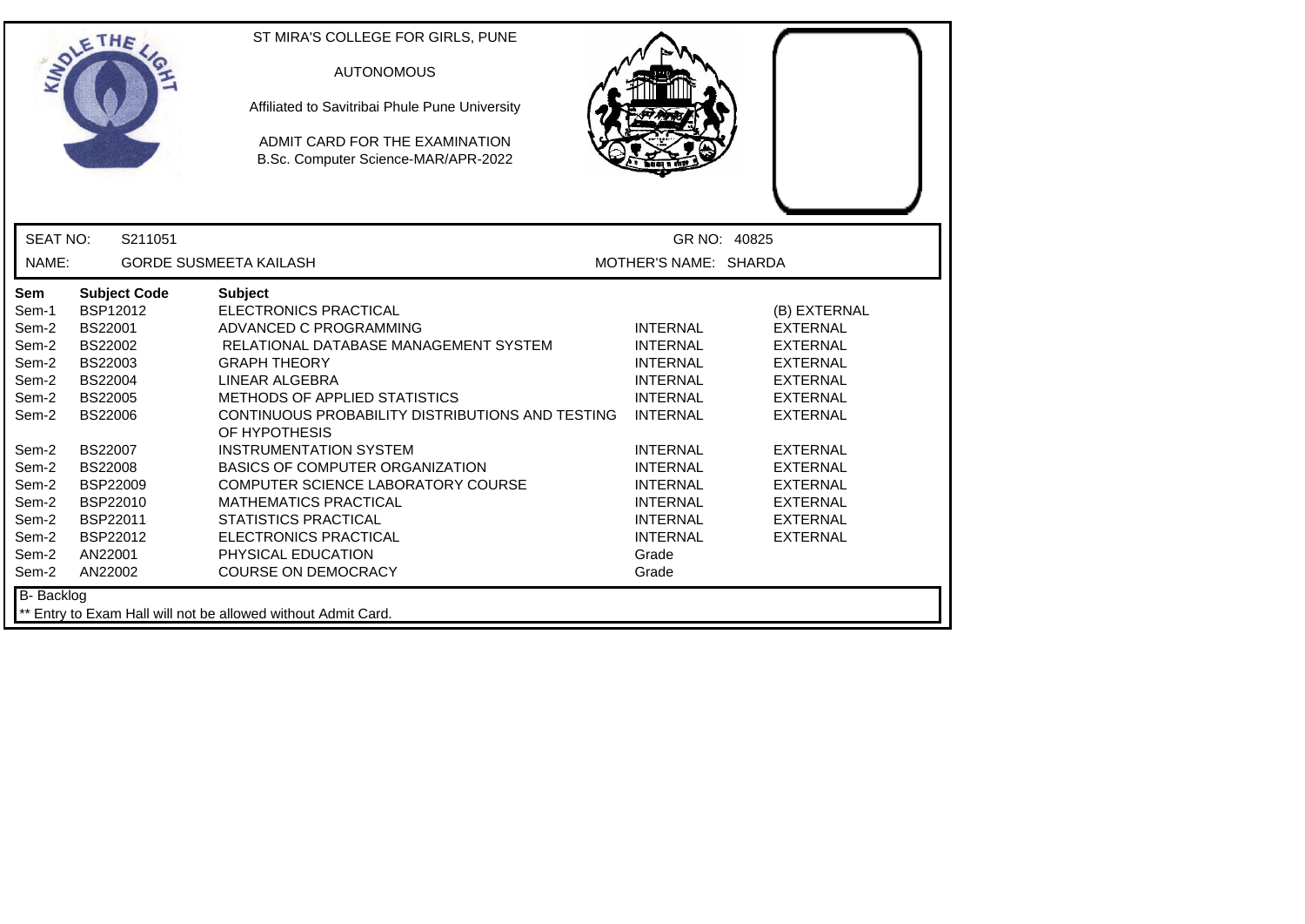|                                                                                                                                            | ETHE                                                                                                                                                                                                                                    | ST MIRA'S COLLEGE FOR GIRLS, PUNE<br><b>AUTONOMOUS</b><br>Affiliated to Savitribai Phule Pune University<br>ADMIT CARD FOR THE EXAMINATION<br>B.Sc. Computer Science-MAR/APR-2022                                                                                                                                                                                                                                                                                                                               |                                                                                                                                                                                                                                                    |                                                                                                                                                                                                                                                  |
|--------------------------------------------------------------------------------------------------------------------------------------------|-----------------------------------------------------------------------------------------------------------------------------------------------------------------------------------------------------------------------------------------|-----------------------------------------------------------------------------------------------------------------------------------------------------------------------------------------------------------------------------------------------------------------------------------------------------------------------------------------------------------------------------------------------------------------------------------------------------------------------------------------------------------------|----------------------------------------------------------------------------------------------------------------------------------------------------------------------------------------------------------------------------------------------------|--------------------------------------------------------------------------------------------------------------------------------------------------------------------------------------------------------------------------------------------------|
| <b>SEAT NO:</b>                                                                                                                            | S211051                                                                                                                                                                                                                                 |                                                                                                                                                                                                                                                                                                                                                                                                                                                                                                                 |                                                                                                                                                                                                                                                    | GR NO: 40825                                                                                                                                                                                                                                     |
| NAME:                                                                                                                                      |                                                                                                                                                                                                                                         | <b>GORDE SUSMEETA KAILASH</b>                                                                                                                                                                                                                                                                                                                                                                                                                                                                                   | MOTHER'S NAME: SHARDA                                                                                                                                                                                                                              |                                                                                                                                                                                                                                                  |
| Sem<br>Sem-1<br>Sem-2<br>Sem-2<br>Sem-2<br>Sem-2<br>Sem-2<br>Sem-2<br>Sem-2<br>Sem-2<br>Sem-2<br>Sem-2<br>Sem-2<br>Sem-2<br>Sem-2<br>Sem-2 | <b>Subject Code</b><br>BSP12012<br><b>BS22001</b><br>BS22002<br>BS22003<br><b>BS22004</b><br><b>BS22005</b><br><b>BS22006</b><br><b>BS22007</b><br><b>BS22008</b><br>BSP22009<br>BSP22010<br>BSP22011<br>BSP22012<br>AN22001<br>AN22002 | <b>Subject</b><br>ELECTRONICS PRACTICAL<br>ADVANCED C PROGRAMMING<br>RELATIONAL DATABASE MANAGEMENT SYSTEM<br><b>GRAPH THEORY</b><br>LINEAR ALGEBRA<br>METHODS OF APPLIED STATISTICS<br>CONTINUOUS PROBABILITY DISTRIBUTIONS AND TESTING<br>OF HYPOTHESIS<br><b>INSTRUMENTATION SYSTEM</b><br>BASICS OF COMPUTER ORGANIZATION<br>COMPUTER SCIENCE LABORATORY COURSE<br><b>MATHEMATICS PRACTICAL</b><br><b>STATISTICS PRACTICAL</b><br>ELECTRONICS PRACTICAL<br>PHYSICAL EDUCATION<br><b>COURSE ON DEMOCRACY</b> | <b>INTERNAL</b><br><b>INTERNAL</b><br><b>INTERNAL</b><br><b>INTERNAL</b><br><b>INTERNAL</b><br><b>INTERNAL</b><br><b>INTERNAL</b><br><b>INTERNAL</b><br><b>INTERNAL</b><br><b>INTERNAL</b><br><b>INTERNAL</b><br><b>INTERNAL</b><br>Grade<br>Grade | (B) EXTERNAL<br><b>EXTERNAL</b><br><b>EXTERNAL</b><br><b>EXTERNAL</b><br><b>EXTERNAL</b><br><b>EXTERNAL</b><br><b>EXTERNAL</b><br><b>EXTERNAL</b><br><b>EXTERNAL</b><br><b>EXTERNAL</b><br><b>EXTERNAL</b><br><b>EXTERNAL</b><br><b>EXTERNAL</b> |
| <b>B-</b> Backlog                                                                                                                          |                                                                                                                                                                                                                                         | ** Entry to Exam Hall will not be allowed without Admit Card.                                                                                                                                                                                                                                                                                                                                                                                                                                                   |                                                                                                                                                                                                                                                    |                                                                                                                                                                                                                                                  |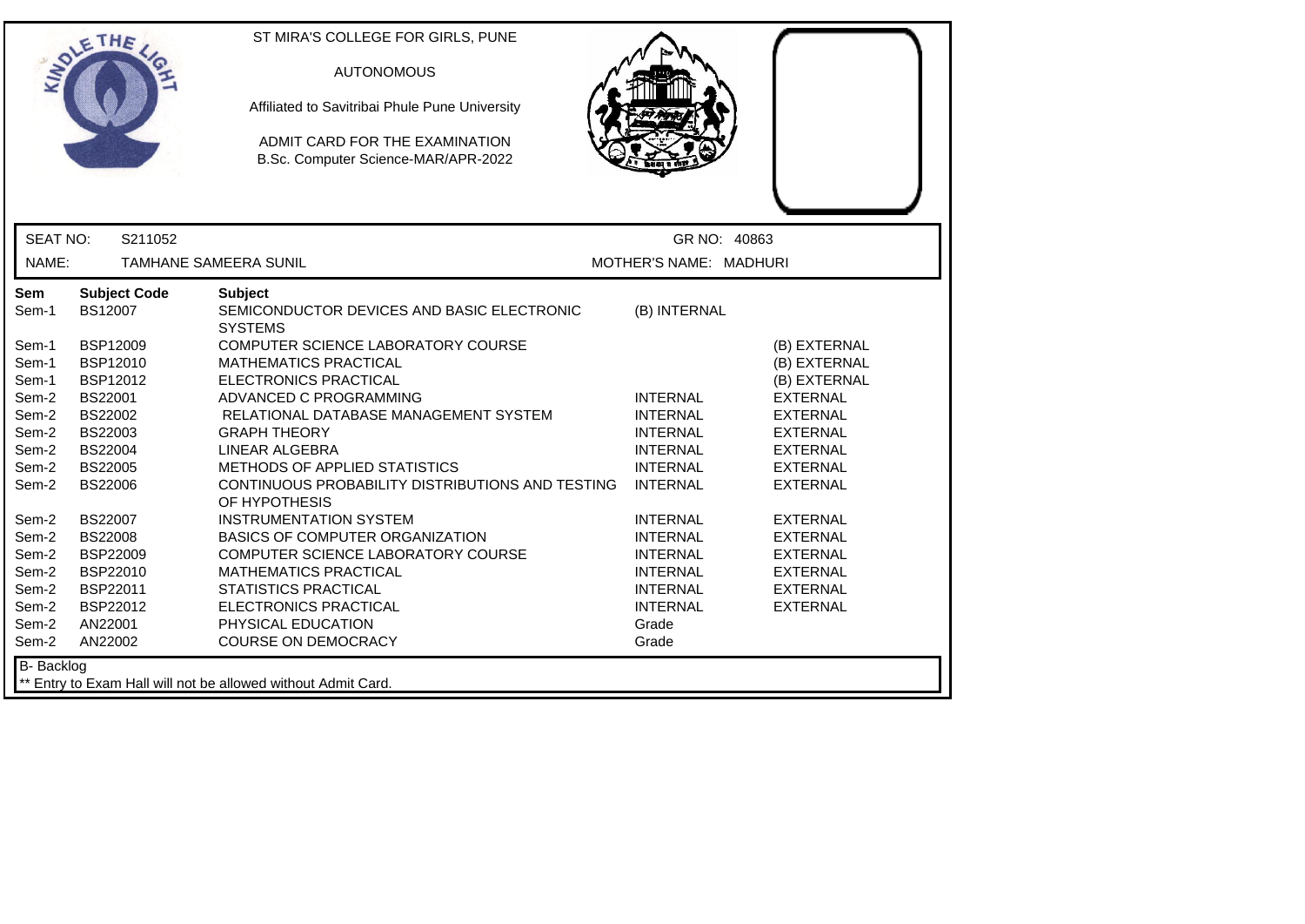|                                  | ETHE                                                                 | ST MIRA'S COLLEGE FOR GIRLS, PUNE<br><b>AUTONOMOUS</b><br>Affiliated to Savitribai Phule Pune University<br>ADMIT CARD FOR THE EXAMINATION<br>B.Sc. Computer Science-MAR/APR-2022 |                                                                          |                                                                          |
|----------------------------------|----------------------------------------------------------------------|-----------------------------------------------------------------------------------------------------------------------------------------------------------------------------------|--------------------------------------------------------------------------|--------------------------------------------------------------------------|
| <b>SEAT NO:</b>                  | S211052                                                              |                                                                                                                                                                                   | GR NO: 40863                                                             |                                                                          |
| NAME:                            |                                                                      | <b>TAMHANE SAMEERA SUNIL</b>                                                                                                                                                      | MOTHER'S NAME: MADHURI                                                   |                                                                          |
| Sem<br>Sem-1<br>Sem-1<br>Sem-1   | <b>Subject Code</b><br><b>BS12007</b><br>BSP12009<br><b>BSP12010</b> | <b>Subject</b><br>SEMICONDUCTOR DEVICES AND BASIC ELECTRONIC<br><b>SYSTEMS</b><br>COMPUTER SCIENCE LABORATORY COURSE<br><b>MATHEMATICS PRACTICAL</b>                              | (B) INTERNAL                                                             | (B) EXTERNAL<br>(B) EXTERNAL                                             |
| Sem-1<br>Sem-2<br>Sem-2          | <b>BSP12012</b><br>BS22001<br>BS22002                                | ELECTRONICS PRACTICAL<br>ADVANCED C PROGRAMMING<br>RELATIONAL DATABASE MANAGEMENT SYSTEM                                                                                          | <b>INTERNAL</b><br><b>INTERNAL</b>                                       | (B) EXTERNAL<br><b>EXTERNAL</b><br><b>EXTERNAL</b>                       |
| Sem-2<br>Sem-2<br>Sem-2<br>Sem-2 | BS22003<br>BS22004<br><b>BS22005</b><br><b>BS22006</b>               | <b>GRAPH THEORY</b><br>LINEAR ALGEBRA<br><b>METHODS OF APPLIED STATISTICS</b><br>CONTINUOUS PROBABILITY DISTRIBUTIONS AND TESTING                                                 | <b>INTERNAL</b><br><b>INTERNAL</b><br><b>INTERNAL</b><br><b>INTERNAL</b> | <b>EXTERNAL</b><br><b>EXTERNAL</b><br><b>EXTERNAL</b><br><b>EXTERNAL</b> |
| Sem-2<br>Sem-2<br>Sem-2<br>Sem-2 | BS22007<br><b>BS22008</b><br><b>BSP22009</b><br>BSP22010             | OF HYPOTHESIS<br><b>INSTRUMENTATION SYSTEM</b><br><b>BASICS OF COMPUTER ORGANIZATION</b><br>COMPUTER SCIENCE LABORATORY COURSE<br><b>MATHEMATICS PRACTICAL</b>                    | <b>INTERNAL</b><br><b>INTERNAL</b><br><b>INTERNAL</b><br><b>INTERNAL</b> | <b>EXTERNAL</b><br><b>EXTERNAL</b><br><b>EXTERNAL</b><br><b>EXTERNAL</b> |
| Sem-2<br>Sem-2<br>Sem-2<br>Sem-2 | BSP22011<br><b>BSP22012</b><br>AN22001<br>AN22002                    | <b>STATISTICS PRACTICAL</b><br><b>ELECTRONICS PRACTICAL</b><br>PHYSICAL EDUCATION<br><b>COURSE ON DEMOCRACY</b>                                                                   | <b>INTERNAL</b><br><b>INTERNAL</b><br>Grade<br>Grade                     | <b>EXTERNAL</b><br><b>EXTERNAL</b>                                       |
| <b>B-</b> Backlog                |                                                                      | ** Entry to Exam Hall will not be allowed without Admit Card.                                                                                                                     |                                                                          |                                                                          |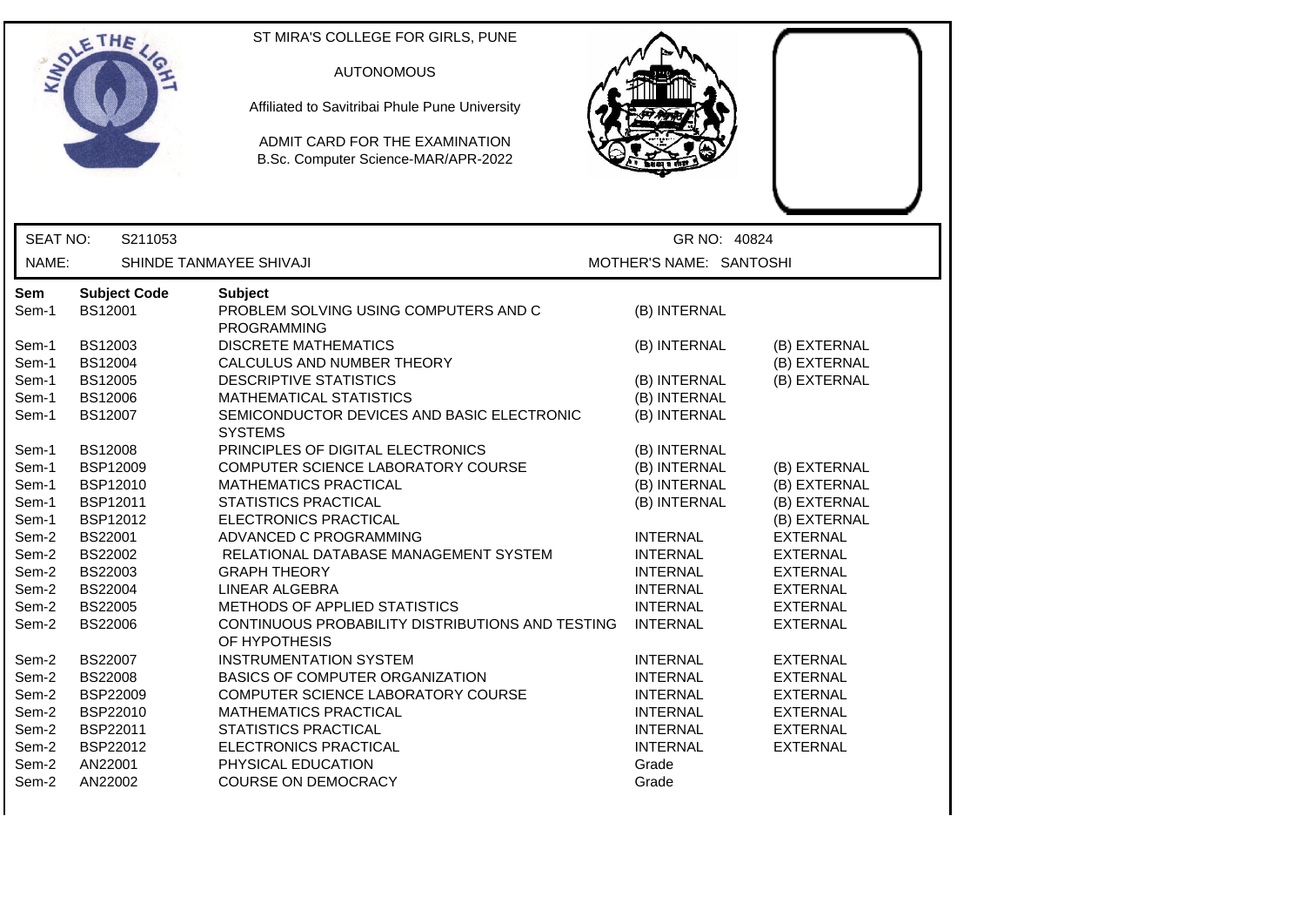|          | THE                 | ST MIRA'S COLLEGE FOR GIRLS, PUNE                                     |                         |                 |
|----------|---------------------|-----------------------------------------------------------------------|-------------------------|-----------------|
|          |                     | <b>AUTONOMOUS</b>                                                     |                         |                 |
|          |                     |                                                                       |                         |                 |
|          |                     | Affiliated to Savitribai Phule Pune University                        |                         |                 |
|          |                     | ADMIT CARD FOR THE EXAMINATION<br>B.Sc. Computer Science-MAR/APR-2022 |                         |                 |
|          |                     |                                                                       |                         |                 |
|          |                     |                                                                       |                         |                 |
| SEAT NO: | S211053             |                                                                       | GR NO: 40824            |                 |
| NAME:    |                     | SHINDE TANMAYEE SHIVAJI                                               | MOTHER'S NAME: SANTOSHI |                 |
| Sem      | <b>Subject Code</b> | <b>Subject</b>                                                        |                         |                 |
| Sem-1    | BS12001             | PROBLEM SOLVING USING COMPUTERS AND C<br><b>PROGRAMMING</b>           | (B) INTERNAL            |                 |
| Sem-1    | BS12003             | <b>DISCRETE MATHEMATICS</b>                                           | (B) INTERNAL            | (B) EXTERNAL    |
| Sem-1    | <b>BS12004</b>      | CALCULUS AND NUMBER THEORY                                            |                         | (B) EXTERNAL    |
| Sem-1    | BS12005             | <b>DESCRIPTIVE STATISTICS</b>                                         | (B) INTERNAL            | (B) EXTERNAL    |
| Sem-1    | BS12006             | <b>MATHEMATICAL STATISTICS</b>                                        | (B) INTERNAL            |                 |
| Sem-1    | BS12007             | SEMICONDUCTOR DEVICES AND BASIC ELECTRONIC<br><b>SYSTEMS</b>          | (B) INTERNAL            |                 |
| Sem-1    | <b>BS12008</b>      | PRINCIPLES OF DIGITAL ELECTRONICS                                     | (B) INTERNAL            |                 |
| Sem-1    | BSP12009            | COMPUTER SCIENCE LABORATORY COURSE                                    | (B) INTERNAL            | (B) EXTERNAL    |
| Sem-1    | BSP12010            | <b>MATHEMATICS PRACTICAL</b>                                          | (B) INTERNAL            | (B) EXTERNAL    |
| Sem-1    | <b>BSP12011</b>     | <b>STATISTICS PRACTICAL</b>                                           | (B) INTERNAL            | (B) EXTERNAL    |
| Sem-1    | <b>BSP12012</b>     | ELECTRONICS PRACTICAL                                                 |                         | (B) EXTERNAL    |
| Sem-2    | BS22001             | ADVANCED C PROGRAMMING                                                | <b>INTERNAL</b>         | <b>EXTERNAL</b> |
| Sem-2    | <b>BS22002</b>      | RELATIONAL DATABASE MANAGEMENT SYSTEM                                 | <b>INTERNAL</b>         | <b>EXTERNAL</b> |
| Sem-2    | BS22003             | <b>GRAPH THEORY</b>                                                   | <b>INTERNAL</b>         | <b>EXTERNAL</b> |
| Sem-2    | <b>BS22004</b>      | LINEAR ALGEBRA                                                        | <b>INTERNAL</b>         | <b>EXTERNAL</b> |
| Sem-2    | <b>BS22005</b>      | METHODS OF APPLIED STATISTICS                                         | <b>INTERNAL</b>         | <b>EXTERNAL</b> |
| Sem-2    | <b>BS22006</b>      | CONTINUOUS PROBABILITY DISTRIBUTIONS AND TESTING                      | <b>INTERNAL</b>         | <b>EXTERNAL</b> |
|          |                     | OF HYPOTHESIS                                                         |                         |                 |
| Sem-2    | BS22007             | <b>INSTRUMENTATION SYSTEM</b>                                         | <b>INTERNAL</b>         | <b>EXTERNAL</b> |
| Sem-2    | <b>BS22008</b>      | <b>BASICS OF COMPUTER ORGANIZATION</b>                                | <b>INTERNAL</b>         | <b>EXTERNAL</b> |
| Sem-2    | <b>BSP22009</b>     | COMPUTER SCIENCE LABORATORY COURSE                                    | <b>INTERNAL</b>         | <b>EXTERNAL</b> |
| Sem-2    | BSP22010            | MATHEMATICS PRACTICAL                                                 | <b>INTERNAL</b>         | <b>EXTERNAL</b> |
| Sem-2    | BSP22011            | <b>STATISTICS PRACTICAL</b>                                           | <b>INTERNAL</b>         | <b>EXTERNAL</b> |
| Sem-2    | BSP22012            | ELECTRONICS PRACTICAL                                                 | <b>INTERNAL</b>         | <b>EXTERNAL</b> |
| Sem-2    | AN22001             | PHYSICAL EDUCATION                                                    | Grade                   |                 |
| Sem-2    | AN22002             | COURSE ON DEMOCRACY                                                   | Grade                   |                 |

 $\mathsf{l}$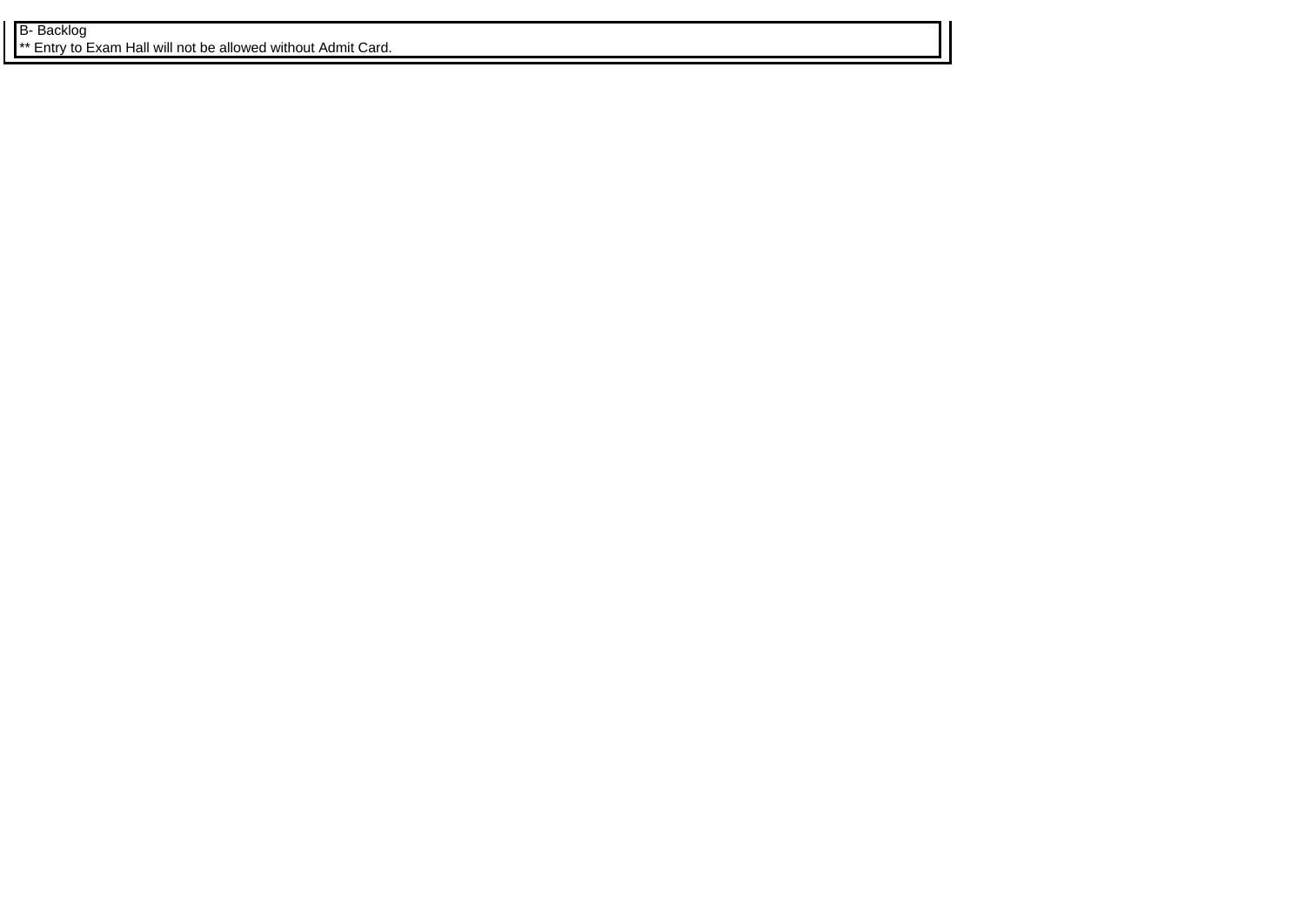B- Backlog **\*\*** Entry to Exam Hall will not be allowed without Admit Card.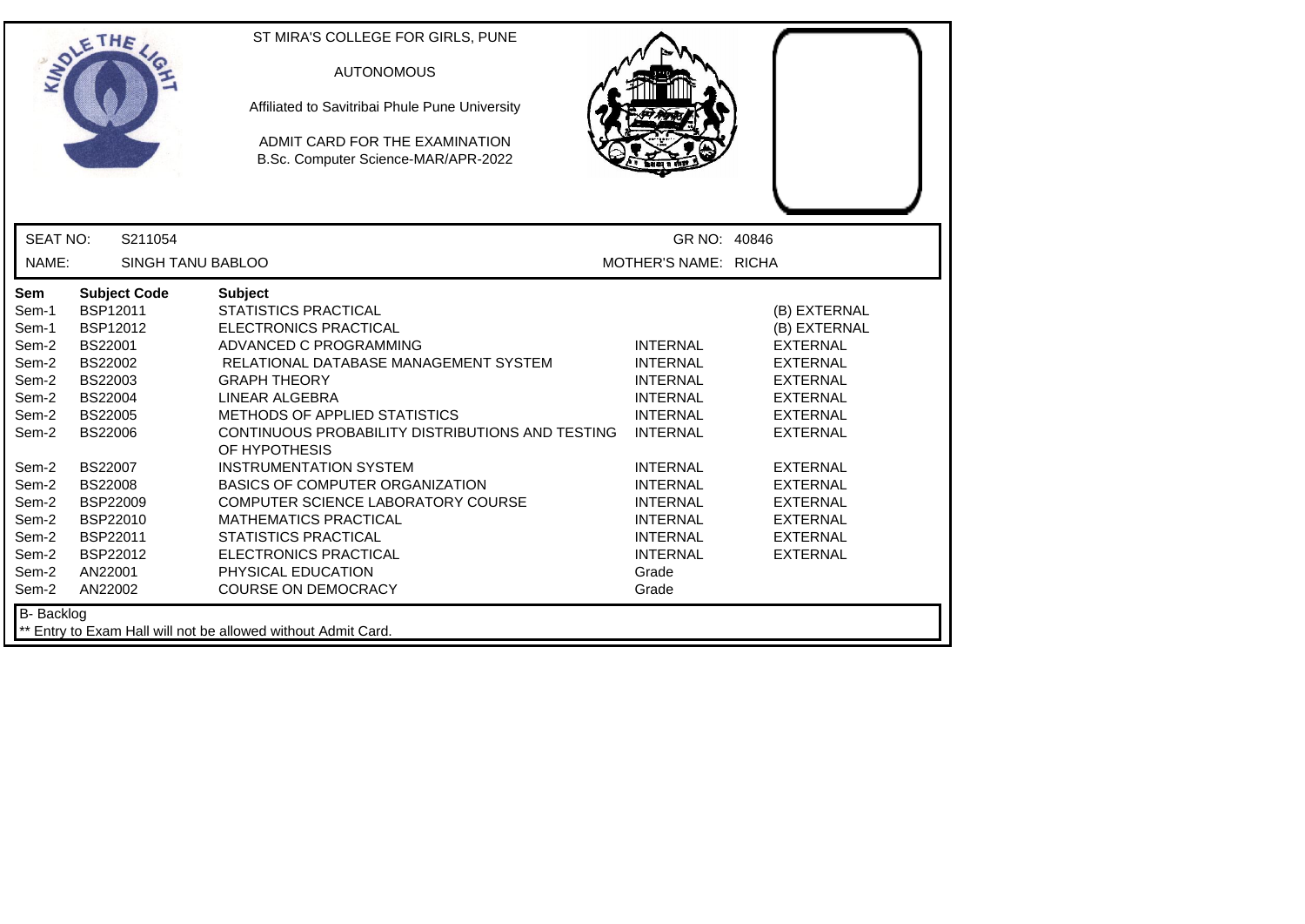|                                                                                                                                                     | ETHE                                                                                                                                                                                                                                                       | ST MIRA'S COLLEGE FOR GIRLS, PUNE<br><b>AUTONOMOUS</b><br>Affiliated to Savitribai Phule Pune University<br>ADMIT CARD FOR THE EXAMINATION<br>B.Sc. Computer Science-MAR/APR-2022                                                                                                                                                                                                                                                                                                                                                                            |                                                                                                                                                                                                                                                    |                                                                                                                                                                                                                                                                  |
|-----------------------------------------------------------------------------------------------------------------------------------------------------|------------------------------------------------------------------------------------------------------------------------------------------------------------------------------------------------------------------------------------------------------------|--------------------------------------------------------------------------------------------------------------------------------------------------------------------------------------------------------------------------------------------------------------------------------------------------------------------------------------------------------------------------------------------------------------------------------------------------------------------------------------------------------------------------------------------------------------|----------------------------------------------------------------------------------------------------------------------------------------------------------------------------------------------------------------------------------------------------|------------------------------------------------------------------------------------------------------------------------------------------------------------------------------------------------------------------------------------------------------------------|
| <b>SEAT NO:</b>                                                                                                                                     | S211054                                                                                                                                                                                                                                                    |                                                                                                                                                                                                                                                                                                                                                                                                                                                                                                                                                              | GR NO: 40846                                                                                                                                                                                                                                       |                                                                                                                                                                                                                                                                  |
| NAME:                                                                                                                                               | <b>SINGH TANU BABLOO</b>                                                                                                                                                                                                                                   |                                                                                                                                                                                                                                                                                                                                                                                                                                                                                                                                                              | MOTHER'S NAME: RICHA                                                                                                                                                                                                                               |                                                                                                                                                                                                                                                                  |
| Sem<br>Sem-1<br>Sem-1<br>Sem-2<br>Sem-2<br>Sem-2<br>Sem-2<br>Sem-2<br>Sem-2<br>Sem-2<br>Sem-2<br>Sem-2<br>Sem-2<br>Sem-2<br>Sem-2<br>Sem-2<br>Sem-2 | <b>Subject Code</b><br>BSP12011<br>BSP12012<br><b>BS22001</b><br>BS22002<br>BS22003<br><b>BS22004</b><br><b>BS22005</b><br><b>BS22006</b><br><b>BS22007</b><br><b>BS22008</b><br><b>BSP22009</b><br>BSP22010<br>BSP22011<br>BSP22012<br>AN22001<br>AN22002 | <b>Subject</b><br><b>STATISTICS PRACTICAL</b><br><b>ELECTRONICS PRACTICAL</b><br>ADVANCED C PROGRAMMING<br>RELATIONAL DATABASE MANAGEMENT SYSTEM<br><b>GRAPH THEORY</b><br>LINEAR ALGEBRA<br>METHODS OF APPLIED STATISTICS<br>CONTINUOUS PROBABILITY DISTRIBUTIONS AND TESTING<br>OF HYPOTHESIS<br><b>INSTRUMENTATION SYSTEM</b><br><b>BASICS OF COMPUTER ORGANIZATION</b><br>COMPUTER SCIENCE LABORATORY COURSE<br><b>MATHEMATICS PRACTICAL</b><br><b>STATISTICS PRACTICAL</b><br>ELECTRONICS PRACTICAL<br>PHYSICAL EDUCATION<br><b>COURSE ON DEMOCRACY</b> | <b>INTERNAL</b><br><b>INTERNAL</b><br><b>INTERNAL</b><br><b>INTERNAL</b><br><b>INTERNAL</b><br><b>INTERNAL</b><br><b>INTERNAL</b><br><b>INTERNAL</b><br><b>INTERNAL</b><br><b>INTERNAL</b><br><b>INTERNAL</b><br><b>INTERNAL</b><br>Grade<br>Grade | (B) EXTERNAL<br>(B) EXTERNAL<br><b>EXTERNAL</b><br><b>EXTERNAL</b><br><b>EXTERNAL</b><br><b>EXTERNAL</b><br><b>EXTERNAL</b><br><b>EXTERNAL</b><br><b>EXTERNAL</b><br><b>EXTERNAL</b><br><b>EXTERNAL</b><br><b>EXTERNAL</b><br><b>EXTERNAL</b><br><b>EXTERNAL</b> |
| <b>B-</b> Backlog                                                                                                                                   |                                                                                                                                                                                                                                                            | ** Entry to Exam Hall will not be allowed without Admit Card.                                                                                                                                                                                                                                                                                                                                                                                                                                                                                                |                                                                                                                                                                                                                                                    |                                                                                                                                                                                                                                                                  |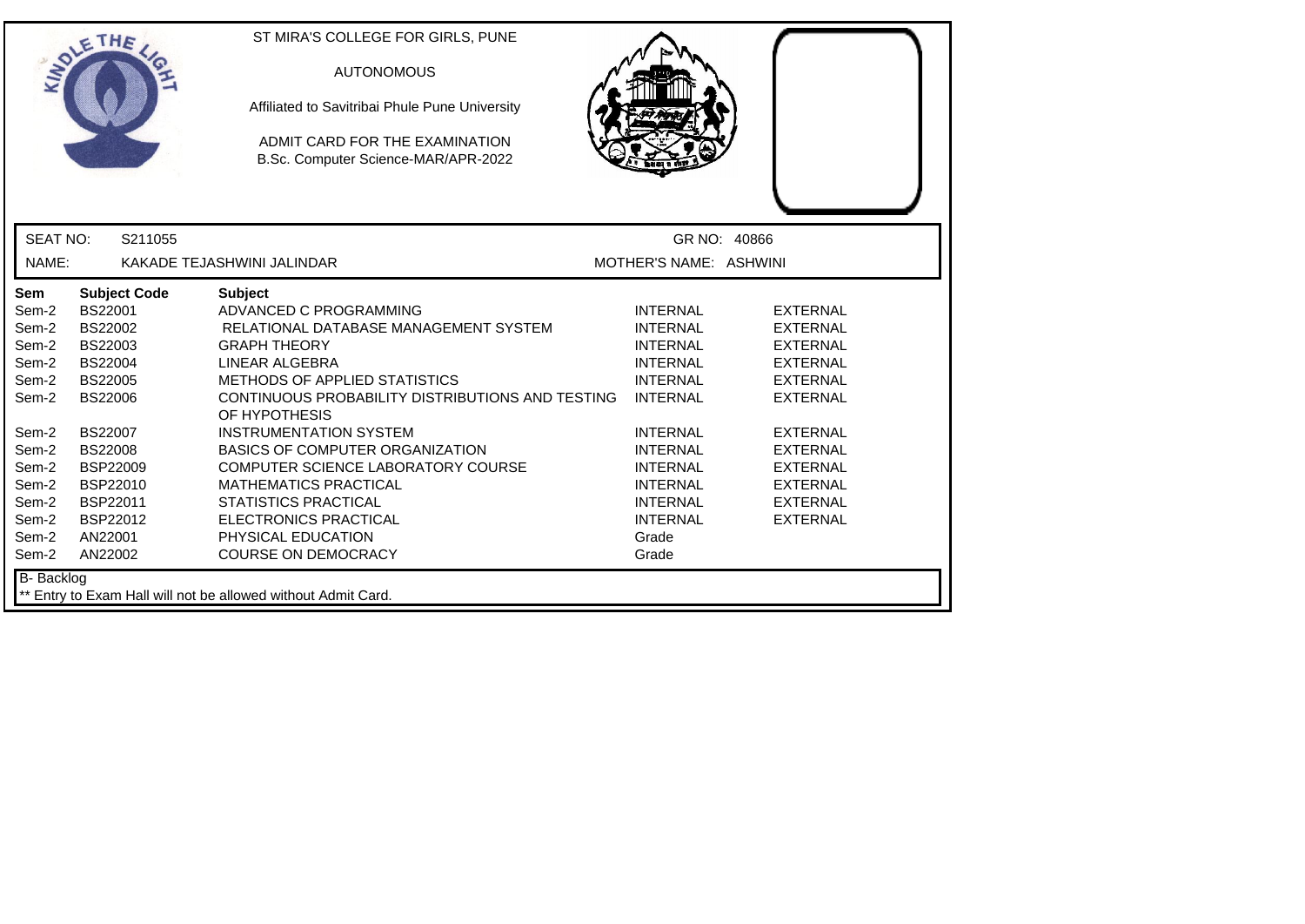|                   | ETHE                | ST MIRA'S COLLEGE FOR GIRLS, PUNE                                     |                        |                 |
|-------------------|---------------------|-----------------------------------------------------------------------|------------------------|-----------------|
|                   |                     | <b>AUTONOMOUS</b>                                                     |                        |                 |
|                   |                     | Affiliated to Savitribai Phule Pune University                        |                        |                 |
|                   |                     | ADMIT CARD FOR THE EXAMINATION<br>B.Sc. Computer Science-MAR/APR-2022 |                        |                 |
|                   |                     |                                                                       |                        |                 |
| <b>SEAT NO:</b>   | S211055             |                                                                       | GR NO: 40866           |                 |
| NAME:             |                     | KAKADE TEJASHWINI JALINDAR                                            | MOTHER'S NAME: ASHWINI |                 |
| Sem               | <b>Subject Code</b> | <b>Subject</b>                                                        |                        |                 |
| Sem-2             | BS22001             | ADVANCED C PROGRAMMING                                                | <b>INTERNAL</b>        | <b>EXTERNAL</b> |
| Sem-2             | <b>BS22002</b>      | RELATIONAL DATABASE MANAGEMENT SYSTEM                                 | <b>INTERNAL</b>        | <b>EXTERNAL</b> |
| Sem-2             | BS22003             | <b>GRAPH THEORY</b>                                                   | <b>INTERNAL</b>        | <b>EXTERNAL</b> |
| Sem-2             | BS22004             | LINEAR ALGEBRA                                                        | <b>INTERNAL</b>        | <b>EXTERNAL</b> |
| Sem-2             | <b>BS22005</b>      | <b>METHODS OF APPLIED STATISTICS</b>                                  | <b>INTERNAL</b>        | <b>EXTERNAL</b> |
| Sem-2             | <b>BS22006</b>      | CONTINUOUS PROBABILITY DISTRIBUTIONS AND TESTING<br>OF HYPOTHESIS     | <b>INTERNAL</b>        | <b>EXTERNAL</b> |
| Sem-2             | <b>BS22007</b>      | <b>INSTRUMENTATION SYSTEM</b>                                         | <b>INTERNAL</b>        | <b>EXTERNAL</b> |
| Sem-2             | <b>BS22008</b>      | <b>BASICS OF COMPUTER ORGANIZATION</b>                                | <b>INTERNAL</b>        | <b>EXTERNAL</b> |
| Sem-2             | <b>BSP22009</b>     | COMPUTER SCIENCE LABORATORY COURSE                                    | <b>INTERNAL</b>        | <b>EXTERNAL</b> |
| Sem-2             | BSP22010            | <b>MATHEMATICS PRACTICAL</b>                                          | <b>INTERNAL</b>        | <b>EXTERNAL</b> |
| Sem-2             | BSP22011            | <b>STATISTICS PRACTICAL</b>                                           | <b>INTERNAL</b>        | <b>EXTERNAL</b> |
| Sem-2             | <b>BSP22012</b>     | <b>ELECTRONICS PRACTICAL</b>                                          | <b>INTERNAL</b>        | <b>EXTERNAL</b> |
| Sem-2             | AN22001             | PHYSICAL EDUCATION                                                    | Grade                  |                 |
| Sem-2             | AN22002             | <b>COURSE ON DEMOCRACY</b>                                            | Grade                  |                 |
| <b>B-</b> Backlog |                     |                                                                       |                        |                 |
|                   |                     | ** Entry to Exam Hall will not be allowed without Admit Card.         |                        |                 |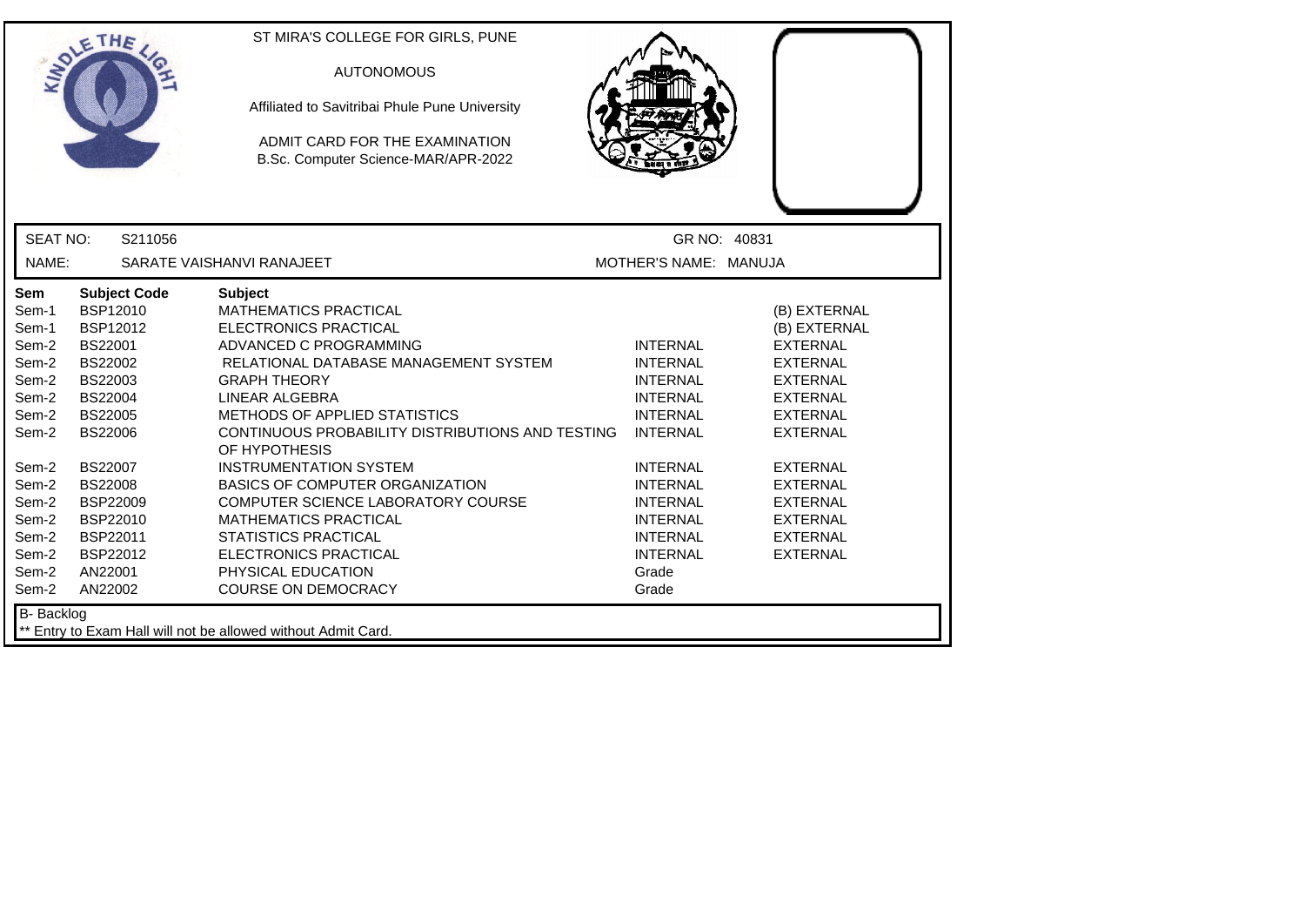|                                                                                                                                                     | ETHE                                                                                                                                                                                                                                         | ST MIRA'S COLLEGE FOR GIRLS, PUNE<br><b>AUTONOMOUS</b><br>Affiliated to Savitribai Phule Pune University<br>ADMIT CARD FOR THE EXAMINATION<br>B.Sc. Computer Science-MAR/APR-2022                                                                                                                                                                                                                                                                                                                                                                                    |                                                                                                                                                                                                                                                    |                                                                                                                                                                                                                                                                  |
|-----------------------------------------------------------------------------------------------------------------------------------------------------|----------------------------------------------------------------------------------------------------------------------------------------------------------------------------------------------------------------------------------------------|----------------------------------------------------------------------------------------------------------------------------------------------------------------------------------------------------------------------------------------------------------------------------------------------------------------------------------------------------------------------------------------------------------------------------------------------------------------------------------------------------------------------------------------------------------------------|----------------------------------------------------------------------------------------------------------------------------------------------------------------------------------------------------------------------------------------------------|------------------------------------------------------------------------------------------------------------------------------------------------------------------------------------------------------------------------------------------------------------------|
| <b>SEAT NO:</b>                                                                                                                                     | S211056                                                                                                                                                                                                                                      |                                                                                                                                                                                                                                                                                                                                                                                                                                                                                                                                                                      | GR NO: 40831                                                                                                                                                                                                                                       |                                                                                                                                                                                                                                                                  |
| NAME:                                                                                                                                               |                                                                                                                                                                                                                                              | SARATE VAISHANVI RANAJEET                                                                                                                                                                                                                                                                                                                                                                                                                                                                                                                                            | MOTHER'S NAME: MANUJA                                                                                                                                                                                                                              |                                                                                                                                                                                                                                                                  |
| Sem<br>Sem-1<br>Sem-1<br>Sem-2<br>Sem-2<br>Sem-2<br>Sem-2<br>Sem-2<br>Sem-2<br>Sem-2<br>Sem-2<br>Sem-2<br>Sem-2<br>Sem-2<br>Sem-2<br>Sem-2<br>Sem-2 | <b>Subject Code</b><br>BSP12010<br>BSP12012<br>BS22001<br>BS22002<br>BS22003<br><b>BS22004</b><br><b>BS22005</b><br><b>BS22006</b><br><b>BS22007</b><br><b>BS22008</b><br>BSP22009<br>BSP22010<br>BSP22011<br>BSP22012<br>AN22001<br>AN22002 | <b>Subject</b><br><b>MATHEMATICS PRACTICAL</b><br><b>ELECTRONICS PRACTICAL</b><br>ADVANCED C PROGRAMMING<br>RELATIONAL DATABASE MANAGEMENT SYSTEM<br><b>GRAPH THEORY</b><br>LINEAR ALGEBRA<br>METHODS OF APPLIED STATISTICS<br>CONTINUOUS PROBABILITY DISTRIBUTIONS AND TESTING<br>OF HYPOTHESIS<br><b>INSTRUMENTATION SYSTEM</b><br><b>BASICS OF COMPUTER ORGANIZATION</b><br>COMPUTER SCIENCE LABORATORY COURSE<br><b>MATHEMATICS PRACTICAL</b><br><b>STATISTICS PRACTICAL</b><br><b>ELECTRONICS PRACTICAL</b><br>PHYSICAL EDUCATION<br><b>COURSE ON DEMOCRACY</b> | <b>INTERNAL</b><br><b>INTERNAL</b><br><b>INTERNAL</b><br><b>INTERNAL</b><br><b>INTERNAL</b><br><b>INTERNAL</b><br><b>INTERNAL</b><br><b>INTERNAL</b><br><b>INTERNAL</b><br><b>INTERNAL</b><br><b>INTERNAL</b><br><b>INTERNAL</b><br>Grade<br>Grade | (B) EXTERNAL<br>(B) EXTERNAL<br><b>EXTERNAL</b><br><b>EXTERNAL</b><br><b>EXTERNAL</b><br><b>EXTERNAL</b><br><b>EXTERNAL</b><br><b>EXTERNAL</b><br><b>EXTERNAL</b><br><b>EXTERNAL</b><br><b>EXTERNAL</b><br><b>EXTERNAL</b><br><b>EXTERNAL</b><br><b>EXTERNAL</b> |
| B- Backlog<br>** Entry to Exam Hall will not be allowed without Admit Card.                                                                         |                                                                                                                                                                                                                                              |                                                                                                                                                                                                                                                                                                                                                                                                                                                                                                                                                                      |                                                                                                                                                                                                                                                    |                                                                                                                                                                                                                                                                  |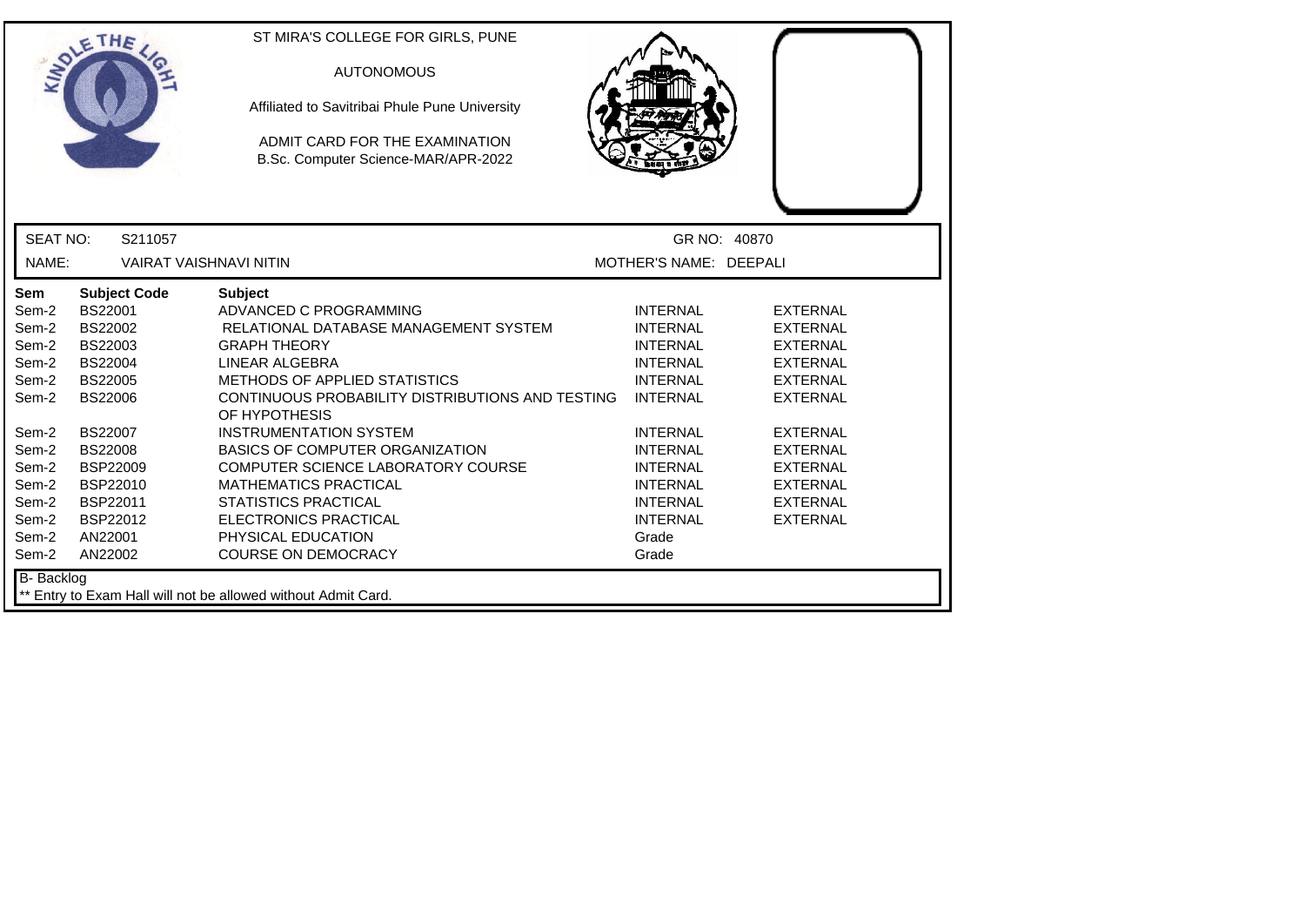|                                                                                                                          | ETHE                                                                                                                                                                                                                    | ST MIRA'S COLLEGE FOR GIRLS, PUNE<br><b>AUTONOMOUS</b><br>Affiliated to Savitribai Phule Pune University<br>ADMIT CARD FOR THE EXAMINATION<br>B.Sc. Computer Science-MAR/APR-2022                                                                                                                                                                                                                                                                                             |                                                                                                                                                                                                                                           |                                                                                                                                                                                                                           |
|--------------------------------------------------------------------------------------------------------------------------|-------------------------------------------------------------------------------------------------------------------------------------------------------------------------------------------------------------------------|-------------------------------------------------------------------------------------------------------------------------------------------------------------------------------------------------------------------------------------------------------------------------------------------------------------------------------------------------------------------------------------------------------------------------------------------------------------------------------|-------------------------------------------------------------------------------------------------------------------------------------------------------------------------------------------------------------------------------------------|---------------------------------------------------------------------------------------------------------------------------------------------------------------------------------------------------------------------------|
| <b>SEAT NO:</b>                                                                                                          | S211057                                                                                                                                                                                                                 |                                                                                                                                                                                                                                                                                                                                                                                                                                                                               | GR NO: 40870                                                                                                                                                                                                                              |                                                                                                                                                                                                                           |
| NAME:                                                                                                                    | <b>VAIRAT VAISHNAVI NITIN</b>                                                                                                                                                                                           |                                                                                                                                                                                                                                                                                                                                                                                                                                                                               | MOTHER'S NAME: DEEPALI                                                                                                                                                                                                                    |                                                                                                                                                                                                                           |
| Sem<br>Sem-2<br>Sem-2<br>Sem-2<br>Sem-2<br>Sem-2<br>Sem-2<br>Sem-2<br>Sem-2<br>Sem-2<br>Sem-2<br>Sem-2<br>Sem-2<br>Sem-2 | <b>Subject Code</b><br>BS22001<br><b>BS22002</b><br>BS22003<br><b>BS22004</b><br><b>BS22005</b><br><b>BS22006</b><br><b>BS22007</b><br><b>BS22008</b><br><b>BSP22009</b><br>BSP22010<br>BSP22011<br>BSP22012<br>AN22001 | <b>Subject</b><br>ADVANCED C PROGRAMMING<br>RELATIONAL DATABASE MANAGEMENT SYSTEM<br><b>GRAPH THEORY</b><br>LINEAR ALGEBRA<br><b>METHODS OF APPLIED STATISTICS</b><br>CONTINUOUS PROBABILITY DISTRIBUTIONS AND TESTING<br>OF HYPOTHESIS<br><b>INSTRUMENTATION SYSTEM</b><br><b>BASICS OF COMPUTER ORGANIZATION</b><br>COMPUTER SCIENCE LABORATORY COURSE<br><b>MATHEMATICS PRACTICAL</b><br><b>STATISTICS PRACTICAL</b><br><b>ELECTRONICS PRACTICAL</b><br>PHYSICAL EDUCATION | <b>INTERNAL</b><br><b>INTERNAL</b><br><b>INTERNAL</b><br><b>INTERNAL</b><br><b>INTERNAL</b><br><b>INTERNAL</b><br><b>INTERNAL</b><br><b>INTERNAL</b><br><b>INTERNAL</b><br><b>INTERNAL</b><br><b>INTERNAL</b><br><b>INTERNAL</b><br>Grade | <b>EXTERNAL</b><br>EXTERNAL<br><b>EXTERNAL</b><br><b>EXTERNAL</b><br><b>EXTERNAL</b><br><b>EXTERNAL</b><br><b>EXTERNAL</b><br><b>EXTERNAL</b><br><b>EXTERNAL</b><br><b>EXTERNAL</b><br><b>EXTERNAL</b><br><b>EXTERNAL</b> |
| Sem-2<br><b>B-</b> Backlog                                                                                               | AN22002                                                                                                                                                                                                                 | <b>COURSE ON DEMOCRACY</b>                                                                                                                                                                                                                                                                                                                                                                                                                                                    | Grade                                                                                                                                                                                                                                     |                                                                                                                                                                                                                           |
|                                                                                                                          |                                                                                                                                                                                                                         | ** Entry to Exam Hall will not be allowed without Admit Card.                                                                                                                                                                                                                                                                                                                                                                                                                 |                                                                                                                                                                                                                                           |                                                                                                                                                                                                                           |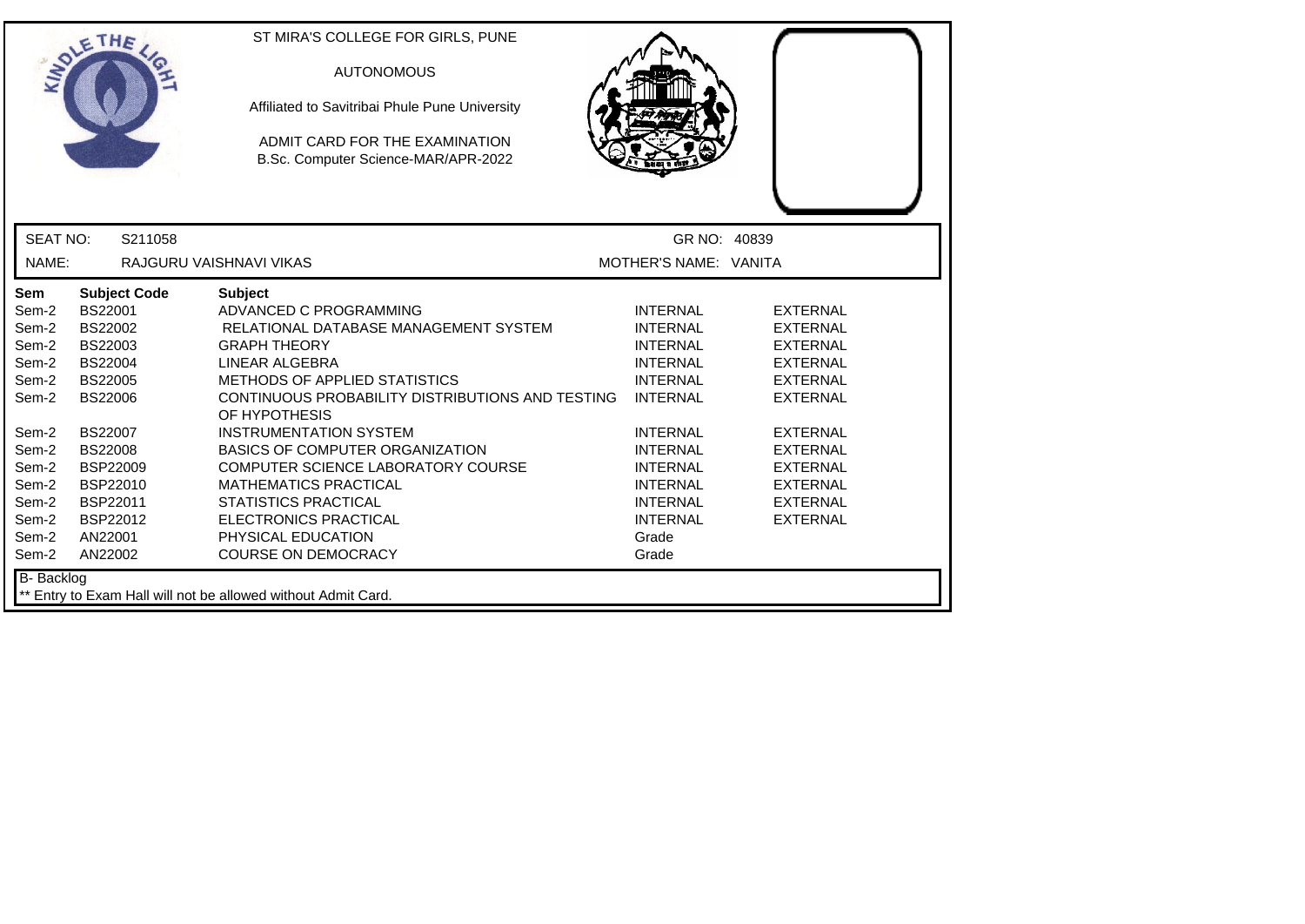|                 | ETHE                | ST MIRA'S COLLEGE FOR GIRLS, PUNE<br><b>AUTONOMOUS</b><br>Affiliated to Savitribai Phule Pune University<br>ADMIT CARD FOR THE EXAMINATION<br>B.Sc. Computer Science-MAR/APR-2022 |                       |                 |
|-----------------|---------------------|-----------------------------------------------------------------------------------------------------------------------------------------------------------------------------------|-----------------------|-----------------|
| <b>SEAT NO:</b> | S211058             |                                                                                                                                                                                   | GR NO: 40839          |                 |
| NAME:           |                     | RAJGURU VAISHNAVI VIKAS                                                                                                                                                           | MOTHER'S NAME: VANITA |                 |
| Sem             | <b>Subject Code</b> | <b>Subject</b>                                                                                                                                                                    |                       |                 |
| Sem-2           | <b>BS22001</b>      | ADVANCED C PROGRAMMING                                                                                                                                                            | <b>INTERNAL</b>       | <b>EXTERNAL</b> |
| Sem-2           | BS22002             | RELATIONAL DATABASE MANAGEMENT SYSTEM                                                                                                                                             | <b>INTERNAL</b>       | <b>EXTERNAL</b> |
| Sem-2           | BS22003             | <b>GRAPH THEORY</b>                                                                                                                                                               | <b>INTERNAL</b>       | <b>EXTERNAL</b> |
| Sem-2           | <b>BS22004</b>      | LINEAR ALGEBRA                                                                                                                                                                    | <b>INTERNAL</b>       | <b>EXTERNAL</b> |
| Sem-2           | <b>BS22005</b>      | <b>METHODS OF APPLIED STATISTICS</b>                                                                                                                                              | <b>INTERNAL</b>       | <b>EXTERNAL</b> |
| Sem-2           | <b>BS22006</b>      | CONTINUOUS PROBABILITY DISTRIBUTIONS AND TESTING<br>OF HYPOTHESIS                                                                                                                 | <b>INTERNAL</b>       | <b>EXTERNAL</b> |
| Sem-2           | <b>BS22007</b>      | <b>INSTRUMENTATION SYSTEM</b>                                                                                                                                                     | <b>INTERNAL</b>       | <b>EXTERNAL</b> |
| Sem-2           | <b>BS22008</b>      | <b>BASICS OF COMPUTER ORGANIZATION</b>                                                                                                                                            | <b>INTERNAL</b>       | <b>EXTERNAL</b> |
| Sem-2           | BSP22009            | COMPUTER SCIENCE LABORATORY COURSE                                                                                                                                                | <b>INTERNAL</b>       | <b>EXTERNAL</b> |
| Sem-2           | BSP22010            | <b>MATHEMATICS PRACTICAL</b>                                                                                                                                                      | <b>INTERNAL</b>       | <b>EXTERNAL</b> |
| Sem-2           | BSP22011            | <b>STATISTICS PRACTICAL</b>                                                                                                                                                       | <b>INTERNAL</b>       | <b>EXTERNAL</b> |
| Sem-2           | BSP22012            | ELECTRONICS PRACTICAL                                                                                                                                                             | <b>INTERNAL</b>       | <b>EXTERNAL</b> |
| Sem-2           | AN22001             | PHYSICAL EDUCATION                                                                                                                                                                | Grade                 |                 |
| Sem-2           | AN22002             | <b>COURSE ON DEMOCRACY</b>                                                                                                                                                        | Grade                 |                 |
| B- Backlog      |                     | ** Entry to Exam Hall will not be allowed without Admit Card.                                                                                                                     |                       |                 |